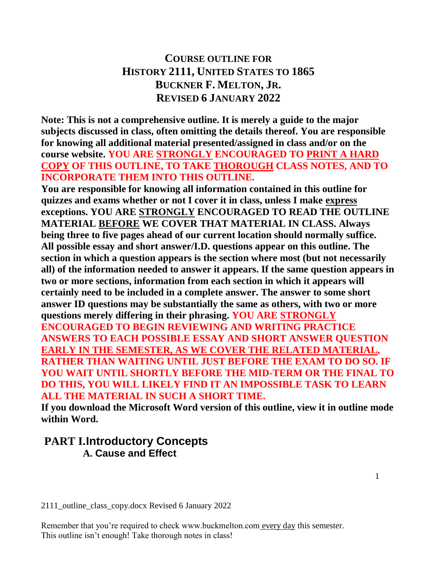# **COURSE OUTLINE FOR HISTORY 2111, UNITED STATES TO 1865 BUCKNER F. MELTON, JR. REVISED 6 JANUARY 2022**

**Note: This is not a comprehensive outline. It is merely a guide to the major subjects discussed in class, often omitting the details thereof. You are responsible for knowing all additional material presented/assigned in class and/or on the course website. YOU ARE STRONGLY ENCOURAGED TO PRINT A HARD COPY OF THIS OUTLINE, TO TAKE THOROUGH CLASS NOTES, AND TO INCORPORATE THEM INTO THIS OUTLINE.**

**You are responsible for knowing all information contained in this outline for quizzes and exams whether or not I cover it in class, unless I make express exceptions. YOU ARE STRONGLY ENCOURAGED TO READ THE OUTLINE MATERIAL BEFORE WE COVER THAT MATERIAL IN CLASS. Always being three to five pages ahead of our current location should normally suffice. All possible essay and short answer/I.D. questions appear on this outline. The section in which a question appears is the section where most (but not necessarily all) of the information needed to answer it appears. If the same question appears in two or more sections, information from each section in which it appears will certainly need to be included in a complete answer. The answer to some short answer ID questions may be substantially the same as others, with two or more questions merely differing in their phrasing. YOU ARE STRONGLY ENCOURAGED TO BEGIN REVIEWING AND WRITING PRACTICE ANSWERS TO EACH POSSIBLE ESSAY AND SHORT ANSWER QUESTION** 

**EARLY IN THE SEMESTER, AS WE COVER THE RELATED MATERIAL, RATHER THAN WAITING UNTIL JUST BEFORE THE EXAM TO DO SO. IF YOU WAIT UNTIL SHORTLY BEFORE THE MID-TERM OR THE FINAL TO DO THIS, YOU WILL LIKELY FIND IT AN IMPOSSIBLE TASK TO LEARN ALL THE MATERIAL IN SUCH A SHORT TIME.**

**If you download the Microsoft Word version of this outline, view it in outline mode within Word.**

# **PART I.Introductory Concepts A. Cause and Effect**

2111\_outline\_class\_copy.docx Revised 6 January 2022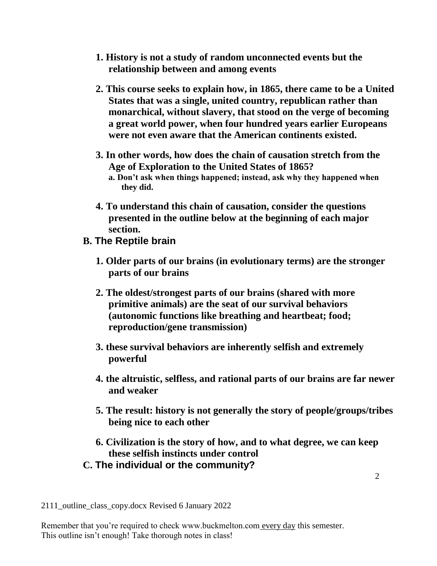- **1. History is not a study of random unconnected events but the relationship between and among events**
- **2. This course seeks to explain how, in 1865, there came to be a United States that was a single, united country, republican rather than monarchical, without slavery, that stood on the verge of becoming a great world power, when four hundred years earlier Europeans were not even aware that the American continents existed.**
- **3. In other words, how does the chain of causation stretch from the Age of Exploration to the United States of 1865?**
	- **a. Don't ask when things happened; instead, ask why they happened when they did.**
- **4. To understand this chain of causation, consider the questions presented in the outline below at the beginning of each major section.**
- **B. The Reptile brain**
	- **1. Older parts of our brains (in evolutionary terms) are the stronger parts of our brains**
	- **2. The oldest/strongest parts of our brains (shared with more primitive animals) are the seat of our survival behaviors (autonomic functions like breathing and heartbeat; food; reproduction/gene transmission)**
	- **3. these survival behaviors are inherently selfish and extremely powerful**
	- **4. the altruistic, selfless, and rational parts of our brains are far newer and weaker**
	- **5. The result: history is not generally the story of people/groups/tribes being nice to each other**
	- **6. Civilization is the story of how, and to what degree, we can keep these selfish instincts under control**
- **C. The individual or the community?**

2111\_outline\_class\_copy.docx Revised 6 January 2022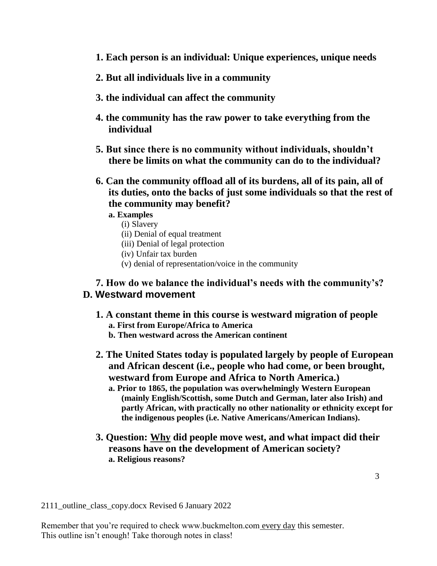- **1. Each person is an individual: Unique experiences, unique needs**
- **2. But all individuals live in a community**
- **3. the individual can affect the community**
- **4. the community has the raw power to take everything from the individual**
- **5. But since there is no community without individuals, shouldn't there be limits on what the community can do to the individual?**
- **6. Can the community offload all of its burdens, all of its pain, all of its duties, onto the backs of just some individuals so that the rest of the community may benefit?**
	- **a. Examples**
		- (i) Slavery
		- (ii) Denial of equal treatment
		- (iii) Denial of legal protection
		- (iv) Unfair tax burden
		- (v) denial of representation/voice in the community

## **7. How do we balance the individual's needs with the community's? D. Westward movement**

- **1. A constant theme in this course is westward migration of people a. First from Europe/Africa to America**
	- **b. Then westward across the American continent**
- **2. The United States today is populated largely by people of European and African descent (i.e., people who had come, or been brought, westward from Europe and Africa to North America.)**
	- **a. Prior to 1865, the population was overwhelmingly Western European (mainly English/Scottish, some Dutch and German, later also Irish) and partly African, with practically no other nationality or ethnicity except for the indigenous peoples (i.e. Native Americans/American Indians).**
- **3. Question: Why did people move west, and what impact did their reasons have on the development of American society? a. Religious reasons?**

2111\_outline\_class\_copy.docx Revised 6 January 2022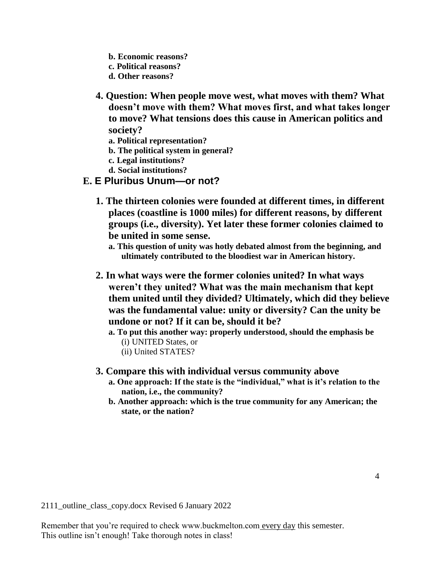- **b. Economic reasons?**
- **c. Political reasons?**
- **d. Other reasons?**
- **4. Question: When people move west, what moves with them? What doesn't move with them? What moves first, and what takes longer to move? What tensions does this cause in American politics and society?**
	- **a. Political representation?**
	- **b. The political system in general?**
	- **c. Legal institutions?**
	- **d. Social institutions?**
- **E. E Pluribus Unum—or not?**
	- **1. The thirteen colonies were founded at different times, in different places (coastline is 1000 miles) for different reasons, by different groups (i.e., diversity). Yet later these former colonies claimed to be united in some sense.**
		- **a. This question of unity was hotly debated almost from the beginning, and ultimately contributed to the bloodiest war in American history.**
	- **2. In what ways were the former colonies united? In what ways weren't they united? What was the main mechanism that kept them united until they divided? Ultimately, which did they believe was the fundamental value: unity or diversity? Can the unity be undone or not? If it can be, should it be?**

**a. To put this another way: properly understood, should the emphasis be** (i) UNITED States, or

- (ii) United STATES?
- **3. Compare this with individual versus community above**
	- **a. One approach: If the state is the "individual," what is it's relation to the nation, i.e., the community?**
	- **b. Another approach: which is the true community for any American; the state, or the nation?**

2111\_outline\_class\_copy.docx Revised 6 January 2022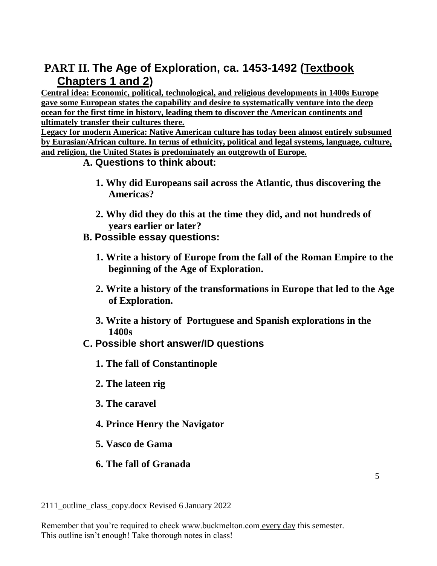# **PART II. The Age of Exploration, ca. 1453-1492 (Textbook Chapters 1 and 2)**

**Central idea: Economic, political, technological, and religious developments in 1400s Europe gave some European states the capability and desire to systematically venture into the deep ocean for the first time in history, leading them to discover the American continents and ultimately transfer their cultures there.**

**Legacy for modern America: Native American culture has today been almost entirely subsumed by Eurasian/African culture. In terms of ethnicity, political and legal systems, language, culture, and religion, the United States is predominately an outgrowth of Europe.**

# **A. Questions to think about:**

- **1. Why did Europeans sail across the Atlantic, thus discovering the Americas?**
- **2. Why did they do this at the time they did, and not hundreds of years earlier or later?**
- **B. Possible essay questions:**
	- **1. Write a history of Europe from the fall of the Roman Empire to the beginning of the Age of Exploration.**
	- **2. Write a history of the transformations in Europe that led to the Age of Exploration.**
	- **3. Write a history of Portuguese and Spanish explorations in the 1400s**
- **C. Possible short answer/ID questions**
	- **1. The fall of Constantinople**
	- **2. The lateen rig**
	- **3. The caravel**
	- **4. Prince Henry the Navigator**
	- **5. Vasco de Gama**
	- **6. The fall of Granada**

2111\_outline\_class\_copy.docx Revised 6 January 2022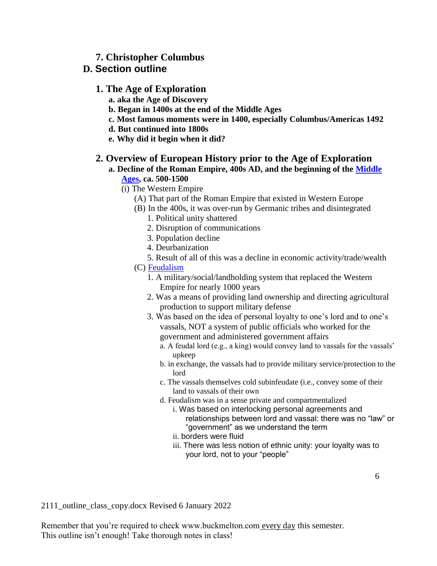### **7. Christopher Columbus**

## **D. Section outline**

### **1. The Age of Exploration**

- **a. aka the Age of Discovery**
- **b. Began in 1400s at the end of the Middle Ages**
- **c. Most famous moments were in 1400, especially Columbus/Americas 1492**
- **d. But continued into 1800s**
- **e. Why did it begin when it did?**

#### **2. Overview of European History prior to the Age of Exploration**

**a. Decline of the Roman Empire, 400s AD, and the beginning of the [Middle](http://www.buckmelton.com/medieval_europe.jpg)  [Ages,](http://www.buckmelton.com/medieval_europe.jpg) ca. 500-1500**

(i) The Western Empire

- (A) That part of the Roman Empire that existed in Western Europe
- (B) In the 400s, it was over-run by Germanic tribes and disintegrated
	- 1. Political unity shattered
	- 2. Disruption of communications
	- 3. Population decline
	- 4. Deurbanization
	- 5. Result of all of this was a decline in economic activity/trade/wealth
- (C) [Feudalism](http://www.buckmelton.com/feudalism.jpg)
	- 1. A military/social/landholding system that replaced the Western Empire for nearly 1000 years
	- 2. Was a means of providing land ownership and directing agricultural production to support military defense
	- 3. Was based on the idea of personal loyalty to one's lord and to one's vassals, NOT a system of public officials who worked for the government and administered government affairs
		- a. A feudal lord (e.g., a king) would convey land to vassals for the vassals' upkeep
		- b. in exchange, the vassals had to provide military service/protection to the lord
		- c. The vassals themselves cold subinfeudate (i.e., convey some of their land to vassals of their own
		- d. Feudalism was in a sense private and compartmentalized

i. Was based on interlocking personal agreements and relationships between lord and vassal: there was no "law" or "government" as we understand the term

- ii. borders were fluid
- iii. There was less notion of ethnic unity: your loyalty was to your lord, not to your "people"

6

2111\_outline\_class\_copy.docx Revised 6 January 2022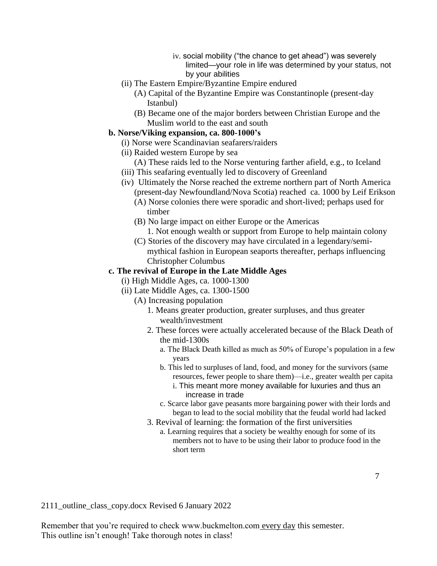- iv. social mobility ("the chance to get ahead") was severely limited—your role in life was determined by your status, not by your abilities
- (ii) The Eastern Empire/Byzantine Empire endured
	- (A) Capital of the Byzantine Empire was Constantinople (present-day Istanbul)
	- (B) Became one of the major borders between Christian Europe and the Muslim world to the east and south

#### **b. Norse/Viking expansion, ca. 800-1000's**

- (i) Norse were Scandinavian seafarers/raiders
- (ii) Raided western Europe by sea
	- (A) These raids led to the Norse venturing farther afield, e.g., to Iceland
- (iii) This seafaring eventually led to discovery of Greenland
- (iv) Ultimately the Norse reached the extreme northern part of North America (present-day Newfoundland/Nova Scotia) reached ca. 1000 by Leif Erikson
	- (A) Norse colonies there were sporadic and short-lived; perhaps used for timber
	- (B) No large impact on either Europe or the Americas
		- 1. Not enough wealth or support from Europe to help maintain colony
	- (C) Stories of the discovery may have circulated in a legendary/semimythical fashion in European seaports thereafter, perhaps influencing Christopher Columbus

#### **c. The revival of Europe in the Late Middle Ages**

(i) High Middle Ages, ca. 1000-1300

- (ii) Late Middle Ages, ca. 1300-1500
	- (A) Increasing population
		- 1. Means greater production, greater surpluses, and thus greater wealth/investment
		- 2. These forces were actually accelerated because of the Black Death of the mid-1300s
			- a. The Black Death killed as much as 50% of Europe's population in a few years
			- b. This led to surpluses of land, food, and money for the survivors (same resources, fewer people to share them)—i.e., greater wealth per capita
				- i. This meant more money available for luxuries and thus an increase in trade
			- c. Scarce labor gave peasants more bargaining power with their lords and began to lead to the social mobility that the feudal world had lacked
		- 3. Revival of learning: the formation of the first universities
			- a. Learning requires that a society be wealthy enough for some of its members not to have to be using their labor to produce food in the short term

2111\_outline\_class\_copy.docx Revised 6 January 2022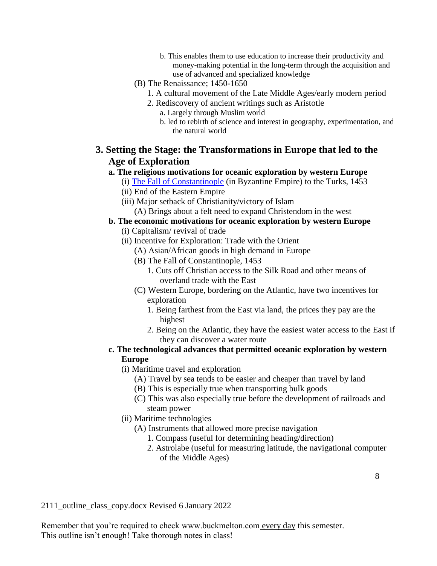- b. This enables them to use education to increase their productivity and money-making potential in the long-term through the acquisition and use of advanced and specialized knowledge
- (B) The Renaissance; 1450-1650
	- 1. A cultural movement of the Late Middle Ages/early modern period
	- 2. Rediscovery of ancient writings such as Aristotle a. Largely through Muslim world
		- b. led to rebirth of science and interest in geography, experimentation, and the natural world

# **3. Setting the Stage: the Transformations in Europe that led to the Age of Exploration**

#### **a. The religious motivations for oceanic exploration by western Europe**

(i) [The Fall of Constantinople](http://www.buckmelton.com/medieval_europe.jpg) (in Byzantine Empire) to the Turks, 1453

- (ii) End of the Eastern Empire
- (iii) Major setback of Christianity/victory of Islam (A) Brings about a felt need to expand Christendom in the west

#### **b. The economic motivations for oceanic exploration by western Europe**

- (i) Capitalism/ revival of trade
- (ii) Incentive for Exploration: Trade with the Orient
	- (A) Asian/African goods in high demand in Europe
	- (B) The Fall of Constantinople, 1453
		- 1. Cuts off Christian access to the Silk Road and other means of overland trade with the East
	- (C) Western Europe, bordering on the Atlantic, have two incentives for exploration
		- 1. Being farthest from the East via land, the prices they pay are the highest
		- 2. Being on the Atlantic, they have the easiest water access to the East if they can discover a water route

### **c. The technological advances that permitted oceanic exploration by western Europe**

- (i) Maritime travel and exploration
	- (A) Travel by sea tends to be easier and cheaper than travel by land
	- (B) This is especially true when transporting bulk goods
	- (C) This was also especially true before the development of railroads and steam power
- (ii) Maritime technologies
	- (A) Instruments that allowed more precise navigation
		- 1. Compass (useful for determining heading/direction)
		- 2. Astrolabe (useful for measuring latitude, the navigational computer of the Middle Ages)

2111\_outline\_class\_copy.docx Revised 6 January 2022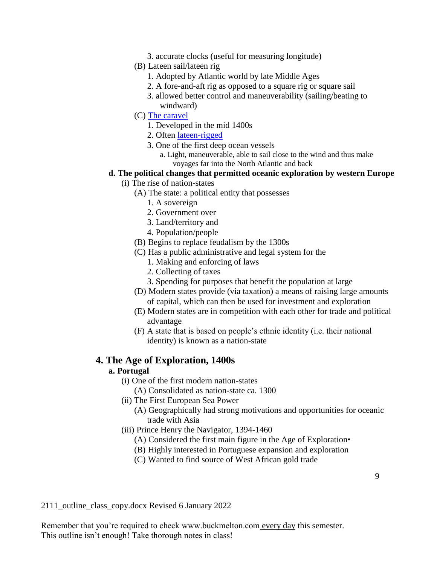- 3. accurate clocks (useful for measuring longitude)
- (B) Lateen sail/lateen rig
	- 1. Adopted by Atlantic world by late Middle Ages
	- 2. A fore-and-aft rig as opposed to a square rig or square sail
	- 3. allowed better control and maneuverability (sailing/beating to windward)
- (C) [The caravel](http://www.buckmelton.com/caravel_1.jpg)
	- 1. Developed in the mid 1400s
	- 2. Often [lateen-rigged](http://www.buckmelton.com/lateen_rigged_caravel.jpg)
	- 3. One of the first deep ocean vessels
		- a. Light, maneuverable, able to sail close to the wind and thus make voyages far into the North Atlantic and back

#### **d. The political changes that permitted oceanic exploration by western Europe**

- (i) The rise of nation-states
	- (A) The state: a political entity that possesses
		- 1. A sovereign
		- 2. Government over
		- 3. Land/territory and
		- 4. Population/people
	- (B) Begins to replace feudalism by the 1300s
	- (C) Has a public administrative and legal system for the
		- 1. Making and enforcing of laws
		- 2. Collecting of taxes
		- 3. Spending for purposes that benefit the population at large
	- (D) Modern states provide (via taxation) a means of raising large amounts of capital, which can then be used for investment and exploration
	- (E) Modern states are in competition with each other for trade and political advantage
	- (F) A state that is based on people's ethnic identity (i.e. their national identity) is known as a nation-state

#### **4. The Age of Exploration, 1400s**

#### **a. Portugal**

- (i) One of the first modern nation-states
	- (A) Consolidated as nation-state ca. 1300
- (ii) The First European Sea Power
	- (A) Geographically had strong motivations and opportunities for oceanic trade with Asia
- (iii) Prince Henry the Navigator, 1394-1460
	- (A) Considered the first main figure in the Age of Exploration•
	- (B) Highly interested in Portuguese expansion and exploration
	- (C) Wanted to find source of West African gold trade

2111\_outline\_class\_copy.docx Revised 6 January 2022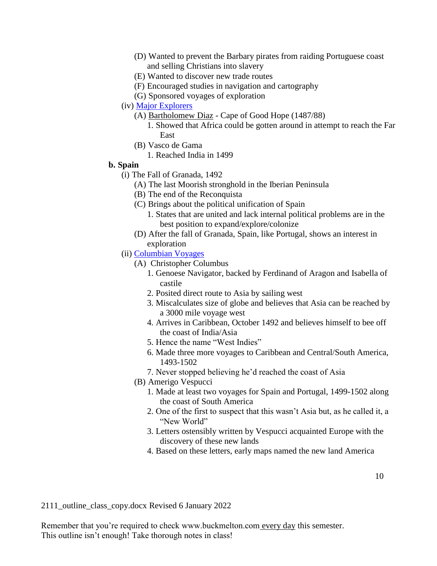- (D) Wanted to prevent the Barbary pirates from raiding Portuguese coast and selling Christians into slavery
- (E) Wanted to discover new trade routes
- (F) Encouraged studies in navigation and cartography
- (G) Sponsored voyages of exploration
- (iv) [Major Explorers](http://www.buckmelton.com/world_exploration_015.jpg)
	- (A) Bartholomew Diaz Cape of Good Hope (1487/88)
		- 1. Showed that Africa could be gotten around in attempt to reach the Far East
	- (B) Vasco de Gama
		- 1. Reached India in 1499

#### **b. Spain**

- (i) The Fall of Granada, 1492
	- (A) The last Moorish stronghold in the Iberian Peninsula
	- (B) The end of the Reconquista
	- (C) Brings about the political unification of Spain
		- 1. States that are united and lack internal political problems are in the best position to expand/explore/colonize
	- (D) After the fall of Granada, Spain, like Portugal, shows an interest in exploration
- (ii) [Columbian Voyages](http://www.buckmelton.com/age.jpg)
	- (A) Christopher Columbus
		- 1. Genoese Navigator, backed by Ferdinand of Aragon and Isabella of castile
		- 2. Posited direct route to Asia by sailing west
		- 3. Miscalculates size of globe and believes that Asia can be reached by a 3000 mile voyage west
		- 4. Arrives in Caribbean, October 1492 and believes himself to bee off the coast of India/Asia
		- 5. Hence the name "West Indies"
		- 6. Made three more voyages to Caribbean and Central/South America, 1493-1502
		- 7. Never stopped believing he'd reached the coast of Asia
	- (B) Amerigo Vespucci
		- 1. Made at least two voyages for Spain and Portugal, 1499-1502 along the coast of South America
		- 2. One of the first to suspect that this wasn't Asia but, as he called it, a "New World"
		- 3. Letters ostensibly written by Vespucci acquainted Europe with the discovery of these new lands
		- 4. Based on these letters, early maps named the new land America

2111\_outline\_class\_copy.docx Revised 6 January 2022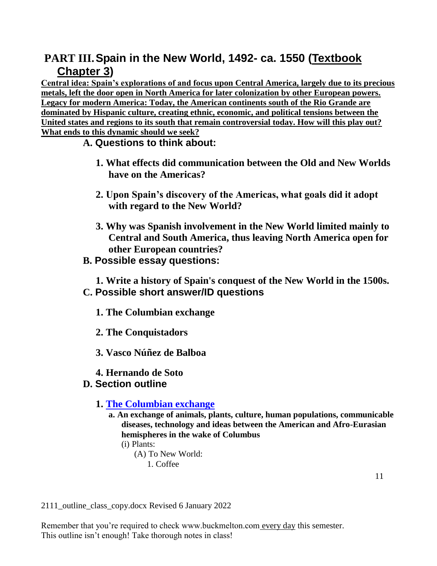# **PART III.Spain in the New World, 1492- ca. 1550 (Textbook Chapter 3)**

**Central idea: Spain's explorations of and focus upon Central America, largely due to its precious metals, left the door open in North America for later colonization by other European powers. Legacy for modern America: Today, the American continents south of the Rio Grande are dominated by Hispanic culture, creating ethnic, economic, and political tensions between the United states and regions to its south that remain controversial today. How will this play out? What ends to this dynamic should we seek?**

# **A. Questions to think about:**

- **1. What effects did communication between the Old and New Worlds have on the Americas?**
- **2. Upon Spain's discovery of the Americas, what goals did it adopt with regard to the New World?**
- **3. Why was Spanish involvement in the New World limited mainly to Central and South America, thus leaving North America open for other European countries?**
- **B. Possible essay questions:**

**1. Write a history of Spain's conquest of the New World in the 1500s. C. Possible short answer/ID questions**

- **1. The Columbian exchange**
- **2. The Conquistadors**
- **3. Vasco Núñez de Balboa**
- **4. Hernando de Soto**

# **D. Section outline**

# **1. [The Columbian exchange](http://www.buckmelton.com/columbian-exchange-map.png)**

**a. An exchange of animals, plants, culture, human populations, communicable diseases, technology and ideas between the American and Afro-Eurasian hemispheres in the wake of Columbus**

```
(i) Plants:
```

```
(A) To New World:
```
1. Coffee

2111\_outline\_class\_copy.docx Revised 6 January 2022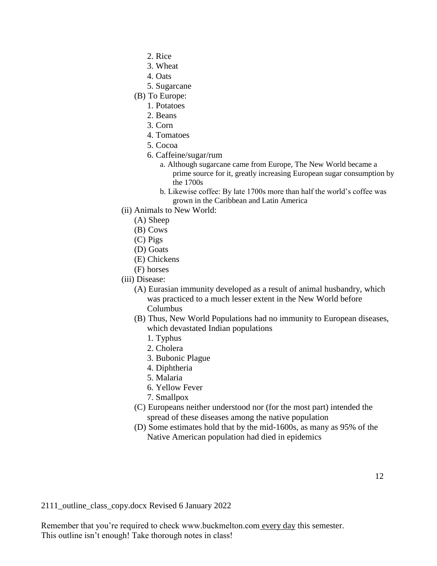- 2. Rice
- 3. Wheat
- 4. Oats
- 5. Sugarcane
- (B) To Europe:
	- 1. Potatoes
	- 2. Beans
	- 3. Corn
	- 4. Tomatoes
	- 5. Cocoa
	- 6. Caffeine/sugar/rum
		- a. Although sugarcane came from Europe, The New World became a prime source for it, greatly increasing European sugar consumption by the 1700s
		- b. Likewise coffee: By late 1700s more than half the world's coffee was grown in the Caribbean and Latin America
- (ii) Animals to New World:
	- (A) Sheep
	- (B) Cows
	- (C) Pigs
	- (D) Goats
	- (E) Chickens
	- (F) horses
- (iii) Disease:
	- (A) Eurasian immunity developed as a result of animal husbandry, which was practiced to a much lesser extent in the New World before Columbus
	- (B) Thus, New World Populations had no immunity to European diseases, which devastated Indian populations
		- 1. Typhus
		- 2. Cholera
		- 3. Bubonic Plague
		- 4. Diphtheria
		- 5. Malaria
		- 6. Yellow Fever
		- 7. Smallpox
	- (C) Europeans neither understood nor (for the most part) intended the spread of these diseases among the native population
	- (D) Some estimates hold that by the mid-1600s, as many as 95% of the Native American population had died in epidemics

2111\_outline\_class\_copy.docx Revised 6 January 2022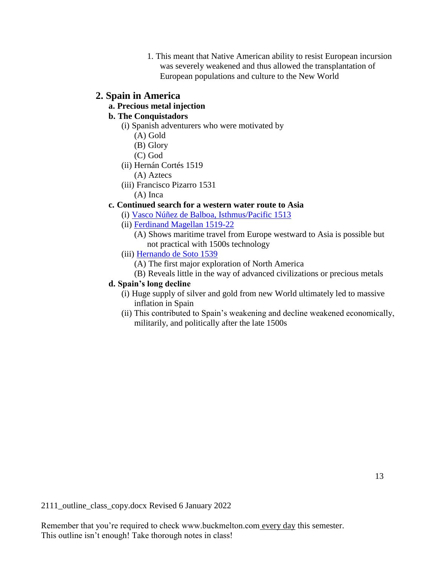1. This meant that Native American ability to resist European incursion was severely weakened and thus allowed the transplantation of European populations and culture to the New World

### **2. Spain in America**

## **a. Precious metal injection**

# **b. The Conquistadors**

(i) Spanish adventurers who were motivated by

- (A) Gold
- (B) Glory
- (C) God
- (ii) Hernán Cortés 1519
	- (A) Aztecs
- (iii) Francisco Pizarro 1531
	- (A) Inca

### **c. Continued search for a western water route to Asia**

- (i) [Vasco Núñez de Balboa, Isthmus/Pacific 1513](http://www.buckmelton.com/balboa_map.jpg)
- (ii) [Ferdinand Magellan 1519-22](http://www.buckmelton.com/magellan.pdf)
	- (A) Shows maritime travel from Europe westward to Asia is possible but not practical with 1500s technology
- (iii) [Hernando de Soto 1539](http://www.buckmelton.com/de_soto_map.jpg)
	- (A) The first major exploration of North America
	- (B) Reveals little in the way of advanced civilizations or precious metals

#### **d. Spain's long decline**

- (i) Huge supply of silver and gold from new World ultimately led to massive inflation in Spain
- (ii) This contributed to Spain's weakening and decline weakened economically, militarily, and politically after the late 1500s

2111\_outline\_class\_copy.docx Revised 6 January 2022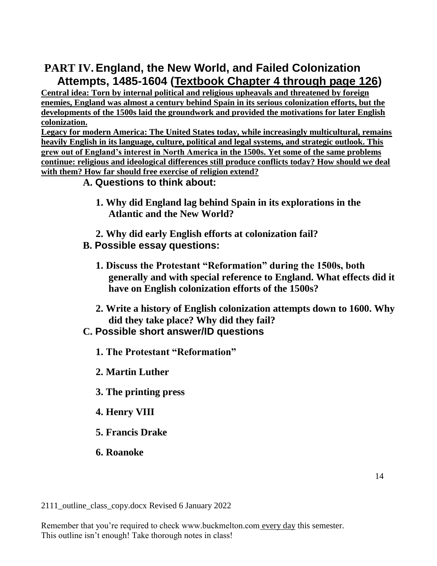# **PART IV. England, the New World, and Failed Colonization Attempts, 1485-1604 (Textbook Chapter 4 through page 126)**

**Central idea: Torn by internal political and religious upheavals and threatened by foreign enemies, England was almost a century behind Spain in its serious colonization efforts, but the developments of the 1500s laid the groundwork and provided the motivations for later English colonization.**

**Legacy for modern America: The United States today, while increasingly multicultural, remains heavily English in its language, culture, political and legal systems, and strategic outlook. This grew out of England's interest in North America in the 1500s. Yet some of the same problems continue: religious and ideological differences still produce conflicts today? How should we deal with them? How far should free exercise of religion extend?**

# **A. Questions to think about:**

- **1. Why did England lag behind Spain in its explorations in the Atlantic and the New World?**
- **2. Why did early English efforts at colonization fail?**
- **B. Possible essay questions:**
	- **1. Discuss the Protestant "Reformation" during the 1500s, both generally and with special reference to England. What effects did it have on English colonization efforts of the 1500s?**
	- **2. Write a history of English colonization attempts down to 1600. Why did they take place? Why did they fail?**
- **C. Possible short answer/ID questions**
	- **1. The Protestant "Reformation"**
	- **2. Martin Luther**
	- **3. The printing press**
	- **4. Henry VIII**
	- **5. Francis Drake**
	- **6. Roanoke**

2111\_outline\_class\_copy.docx Revised 6 January 2022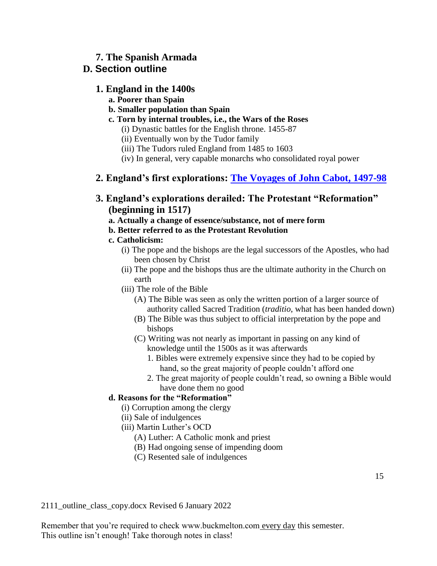# **7. The Spanish Armada**

# **D. Section outline**

### **1. England in the 1400s**

- **a. Poorer than Spain**
- **b. Smaller population than Spain**
- **c. Torn by internal troubles, i.e., the Wars of the Roses**
	- (i) Dynastic battles for the English throne. 1455-87
	- (ii) Eventually won by the Tudor family
	- (iii) The Tudors ruled England from 1485 to 1603
	- (iv) In general, very capable monarchs who consolidated royal power

# **2. England's first explorations: [The Voyages of John Cabot, 1497-98](http://www.buckmelton.com/world_exploration_015.jpg)**

**3. England's explorations derailed: The Protestant "Reformation" (beginning in 1517)**

### **a. Actually a change of essence/substance, not of mere form**

### **b. Better referred to as the Protestant Revolution**

### **c. Catholicism:**

- (i) The pope and the bishops are the legal successors of the Apostles, who had been chosen by Christ
- (ii) The pope and the bishops thus are the ultimate authority in the Church on earth
- (iii) The role of the Bible
	- (A) The Bible was seen as only the written portion of a larger source of authority called Sacred Tradition (*traditio*, what has been handed down)
	- (B) The Bible was thus subject to official interpretation by the pope and bishops
	- (C) Writing was not nearly as important in passing on any kind of knowledge until the 1500s as it was afterwards
		- 1. Bibles were extremely expensive since they had to be copied by hand, so the great majority of people couldn't afford one
		- 2. The great majority of people couldn't read, so owning a Bible would have done them no good

### **d. Reasons for the "Reformation"**

- (i) Corruption among the clergy
- (ii) Sale of indulgences
- (iii) Martin Luther's OCD
	- (A) Luther: A Catholic monk and priest
	- (B) Had ongoing sense of impending doom
	- (C) Resented sale of indulgences

2111\_outline\_class\_copy.docx Revised 6 January 2022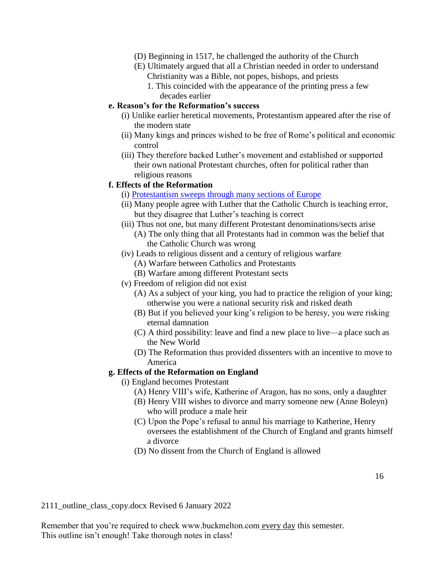- (D) Beginning in 1517, he challenged the authority of the Church
- (E) Ultimately argued that all a Christian needed in order to understand Christianity was a Bible, not popes, bishops, and priests
	- 1. This coincided with the appearance of the printing press a few decades earlier

#### **e. Reason's for the Reformation's success**

- (i) Unlike earlier heretical movements, Protestantism appeared after the rise of the modern state
- (ii) Many kings and princes wished to be free of Rome's political and economic control
- (iii) They therefore backed Luther's movement and established or supported their own national Protestant churches, often for political rather than religious reasons

#### **f. Effects of the Reformation**

- (i) [Protestantism sweeps through many sections of Europe](http://www.buckmelton.com/reformation.png)
- (ii) Many people agree with Luther that the Catholic Church is teaching error, but they disagree that Luther's teaching is correct
- (iii) Thus not one, but many different Protestant denominations/sects arise (A) The only thing that all Protestants had in common was the belief that
	- the Catholic Church was wrong
- (iv) Leads to religious dissent and a century of religious warfare
	- (A) Warfare between Catholics and Protestants
	- (B) Warfare among different Protestant sects
- (v) Freedom of religion did not exist
	- (A) As a subject of your king, you had to practice the religion of your king; otherwise you were a national security risk and risked death
	- (B) But if you believed your king's religion to be heresy, you were risking eternal damnation
	- (C) A third possibility: leave and find a new place to live—a place such as the New World
	- (D) The Reformation thus provided dissenters with an incentive to move to America

#### **g. Effects of the Reformation on England**

- (i) England becomes Protestant
	- (A) Henry VIII's wife, Katherine of Aragon, has no sons, only a daughter
	- (B) Henry VIII wishes to divorce and marry someone new (Anne Boleyn) who will produce a male heir
	- (C) Upon the Pope's refusal to annul his marriage to Katherine, Henry oversees the establishment of the Church of England and grants himself a divorce
	- (D) No dissent from the Church of England is allowed

2111\_outline\_class\_copy.docx Revised 6 January 2022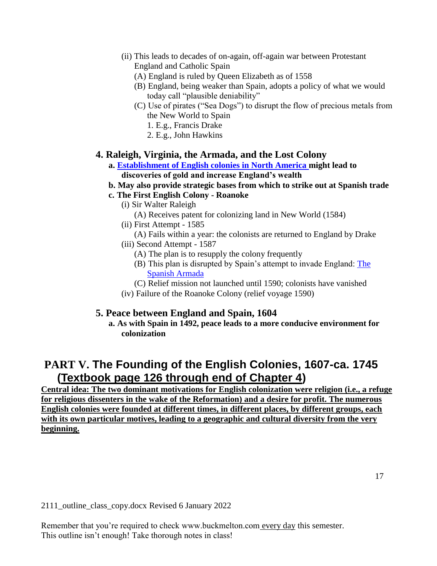(ii) This leads to decades of on-again, off-again war between Protestant

England and Catholic Spain

- (A) England is ruled by Queen Elizabeth as of 1558
- (B) England, being weaker than Spain, adopts a policy of what we would today call "plausible deniability"
- (C) Use of pirates ("Sea Dogs") to disrupt the flow of precious metals from the New World to Spain
	- 1. E.g., Francis Drake
	- 2. E.g., John Hawkins

### **4. Raleigh, Virginia, the Armada, and the Lost Colony**

- **a. [Establishment of English colonies in North America m](http://www.buckmelton.com/05Eurosettlement16th.jpg)ight lead to discoveries of gold and increase England's wealth**
- **b. May also provide strategic bases from which to strike out at Spanish trade**
- **c. The First English Colony - Roanoke**
	- (i) Sir Walter Raleigh
		- (A) Receives patent for colonizing land in New World (1584)
	- (ii) First Attempt 1585
	- (A) Fails within a year: the colonists are returned to England by Drake
	- (iii) Second Attempt 1587
		- (A) The plan is to resupply the colony frequently
		- (B) This plan is disrupted by Spain's attempt to invade England: [The](http://www.buckmelton.com/Routes_of_the_Spanish_Armada.gif)  [Spanish Armada](http://www.buckmelton.com/Routes_of_the_Spanish_Armada.gif)
		- (C) Relief mission not launched until 1590; colonists have vanished
	- (iv) Failure of the Roanoke Colony (relief voyage 1590)

### **5. Peace between England and Spain, 1604**

**a. As with Spain in 1492, peace leads to a more conducive environment for colonization**

# **PART V. The Founding of the English Colonies, 1607-ca. 1745 (Textbook page 126 through end of Chapter 4)**

**Central idea: The two dominant motivations for English colonization were religion (i.e., a refuge for religious dissenters in the wake of the Reformation) and a desire for profit. The numerous English colonies were founded at different times, in different places, by different groups, each with its own particular motives, leading to a geographic and cultural diversity from the very beginning.**

2111\_outline\_class\_copy.docx Revised 6 January 2022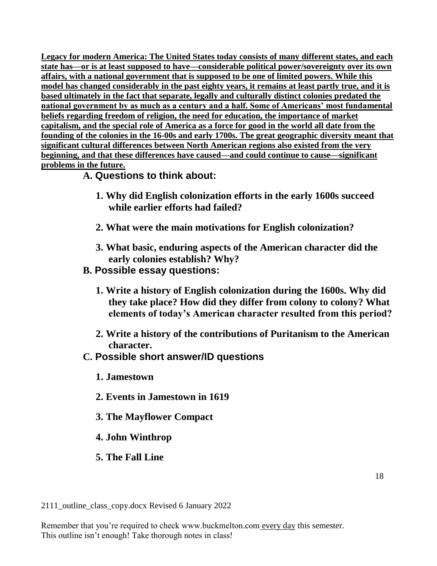**Legacy for modern America: The United States today consists of many different states, and each state has—or is at least supposed to have—considerable political power/sovereignty over its own affairs, with a national government that is supposed to be one of limited powers. While this model has changed considerably in the past eighty years, it remains at least partly true, and it is based ultimately in the fact that separate, legally and culturally distinct colonies predated the national government by as much as a century and a half. Some of Americans' most fundamental beliefs regarding freedom of religion, the need for education, the importance of market capitalism, and the special role of America as a force for good in the world all date from the founding of the colonies in the 16-00s and early 1700s. The great geographic diversity meant that significant cultural differences between North American regions also existed from the very beginning, and that these differences have caused—and could continue to cause—significant problems in the future.**

# **A. Questions to think about:**

- **1. Why did English colonization efforts in the early 1600s succeed while earlier efforts had failed?**
- **2. What were the main motivations for English colonization?**
- **3. What basic, enduring aspects of the American character did the early colonies establish? Why?**
- **B. Possible essay questions:**
	- **1. Write a history of English colonization during the 1600s. Why did they take place? How did they differ from colony to colony? What elements of today's American character resulted from this period?**
	- **2. Write a history of the contributions of Puritanism to the American character.**
- **C. Possible short answer/ID questions**
	- **1. Jamestown**
	- **2. Events in Jamestown in 1619**
	- **3. The Mayflower Compact**
	- **4. John Winthrop**
	- **5. The Fall Line**

2111\_outline\_class\_copy.docx Revised 6 January 2022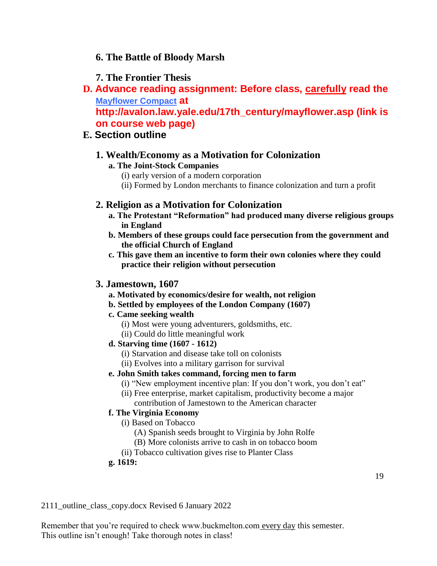## **6. The Battle of Bloody Marsh**

## **7. The Frontier Thesis**

**D. Advance reading assignment: Before class, carefully read the [Mayflower Compact](http://avalon.law.yale.edu/17th_century/mayflower.asp) at** 

**http://avalon.law.yale.edu/17th\_century/mayflower.asp (link is on course web page)** 

# **E. Section outline**

# **1. Wealth/Economy as a Motivation for Colonization**

### **a. The Joint-Stock Companies**

- (i) early version of a modern corporation
- (ii) Formed by London merchants to finance colonization and turn a profit

### **2. Religion as a Motivation for Colonization**

- **a. The Protestant "Reformation" had produced many diverse religious groups in England**
- **b. Members of these groups could face persecution from the government and the official Church of England**
- **c. This gave them an incentive to form their own colonies where they could practice their religion without persecution**

#### **3. Jamestown, 1607**

- **a. Motivated by economics/desire for wealth, not religion**
- **b. Settled by employees of the London Company (1607)**
- **c. Came seeking wealth**
	- (i) Most were young adventurers, goldsmiths, etc.
	- (ii) Could do little meaningful work

#### **d. Starving time (1607 - 1612)**

- (i) Starvation and disease take toll on colonists
- (ii) Evolves into a military garrison for survival

#### **e. John Smith takes command, forcing men to farm**

- (i) "New employment incentive plan: If you don't work, you don't eat"
- (ii) Free enterprise, market capitalism, productivity become a major contribution of Jamestown to the American character

#### **f. The Virginia Economy**

- (i) Based on Tobacco
	- (A) Spanish seeds brought to Virginia by John Rolfe
	- (B) More colonists arrive to cash in on tobacco boom
- (ii) Tobacco cultivation gives rise to Planter Class

#### **g. 1619:**

2111\_outline\_class\_copy.docx Revised 6 January 2022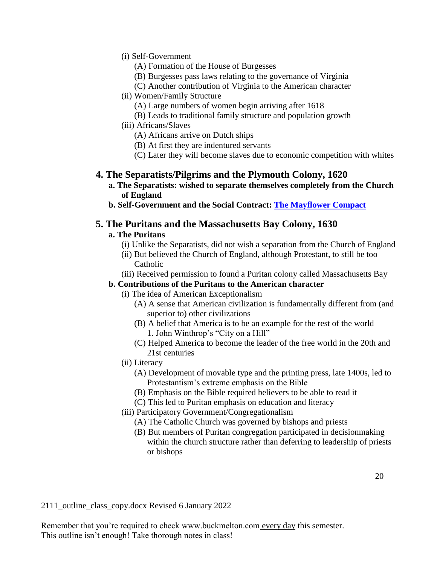- (i) Self-Government
	- (A) Formation of the House of Burgesses
	- (B) Burgesses pass laws relating to the governance of Virginia
	- (C) Another contribution of Virginia to the American character
- (ii) Women/Family Structure
	- (A) Large numbers of women begin arriving after 1618
	- (B) Leads to traditional family structure and population growth
- (iii) Africans/Slaves
	- (A) Africans arrive on Dutch ships
	- (B) At first they are indentured servants
	- (C) Later they will become slaves due to economic competition with whites

### **4. The Separatists/Pilgrims and the Plymouth Colony, 1620**

- **a. The Separatists: wished to separate themselves completely from the Church of England**
- **b. Self-Government and the Social Contract: [The Mayflower Compact](http://avalon.law.yale.edu/17th_century/mayflower.asp)**

#### **5. The Puritans and the Massachusetts Bay Colony, 1630**

#### **a. The Puritans**

- (i) Unlike the Separatists, did not wish a separation from the Church of England
- (ii) But believed the Church of England, although Protestant, to still be too Catholic
- (iii) Received permission to found a Puritan colony called Massachusetts Bay

#### **b. Contributions of the Puritans to the American character**

- (i) The idea of American Exceptionalism
	- (A) A sense that American civilization is fundamentally different from (and superior to) other civilizations
	- (B) A belief that America is to be an example for the rest of the world 1. John Winthrop's "City on a Hill"
	- (C) Helped America to become the leader of the free world in the 20th and 21st centuries
- (ii) Literacy
	- (A) Development of movable type and the printing press, late 1400s, led to Protestantism's extreme emphasis on the Bible
	- (B) Emphasis on the Bible required believers to be able to read it
	- (C) This led to Puritan emphasis on education and literacy
- (iii) Participatory Government/Congregationalism
	- (A) The Catholic Church was governed by bishops and priests
	- (B) But members of Puritan congregation participated in decisionmaking within the church structure rather than deferring to leadership of priests or bishops

2111\_outline\_class\_copy.docx Revised 6 January 2022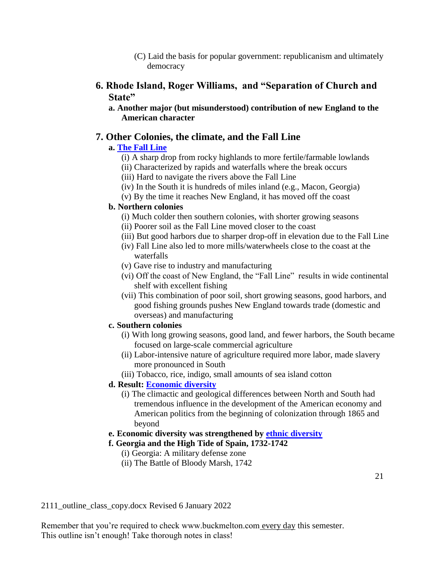(C) Laid the basis for popular government: republicanism and ultimately democracy

## **6. Rhode Island, Roger Williams, and "Separation of Church and State"**

**a. Another major (but misunderstood) contribution of new England to the American character**

### **7. Other Colonies, the climate, and the Fall Line**

### **a. [The Fall Line](http://www.buckmelton.com/fall_line.jpg)**

- (i) A sharp drop from rocky highlands to more fertile/farmable lowlands
- (ii) Characterized by rapids and waterfalls where the break occurs
- (iii) Hard to navigate the rivers above the Fall Line
- (iv) In the South it is hundreds of miles inland (e.g., Macon, Georgia)
- (v) By the time it reaches New England, it has moved off the coast

#### **b. Northern colonies**

- (i) Much colder then southern colonies, with shorter growing seasons
- (ii) Poorer soil as the Fall Line moved closer to the coast
- (iii) But good harbors due to sharper drop-off in elevation due to the Fall Line
- (iv) Fall Line also led to more mills/waterwheels close to the coast at the waterfalls
- (v) Gave rise to industry and manufacturing
- (vi) Off the coast of New England, the "Fall Line" results in wide continental shelf with excellent fishing
- (vii) This combination of poor soil, short growing seasons, good harbors, and good fishing grounds pushes New England towards trade (domestic and overseas) and manufacturing

#### **c. Southern colonies**

- (i) With long growing seasons, good land, and fewer harbors, the South became focused on large-scale commercial agriculture
- (ii) Labor-intensive nature of agriculture required more labor, made slavery more pronounced in South
- (iii) Tobacco, rice, indigo, small amounts of sea island cotton

#### **d. Result: [Economic diversity](http://www.buckmelton.com/colonial_products_and_trade.jpg)**

- (i) The climactic and geological differences between North and South had tremendous influence in the development of the American economy and American politics from the beginning of colonization through 1865 and beyond
- **e. Economic diversity was strengthened by [ethnic diversity](http://www.buckmelton.com/2Ethnic%20settlement1760.jpg)**

#### **f. Georgia and the High Tide of Spain, 1732-1742**

- (i) Georgia: A military defense zone
- (ii) The Battle of Bloody Marsh, 1742

2111\_outline\_class\_copy.docx Revised 6 January 2022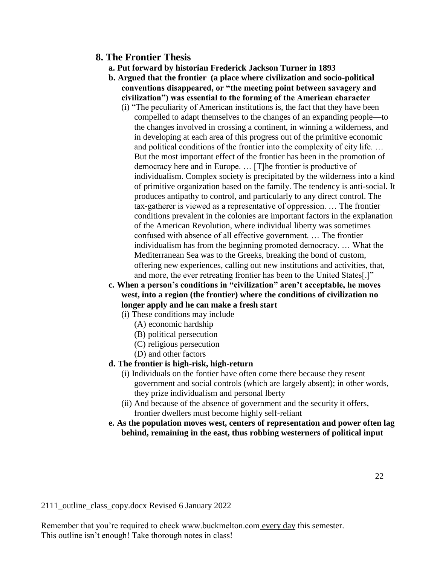### **8. The Frontier Thesis**

- **a. Put forward by historian Frederick Jackson Turner in 1893**
- **b. Argued that the frontier (a place where civilization and socio-political conventions disappeared, or "the meeting point between savagery and civilization") was essential to the forming of the American character**
	- (i) "The peculiarity of American institutions is, the fact that they have been compelled to adapt themselves to the changes of an expanding people—to the changes involved in crossing a continent, in winning a wilderness, and in developing at each area of this progress out of the primitive economic and political conditions of the frontier into the complexity of city life. … But the most important effect of the frontier has been in the promotion of democracy here and in Europe. … [T]he frontier is productive of individualism. Complex society is precipitated by the wilderness into a kind of primitive organization based on the family. The tendency is anti-social. It produces antipathy to control, and particularly to any direct control. The tax-gatherer is viewed as a representative of oppression. … The frontier conditions prevalent in the colonies are important factors in the explanation of the American Revolution, where individual liberty was sometimes confused with absence of all effective government. … The frontier individualism has from the beginning promoted democracy. … What the Mediterranean Sea was to the Greeks, breaking the bond of custom, offering new experiences, calling out new institutions and activities, that, and more, the ever retreating frontier has been to the United States[.]"
- **c. When a person's conditions in "civilization" aren't acceptable, he moves west, into a region (the frontier) where the conditions of civilization no longer apply and he can make a fresh start**
	- (i) These conditions may include
		- (A) economic hardship
		- (B) political persecution
		- (C) religious persecution
		- (D) and other factors

#### **d. The frontier is high-risk, high-return**

- (i) Individuals on the fontier have often come there because they resent government and social controls (which are largely absent); in other words, they prize individualism and personal lberty
- (ii) And because of the absence of government and the security it offers, frontier dwellers must become highly self-reliant
- **e. As the population moves west, centers of representation and power often lag behind, remaining in the east, thus robbing westerners of political input**

2111\_outline\_class\_copy.docx Revised 6 January 2022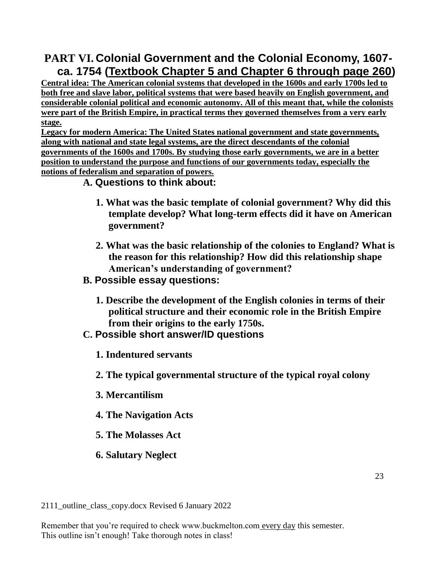# **PART VI. Colonial Government and the Colonial Economy, 1607 ca. 1754 (Textbook Chapter 5 and Chapter 6 through page 260)**

**Central idea: The American colonial systems that developed in the 1600s and early 1700s led to both free and slave labor, political systems that were based heavily on English government, and considerable colonial political and economic autonomy. All of this meant that, while the colonists were part of the British Empire, in practical terms they governed themselves from a very early stage.**

**Legacy for modern America: The United States national government and state governments, along with national and state legal systems, are the direct descendants of the colonial governments of the 1600s and 1700s. By studying those early governments, we are in a better position to understand the purpose and functions of our governments today, especially the notions of federalism and separation of powers.**

# **A. Questions to think about:**

- **1. What was the basic template of colonial government? Why did this template develop? What long-term effects did it have on American government?**
- **2. What was the basic relationship of the colonies to England? What is the reason for this relationship? How did this relationship shape American's understanding of government?**
- **B. Possible essay questions:**
	- **1. Describe the development of the English colonies in terms of their political structure and their economic role in the British Empire from their origins to the early 1750s.**
- **C. Possible short answer/ID questions**
	- **1. Indentured servants**
	- **2. The typical governmental structure of the typical royal colony**
	- **3. Mercantilism**
	- **4. The Navigation Acts**
	- **5. The Molasses Act**
	- **6. Salutary Neglect**

2111\_outline\_class\_copy.docx Revised 6 January 2022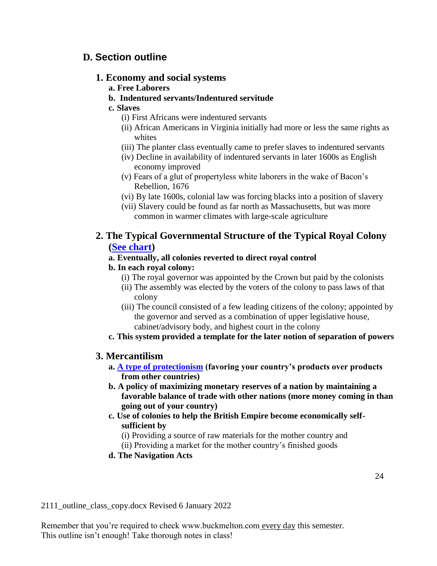# **D. Section outline**

### **1. Economy and social systems**

- **a. Free Laborers**
- **b. Indentured servants/Indentured servitude**
- **c. Slaves**
	- (i) First Africans were indentured servants
	- (ii) African Americans in Virginia initially had more or less the same rights as whites
	- (iii) The planter class eventually came to prefer slaves to indentured servants
	- (iv) Decline in availability of indentured servants in later 1600s as English economy improved
	- (v) Fears of a glut of propertyless white laborers in the wake of Bacon's Rebellion, 1676
	- (vi) By late 1600s, colonial law was forcing blacks into a position of slavery
	- (vii) Slavery could be found as far north as Massachusetts, but was more common in warmer climates with large-scale agriculture

# **2. The Typical Governmental Structure of the Typical Royal Colony [\(See chart\)](http://www.buckmelton.com/Colonial_Government.jpg)**

### **a. Eventually, all colonies reverted to direct royal control**

## **b. In each royal colony:**

- (i) The royal governor was appointed by the Crown but paid by the colonists
- (ii) The assembly was elected by the voters of the colony to pass laws of that colony
- (iii) The council consisted of a few leading citizens of the colony; appointed by the governor and served as a combination of upper legislative house, cabinet/advisory body, and highest court in the colony
- **c. This system provided a template for the later notion of separation of powers**

# **3. Mercantilism**

- **a. [A type of protectionism](http://www.buckmelton.com/protectionism.pdf) (favoring your country's products over products from other countries)**
- **b. A policy of maximizing monetary reserves of a nation by maintaining a favorable balance of trade with other nations (more money coming in than going out of your country)**
- **c. Use of colonies to help the British Empire become economically selfsufficient by**
	- (i) Providing a source of raw materials for the mother country and
	- (ii) Providing a market for the mother country's finished goods
- **d. The Navigation Acts**

2111\_outline\_class\_copy.docx Revised 6 January 2022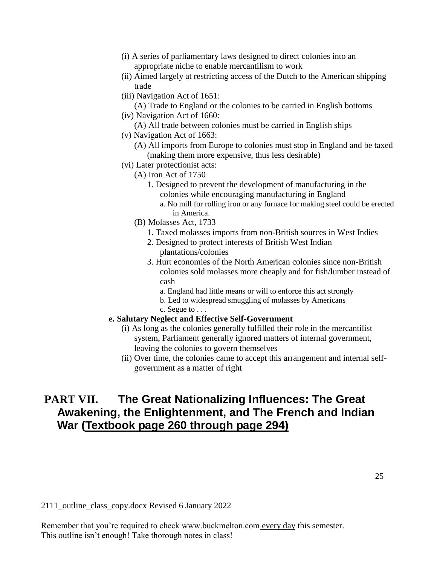- (i) A series of parliamentary laws designed to direct colonies into an appropriate niche to enable mercantilism to work
- (ii) Aimed largely at restricting access of the Dutch to the American shipping trade
- (iii) Navigation Act of 1651:
- (A) Trade to England or the colonies to be carried in English bottoms (iv) Navigation Act of 1660:
	- (A) All trade between colonies must be carried in English ships
- (v) Navigation Act of 1663:
	- (A) All imports from Europe to colonies must stop in England and be taxed (making them more expensive, thus less desirable)
- (vi) Later protectionist acts:
	- (A) Iron Act of 1750
		- 1. Designed to prevent the development of manufacturing in the colonies while encouraging manufacturing in England
			- a. No mill for rolling iron or any furnace for making steel could be erected in America.
	- (B) Molasses Act, 1733
		- 1. Taxed molasses imports from non-British sources in West Indies
		- 2. Designed to protect interests of British West Indian plantations/colonies
		- 3. Hurt economies of the North American colonies since non-British colonies sold molasses more cheaply and for fish/lumber instead of cash
			- a. England had little means or will to enforce this act strongly
			- b. Led to widespread smuggling of molasses by Americans c. Segue to . . .

#### **e. Salutary Neglect and Effective Self-Government**

- (i) As long as the colonies generally fulfilled their role in the mercantilist system, Parliament generally ignored matters of internal government, leaving the colonies to govern themselves
- (ii) Over time, the colonies came to accept this arrangement and internal selfgovernment as a matter of right

# **PART VII. The Great Nationalizing Influences: The Great Awakening, the Enlightenment, and The French and Indian War (Textbook page 260 through page 294)**

2111\_outline\_class\_copy.docx Revised 6 January 2022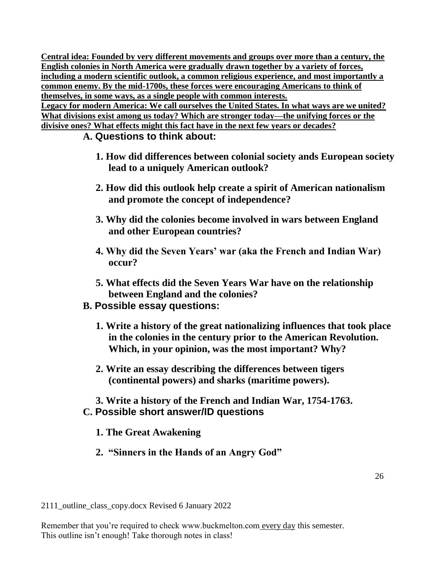**Central idea: Founded by very different movements and groups over more than a century, the English colonies in North America were gradually drawn together by a variety of forces, including a modern scientific outlook, a common religious experience, and most importantly a common enemy. By the mid-1700s, these forces were encouraging Americans to think of themselves, in some ways, as a single people with common interests. Legacy for modern America: We call ourselves the United States. In what ways are we united?** 

**What divisions exist among us today? Which are stronger today—the unifying forces or the divisive ones? What effects might this fact have in the next few years or decades?**

# **A. Questions to think about:**

- **1. How did differences between colonial society ands European society lead to a uniquely American outlook?**
- **2. How did this outlook help create a spirit of American nationalism and promote the concept of independence?**
- **3. Why did the colonies become involved in wars between England and other European countries?**
- **4. Why did the Seven Years' war (aka the French and Indian War) occur?**
- **5. What effects did the Seven Years War have on the relationship between England and the colonies?**

# **B. Possible essay questions:**

- **1. Write a history of the great nationalizing influences that took place in the colonies in the century prior to the American Revolution. Which, in your opinion, was the most important? Why?**
- **2. Write an essay describing the differences between tigers (continental powers) and sharks (maritime powers).**
- **3. Write a history of the French and Indian War, 1754-1763. C. Possible short answer/ID questions**
	- **1. The Great Awakening**
	- **2. "Sinners in the Hands of an Angry God"**

2111\_outline\_class\_copy.docx Revised 6 January 2022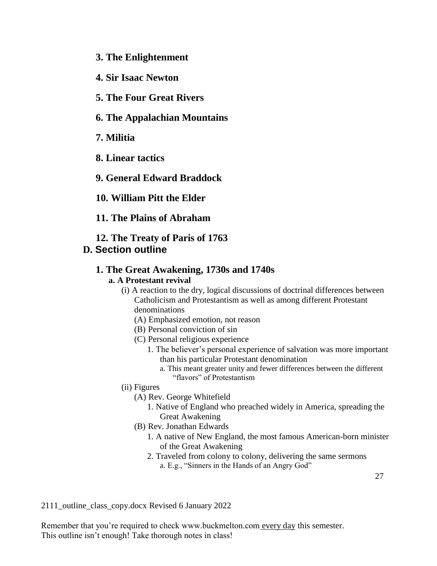- **3. The Enlightenment**
- **4. Sir Isaac Newton**
- **5. The Four Great Rivers**
- **6. The Appalachian Mountains**
- **7. Militia**
- **8. Linear tactics**
- **9. General Edward Braddock**
- **10. William Pitt the Elder**
- **11. The Plains of Abraham**
- **12. The Treaty of Paris of 1763**
- **D. Section outline**

#### **1. The Great Awakening, 1730s and 1740s a. A Protestant revival**

- (i) A reaction to the dry, logical discussions of doctrinal differences between Catholicism and Protestantism as well as among different Protestant denominations
	- (A) Emphasized emotion, not reason
	- (B) Personal conviction of sin
	- (C) Personal religious experience
		- 1. The believer's personal experience of salvation was more important than his particular Protestant denomination
			- a. This meant greater unity and fewer differences between the different "flavors" of Protestantism
- (ii) Figures
	- (A) Rev. George Whitefield
		- 1. Native of England who preached widely in America, spreading the Great Awakening
	- (B) Rev. Jonathan Edwards
		- 1. A native of New England, the most famous American-born minister of the Great Awakening
		- 2. Traveled from colony to colony, delivering the same sermons a. E.g., "Sinners in the Hands of an Angry God"

2111\_outline\_class\_copy.docx Revised 6 January 2022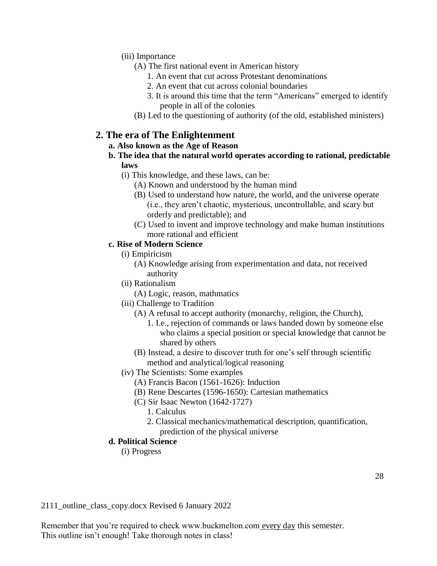(iii) Importance

- (A) The first national event in American history
	- 1. An event that cut across Protestant denominations
	- 2. An event that cut across colonial boundaries
	- 3. It is around this time that the term "Americans" emerged to identify people in all of the colonies
- (B) Led to the questioning of authority (of the old, established ministers)

## **2. The era of The Enlightenment**

#### **a. Also known as the Age of Reason**

- **b. The idea that the natural world operates according to rational, predictable laws**
	- (i) This knowledge, and these laws, can be:
		- (A) Known and understood by the human mind
		- (B) Used to understand how nature, the world, and the universe operate (i.e., they aren't chaotic, mysterious, uncontrollable, and scary but orderly and predictable); and
		- (C) Used to invent and improve technology and make human institutions more rational and efficient

#### **c. Rise of Modern Science**

- (i) Empiricism
	- (A) Knowledge arising from experimentation and data, not received authority
- (ii) Rationalism
- (A) Logic, reason, mathmatics
- (iii) Challenge to Tradition
	- (A) A refusal to accept authority (monarchy, religion, the Church),
		- 1. I.e., rejection of commands or laws handed down by someone else who claims a special position or special knowledge that cannot be shared by others
	- (B) Instead, a desire to discover truth for one's self through scientific method and analytical/logical reasoning
- (iv) The Scientists: Some examples
	- (A) Francis Bacon (1561-1626): Induction
	- (B) Rene Descartes (1596-1650): Cartesian mathematics
	- (C) Sir Isaac Newton (1642-1727)
		- 1. Calculus
		- 2. Classical mechanics/mathematical description, quantification, prediction of the physical universe

#### **d. Political Science**

(i) Progress

2111\_outline\_class\_copy.docx Revised 6 January 2022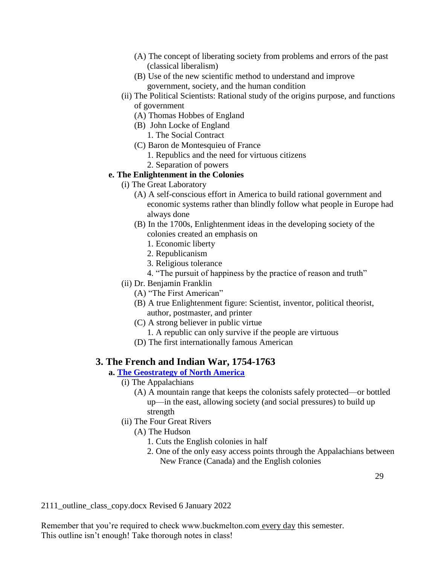- (A) The concept of liberating society from problems and errors of the past (classical liberalism)
- (B) Use of the new scientific method to understand and improve government, society, and the human condition
- (ii) The Political Scientists: Rational study of the origins purpose, and functions of government
	- (A) Thomas Hobbes of England
	- (B) John Locke of England
		- 1. The Social Contract
	- (C) Baron de Montesquieu of France
		- 1. Republics and the need for virtuous citizens
		- 2. Separation of powers

#### **e. The Enlightenment in the Colonies**

- (i) The Great Laboratory
	- (A) A self-conscious effort in America to build rational government and economic systems rather than blindly follow what people in Europe had always done
	- (B) In the 1700s, Enlightenment ideas in the developing society of the colonies created an emphasis on
		- 1. Economic liberty
		- 2. Republicanism
		- 3. Religious tolerance
		- 4. "The pursuit of happiness by the practice of reason and truth"
- (ii) Dr. Benjamin Franklin
	- (A) "The First American"
	- (B) A true Enlightenment figure: Scientist, inventor, political theorist, author, postmaster, and printer
	- (C) A strong believer in public virtue
		- 1. A republic can only survive if the people are virtuous
	- (D) The first internationally famous American

### **3. The French and Indian War, 1754-1763**

- **a. [The Geostrategy of North America](http://www.buckmelton.com/Eastern_North_America.jpg)**
	- (i) The Appalachians
		- (A) A mountain range that keeps the colonists safely protected—or bottled up—in the east, allowing society (and social pressures) to build up strength
	- (ii) The Four Great Rivers
		- (A) The Hudson
			- 1. Cuts the English colonies in half
			- 2. One of the only easy access points through the Appalachians between New France (Canada) and the English colonies

2111\_outline\_class\_copy.docx Revised 6 January 2022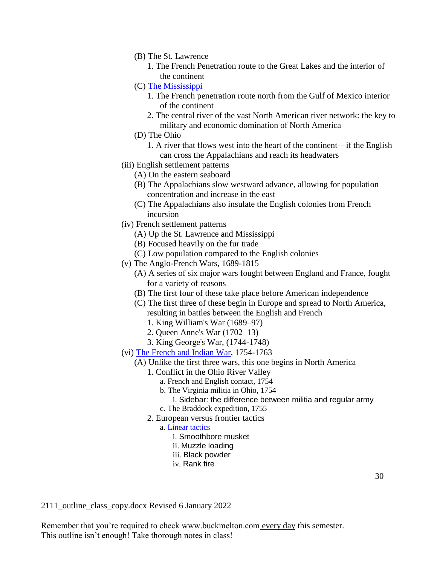- (B) The St. Lawrence
	- 1. The French Penetration route to the Great Lakes and the interior of the continent
- (C) [The Mississippi](http://www.buckmelton.com/mississippi_river_valley.jpg)
	- 1. The French penetration route north from the Gulf of Mexico interior of the continent
	- 2. The central river of the vast North American river network: the key to military and economic domination of North America
- (D) The Ohio
	- 1. A river that flows west into the heart of the continent—if the English can cross the Appalachians and reach its headwaters
- (iii) English settlement patterns
	- (A) On the eastern seaboard
	- (B) The Appalachians slow westward advance, allowing for population concentration and increase in the east
	- (C) The Appalachians also insulate the English colonies from French incursion
- (iv) French settlement patterns
	- (A) Up the St. Lawrence and Mississippi
	- (B) Focused heavily on the fur trade
	- (C) Low population compared to the English colonies
- (v) The Anglo-French Wars, 1689-1815
	- (A) A series of six major wars fought between England and France, fought for a variety of reasons
	- (B) The first four of these take place before American independence
	- (C) The first three of these begin in Europe and spread to North America, resulting in battles between the English and French
		- 1. King William's War (1689–97)
		- 2. Queen Anne's War (1702–13)
		- 3. King George's War, (1744-1748)
- (vi) [The French and Indian War,](http://www.buckmelton.com/French_and_Indian_War.png) 1754-1763
	- (A) Unlike the first three wars, this one begins in North America
		- 1. Conflict in the Ohio River Valley
			- a. French and English contact, 1754
			- b. The Virginia militia in Ohio, 1754
				- i. Sidebar: the difference between militia and regular army
			- c. The Braddock expedition, 1755
		- 2. European versus frontier tactics
			- a. [Linear tactics](https://www.youtube.com/watch?v=d9IpI1C25Jc&list=PLBeAtDe5MEHrDjNY7T1Jm3I8lC95cPjF0&index=4)
				- i. Smoothbore musket
				- ii. Muzzle loading
				- iii. Black powder
				- iv. Rank fire

2111\_outline\_class\_copy.docx Revised 6 January 2022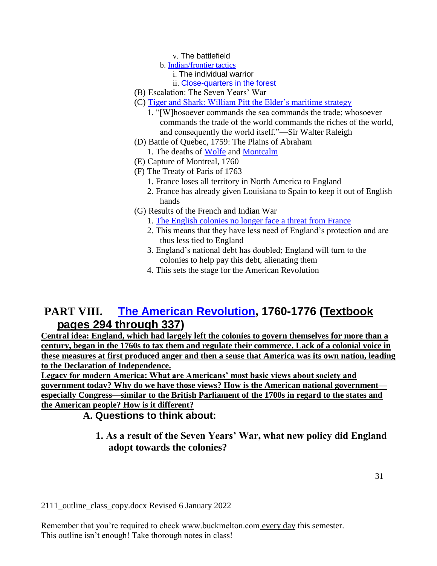v. The battlefield

- b. [Indian/frontier tactics](https://www.youtube.com/watch?v=sn0Hgnni4KI)
	- i. The individual warrior
	- ii. [Close-quarters in the forest](https://www.youtube.com/watch?v=oyrPzy6y_IA)
- (B) Escalation: The Seven Years' War
- (C) [Tiger and Shark: William Pitt the Elder's maritime strategy](http://www.buckmelton.com/tiger_versus_shark.pdf)
	- 1. "[W]hosoever commands the sea commands the trade; whosoever commands the trade of the world commands the riches of the world, and consequently the world itself."—Sir Walter Raleigh
- (D) Battle of Quebec, 1759: The Plains of Abraham
	- 1. The deaths of [Wolfe](http://www.buckmelton.com/The_Death_of_General_Wolfe_B.West,1770.jpg) and [Montcalm](http://www.buckmelton.com/Sketch_for_The_Death_of_Montcalm.jpg)
- (E) Capture of Montreal, 1760
- (F) The Treaty of Paris of 1763
	- 1. France loses all territory in North America to England
	- 2. France has already given Louisiana to Spain to keep it out of English hands
- (G) Results of the French and Indian War
	- 1. [The English colonies no longer face a threat from France](http://www.buckmelton.com/north_america_1763.jpg)
	- 2. This means that they have less need of England's protection and are thus less tied to England
	- 3. England's national debt has doubled; England will turn to the colonies to help pay this debt, alienating them
	- 4. This sets the stage for the American Revolution

# **PART VIII. [The American Revolution,](http://www.buckmelton.com/north_america_1763_1775.png) 1760-1776 (Textbook pages 294 through 337)**

**Central idea: England, which had largely left the colonies to govern themselves for more than a century, began in the 1760s to tax them and regulate their commerce. Lack of a colonial voice in these measures at first produced anger and then a sense that America was its own nation, leading to the Declaration of Independence.**

**Legacy for modern America: What are Americans' most basic views about society and government today? Why do we have those views? How is the American national government especially Congress—similar to the British Parliament of the 1700s in regard to the states and the American people? How is it different?**

**A. Questions to think about:**

# **1. As a result of the Seven Years' War, what new policy did England adopt towards the colonies?**

2111\_outline\_class\_copy.docx Revised 6 January 2022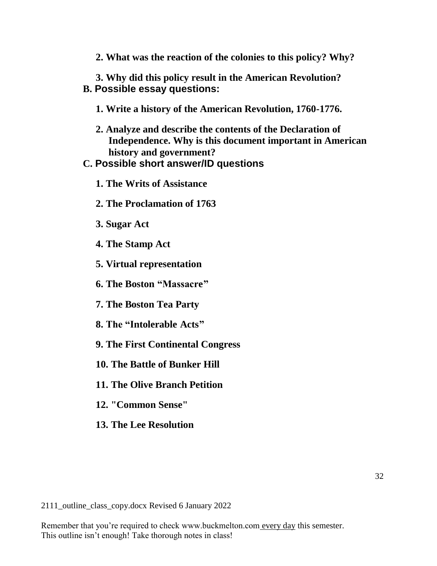**2. What was the reaction of the colonies to this policy? Why?**

**3. Why did this policy result in the American Revolution? B. Possible essay questions:** 

- **1. Write a history of the American Revolution, 1760-1776.**
- **2. Analyze and describe the contents of the Declaration of Independence. Why is this document important in American history and government?**
- **C. Possible short answer/ID questions**
	- **1. The Writs of Assistance**
	- **2. The Proclamation of 1763**
	- **3. Sugar Act**
	- **4. The Stamp Act**
	- **5. Virtual representation**
	- **6. The Boston "Massacre"**
	- **7. The Boston Tea Party**
	- **8. The "Intolerable Acts"**
	- **9. The First Continental Congress**
	- **10. The Battle of Bunker Hill**
	- **11. The Olive Branch Petition**
	- **12. "Common Sense"**
	- **13. The Lee Resolution**

2111\_outline\_class\_copy.docx Revised 6 January 2022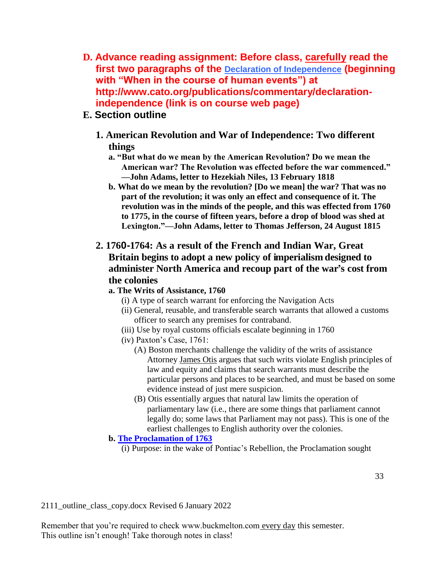**D. Advance reading assignment: Before class, carefully read the first two paragraphs of the [Declaration of Independence](http://www.cato.org/publications/commentary/declaration-independence) (beginning with "When in the course of human events") at http://www.cato.org/publications/commentary/declarationindependence (link is on course web page)**

# **E. Section outline**

- **1. American Revolution and War of Independence: Two different things**
	- **a. "But what do we mean by the American Revolution? Do we mean the American war? The Revolution was effected before the war commenced." —John Adams, letter to Hezekiah Niles, 13 February 1818**
	- **b. What do we mean by the revolution? [Do we mean] the war? That was no part of the revolution; it was only an effect and consequence of it. The revolution was in the minds of the people, and this was effected from 1760 to 1775, in the course of fifteen years, before a drop of blood was shed at Lexington."—John Adams, letter to Thomas Jefferson, 24 August 1815**

# **2. 1760-1764: As a result of the French and Indian War, Great Britain begins to adopt a new policy of imperialism designed to administer North America and recoup part of the war's cost from the colonies**

### **a. The Writs of Assistance, 1760**

- (i) A type of search warrant for enforcing the Navigation Acts
- (ii) General, reusable, and transferable search warrants that allowed a customs officer to search any premises for contraband.
- (iii) Use by royal customs officials escalate beginning in 1760
- (iv) Paxton's Case, 1761:
	- (A) Boston merchants challenge the validity of the writs of assistance Attorney James Otis argues that such writs violate English principles of law and equity and claims that search warrants must describe the particular persons and places to be searched, and must be based on some evidence instead of just mere suspicion.
	- (B) Otis essentially argues that natural law limits the operation of parliamentary law (i.e., there are some things that parliament cannot legally do; some laws that Parliament may not pass). This is one of the earliest challenges to English authority over the colonies.

### **b. [The Proclamation of 1763](http://www.buckmelton.com/north_america_1763_1775.png)**

(i) Purpose: in the wake of Pontiac's Rebellion, the Proclamation sought

2111\_outline\_class\_copy.docx Revised 6 January 2022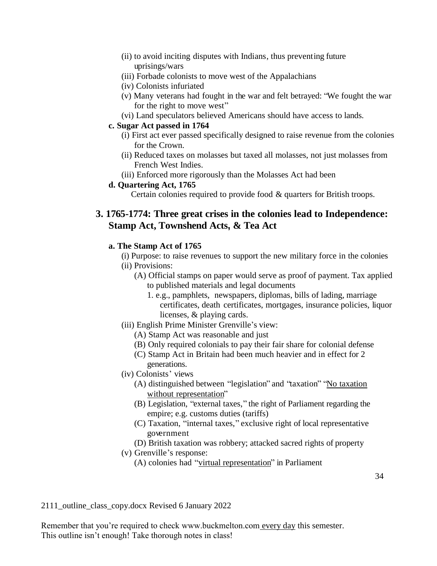- (ii) to avoid inciting disputes with Indians, thus preventing future uprisings/wars
- (iii) Forbade colonists to move west of the Appalachians
- (iv) Colonists infuriated
- (v) Many veterans had fought in the war and felt betrayed: "We fought the war for the right to move west"
- (vi) Land speculators believed Americans should have access to lands.

#### **c. Sugar Act passed in 1764**

- (i) First act ever passed specifically designed to raise revenue from the colonies for the Crown.
- (ii) Reduced taxes on molasses but taxed all molasses, not just molasses from French West Indies.
- (iii) Enforced more rigorously than the Molasses Act had been

#### **d. Quartering Act, 1765**

Certain colonies required to provide food & quarters for British troops.

## **3. 1765-1774: Three great crises in the colonies lead to Independence: Stamp Act, Townshend Acts, & Tea Act**

#### **a. The Stamp Act of 1765**

- (i) Purpose: to raise revenues to support the new military force in the colonies
- (ii) Provisions:
	- (A) Official stamps on paper would serve as proof of payment. Tax applied to published materials and legal documents
		- 1. e.g., pamphlets, newspapers, diplomas, bills of lading, marriage certificates, death certificates, mortgages, insurance policies, liquor licenses, & playing cards.
- (iii) English Prime Minister Grenville's view:
	- (A) Stamp Act was reasonable and just
	- (B) Only required colonials to pay their fair share for colonial defense
	- (C) Stamp Act in Britain had been much heavier and in effect for 2 generations.
- (iv) Colonists' views
	- (A) distinguished between "legislation" and "taxation" "No taxation" without representation"
	- (B) Legislation, "external taxes," the right of Parliament regarding the empire; e.g. customs duties (tariffs)
	- (C) Taxation, "internal taxes," exclusive right of local representative government
	- (D) British taxation was robbery; attacked sacred rights of property
- (v) Grenville's response:
	- (A) colonies had "virtual representation" in Parliament

2111\_outline\_class\_copy.docx Revised 6 January 2022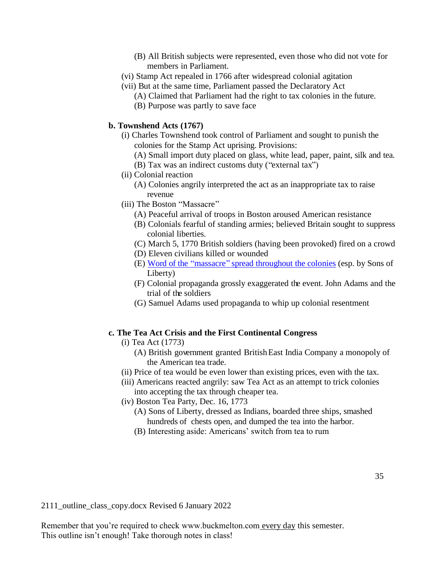- (B) All British subjects were represented, even those who did not vote for members in Parliament.
- (vi) Stamp Act repealed in 1766 after widespread colonial agitation
- (vii) But at the same time, Parliament passed the Declaratory Act
	- (A) Claimed that Parliament had the right to tax colonies in the future.
	- (B) Purpose was partly to save face

#### **b. Townshend Acts (1767)**

- (i) Charles Townshend took control of Parliament and sought to punish the colonies for the Stamp Act uprising. Provisions:
	- (A) Small import duty placed on glass, white lead, paper, paint, silk and tea.
	- (B) Tax was an indirect customs duty ("external tax")
- (ii) Colonial reaction
	- (A) Colonies angrily interpreted the act as an inappropriate tax to raise revenue
- (iii) The Boston "Massacre"
	- (A) Peaceful arrival of troops in Boston aroused American resistance
	- (B) Colonials fearful of standing armies; believed Britain sought to suppress colonial liberties.
	- (C) March 5, 1770 British soldiers (having been provoked) fired on a crowd
	- (D) Eleven civilians killed or wounded
	- (E) Word of the "massacre" spread throughout [the colonies](http://www.buckmelton.com/boston-massacre-2.jpg) (esp. by Sons of Liberty)
	- (F) Colonial propaganda grossly exaggerated the event. John Adams and the trial of the soldiers
	- (G) Samuel Adams used propaganda to whip up colonial resentment

#### **c. The Tea Act Crisis and the First Continental Congress**

- (i) Tea Act (1773)
	- (A) British government granted BritishEast India Company a monopoly of the American tea trade.
- (ii) Price of tea would be even lower than existing prices, even with the tax.
- (iii) Americans reacted angrily: saw Tea Act as an attempt to trick colonies into accepting the tax through cheaper tea.
- (iv) Boston Tea Party, Dec. 16, 1773
	- (A) Sons of Liberty, dressed as Indians, boarded three ships, smashed hundreds of chests open, and dumped the tea into the harbor.
	- (B) Interesting aside: Americans' switch from tea to rum

2111\_outline\_class\_copy.docx Revised 6 January 2022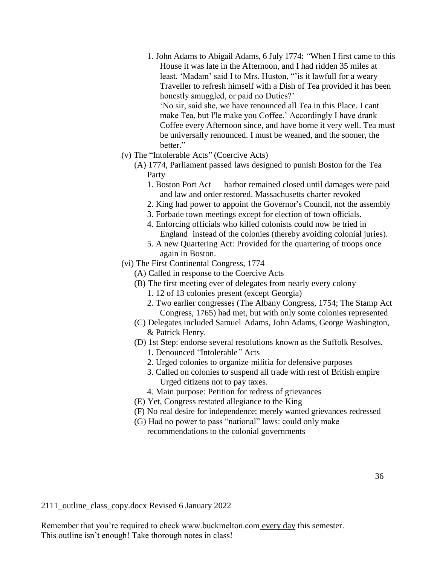- 1. John Adams to Abigail Adams, 6 July 1774: *"*When I first came to this House it was late in the Afternoon, and I had ridden 35 miles at least. 'Madam' said I to Mrs. Huston, "'is it lawfull for a weary Traveller to refresh himself with a Dish of Tea provided it has been honestly smuggled, or paid no Duties?' 'No sir, said she, we have renounced all Tea in this Place. I cant make Tea, but I'le make you Coffee.' Accordingly I have drank Coffee every Afternoon since, and have borne it very well. Tea must be universally renounced. I must be weaned, and the sooner, the hetter."
- (v) The "Intolerable Acts" (Coercive Acts)
	- (A) 1774, Parliament passed laws designed to punish Boston for the Tea Party
		- 1. Boston Port Act harbor remained closed until damages were paid and law and order restored. Massachusetts charter revoked
		- 2. King had power to appoint the Governor's Council, not the assembly
		- 3. Forbade town meetings except for election of town officials.
		- 4. Enforcing officials who killed colonists could now be tried in England instead of the colonies (thereby avoiding colonial juries).
		- 5. A new Quartering Act: Provided for the quartering of troops once again in Boston.
- (vi) The First Continental Congress, 1774
	- (A) Called in response to the Coercive Acts
	- (B) The first meeting ever of delegates from nearly every colony
		- 1. 12 of 13 colonies present (except Georgia)
		- 2. Two earlier congresses (The Albany Congress, 1754; The Stamp Act Congress, 1765) had met, but with only some colonies represented
	- (C) Delegates included Samuel Adams, John Adams, George Washington, & Patrick Henry.
	- (D) 1st Step: endorse several resolutions known as the Suffolk Resolves. 1. Denounced "Intolerable " Acts
		- 2. Urged colonies to organize militia for defensive purposes
		- 3. Called on colonies to suspend all trade with rest of British empire Urged citizens not to pay taxes.
		- 4. Main purpose: Petition for redress of grievances
	- (E) Yet, Congress restated allegiance to the King
	- (F) No real desire for independence; merely wanted grievances redressed
	- (G) Had no power to pass "national" laws: could only make recommendations to the colonial governments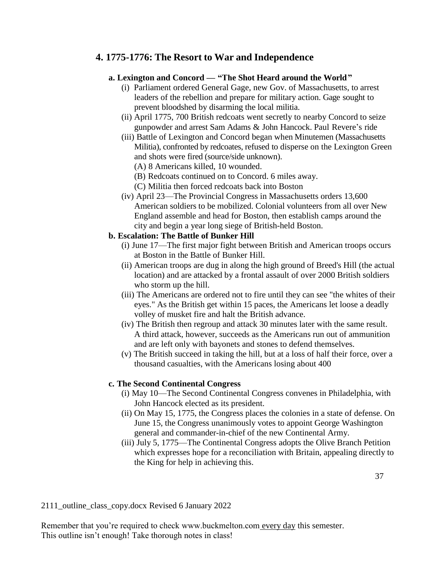## **4. 1775-1776: The Resort to War and Independence**

### **a. Lexington and Concord — "The Shot Heard around the World"**

- (i) Parliament ordered General Gage, new Gov. of Massachusetts, to arrest leaders of the rebellion and prepare for military action. Gage sought to prevent bloodshed by disarming the local militia.
- (ii) April 1775, 700 British redcoats went secretly to nearby Concord to seize gunpowder and arrest Sam Adams & John Hancock. Paul Revere's ride
- (iii) Battle of Lexington and Concord began when Minutemen (Massachusetts Militia), confronted by redcoates, refused to disperse on the Lexington Green and shots were fired (source/side unknown).
	- (A) 8 Americans killed, 10 wounded.
	- (B) Redcoats continued on to Concord. 6 miles away.
	- (C) Militia then forced redcoats back into Boston
- (iv) April 23—The Provincial Congress in Massachusetts orders 13,600 American soldiers to be mobilized. Colonial volunteers from all over New England assemble and head for Boston, then establish camps around the city and begin a year long siege of British-held Boston.

### **b. Escalation: The Battle of Bunker Hill**

- (i) June 17—The first major fight between British and American troops occurs at Boston in the Battle of Bunker Hill.
- (ii) American troops are dug in along the high ground of Breed's Hill (the actual location) and are attacked by a frontal assault of over 2000 British soldiers who storm up the hill.
- (iii) The Americans are ordered not to fire until they can see "the whites of their eyes." As the British get within 15 paces, the Americans let loose a deadly volley of musket fire and halt the British advance.
- (iv) The British then regroup and attack 30 minutes later with the same result. A third attack, however, succeeds as the Americans run out of ammunition and are left only with bayonets and stones to defend themselves.
- (v) The British succeed in taking the hill, but at a loss of half their force, over a thousand casualties, with the Americans losing about 400

### **c. The Second Continental Congress**

- (i) May 10—The Second Continental Congress convenes in Philadelphia, with John Hancock elected as its president.
- (ii) On May 15, 1775, the Congress places the colonies in a state of defense. On June 15, the Congress unanimously votes to appoint George Washington general and commander-in-chief of the new Continental Army.
- (iii) July 5, 1775—The Continental Congress adopts the Olive Branch Petition which expresses hope for a reconciliation with Britain, appealing directly to the King for help in achieving this.

2111\_outline\_class\_copy.docx Revised 6 January 2022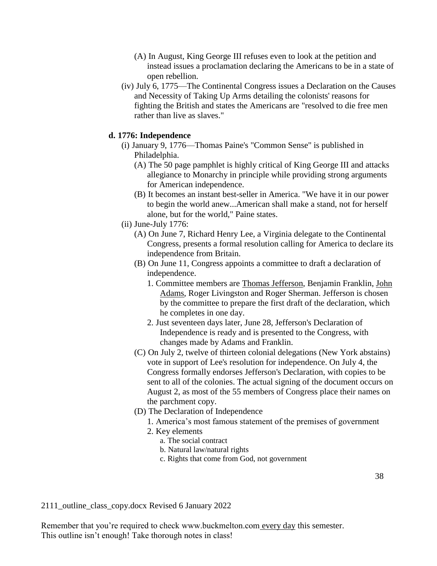- (A) In August, King George III refuses even to look at the petition and instead issues a proclamation declaring the Americans to be in a state of open rebellion.
- (iv) July 6, 1775—The Continental Congress issues a Declaration on the Causes and Necessity of Taking Up Arms detailing the colonists' reasons for fighting the British and states the Americans are "resolved to die free men rather than live as slaves."

#### **d. 1776: Independence**

- (i) January 9, 1776—Thomas Paine's "Common Sense" is published in Philadelphia.
	- (A) The 50 page pamphlet is highly critical of King George III and attacks allegiance to Monarchy in principle while providing strong arguments for American independence.
	- (B) It becomes an instant best-seller in America. "We have it in our power to begin the world anew...American shall make a stand, not for herself alone, but for the world," Paine states.
- (ii) June-July 1776:
	- (A) On June 7, Richard Henry Lee, a Virginia delegate to the Continental Congress, presents a formal resolution calling for America to declare its independence from Britain.
	- (B) On June 11, Congress appoints a committee to draft a declaration of independence.
		- 1. Committee members are Thomas Jefferson, Benjamin Franklin, John Adams, Roger Livingston and Roger Sherman. Jefferson is chosen by the committee to prepare the first draft of the declaration, which he completes in one day.
		- 2. Just seventeen days later, June 28, Jefferson's Declaration of Independence is ready and is presented to the Congress, with changes made by Adams and Franklin.
	- (C) On July 2, twelve of thirteen colonial delegations (New York abstains) vote in support of Lee's resolution for independence. On July 4, the Congress formally endorses Jefferson's Declaration, with copies to be sent to all of the colonies. The actual signing of the document occurs on August 2, as most of the 55 members of Congress place their names on the parchment copy.
	- (D) The Declaration of Independence
		- 1. America's most famous statement of the premises of government
		- 2. Key elements
			- a. The social contract
			- b. Natural law/natural rights
			- c. Rights that come from God, not government

2111\_outline\_class\_copy.docx Revised 6 January 2022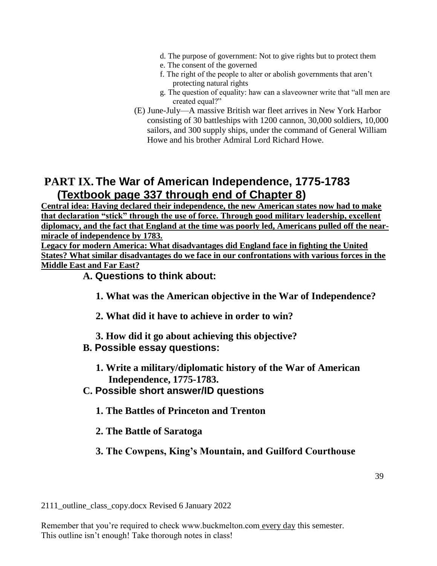- d. The purpose of government: Not to give rights but to protect them
- e. The consent of the governed
- f. The right of the people to alter or abolish governments that aren't protecting natural rights
- g. The question of equality: haw can a slaveowner write that "all men are created equal?"
- (E) June-July—A massive British war fleet arrives in New York Harbor consisting of 30 battleships with 1200 cannon, 30,000 soldiers, 10,000 sailors, and 300 supply ships, under the command of General William Howe and his brother Admiral Lord Richard Howe.

# **PART IX. The War of American Independence, 1775-1783 (Textbook page 337 through end of Chapter 8)**

**Central idea: Having declared their independence, the new American states now had to make that declaration "stick" through the use of force. Through good military leadership, excellent diplomacy, and the fact that England at the time was poorly led, Americans pulled off the nearmiracle of independence by 1783.**

**Legacy for modern America: What disadvantages did England face in fighting the United States? What similar disadvantages do we face in our confrontations with various forces in the Middle East and Far East?**

## **A. Questions to think about:**

- **1. What was the American objective in the War of Independence?**
- **2. What did it have to achieve in order to win?**
- **3. How did it go about achieving this objective?**

## **B. Possible essay questions:**

- **1. Write a military/diplomatic history of the War of American Independence, 1775-1783.**
- **C. Possible short answer/ID questions**
	- **1. The Battles of Princeton and Trenton**
	- **2. The Battle of Saratoga**
	- **3. The Cowpens, King's Mountain, and Guilford Courthouse**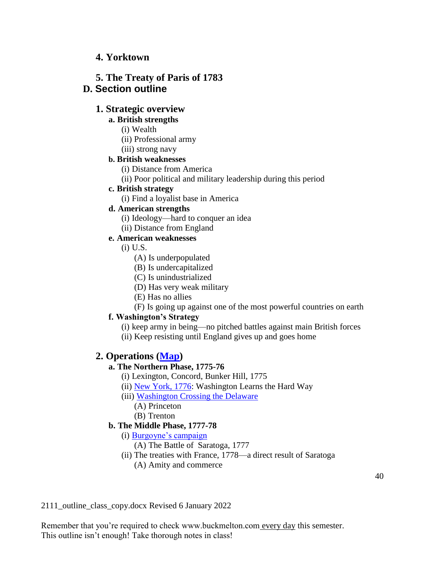## **4. Yorktown**

## **5. The Treaty of Paris of 1783 D. Section outline**

## **1. Strategic overview**

### **a. British strengths**

- (i) Wealth
- (ii) Professional army
- (iii) strong navy

### **b. British weaknesses**

- (i) Distance from America
- (ii) Poor political and military leadership during this period

### **c. British strategy**

(i) Find a loyalist base in America

## **d. American strengths**

- (i) Ideology—hard to conquer an idea
- (ii) Distance from England

### **e. American weaknesses**

- (i) U.S.
	- (A) Is underpopulated
	- (B) Is undercapitalized
	- (C) Is unindustrialized
	- (D) Has very weak military
	- (E) Has no allies
	- (F) Is going up against one of the most powerful countries on earth

## **f. Washington's Strategy**

- (i) keep army in being—no pitched battles against main British forces
- (ii) Keep resisting until England gives up and goes home

## **2. Operations [\(Map\)](http://www.buckmelton.com/newmaps/war_of_independence_overview.pdf)**

## **a. The Northern Phase, 1775-76**

- (i) Lexington, Concord, Bunker Hill, 1775
- (ii) [New York, 1776:](http://www.buckmelton.com/newmaps/war_of_independence_new_york_to_princeton.pdf) Washington Learns the Hard Way
- (iii) [Washington Crossing the Delaware](http://www.buckmelton.com/Washington_Crossing_the_Delaware_by_Emanuel_Leutze,_MMA-NYC,_1851.jpg)
	- (A) Princeton
	- (B) Trenton

## **b. The Middle Phase, 1777-78**

- (i) [Burgoyne's campaign](http://www.buckmelton.com/newmaps/war_of_independence_burgoyne.pdf)
	- (A) The Battle of Saratoga, 1777
- (ii) The treaties with France, 1778—a direct result of Saratoga (A) Amity and commerce

2111\_outline\_class\_copy.docx Revised 6 January 2022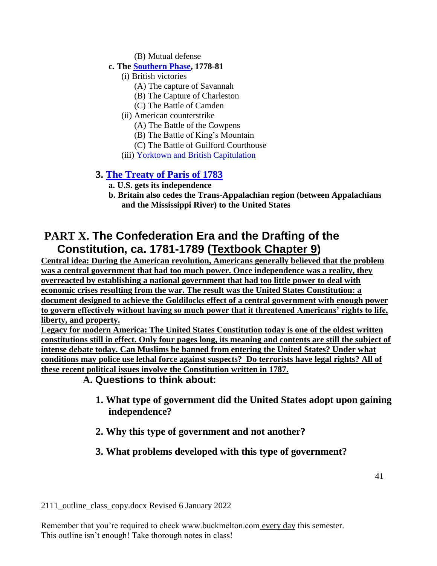(B) Mutual defense

### **c. The [Southern Phase,](http://www.buckmelton.com/newmaps/war_of_independence_south_1781.pdf) 1778-81**

- (i) British victories
	- (A) The capture of Savannah
	- (B) The Capture of Charleston
	- (C) The Battle of Camden
- (ii) American counterstrike
	- (A) The Battle of the Cowpens
	- (B) The Battle of King's Mountain
	- (C) The Battle of Guilford Courthouse
- (iii) [Yorktown and British Capitulation](http://www.buckmelton.com/newmaps/war_of_independence_yorktown.pdf)

## **3. [The Treaty of Paris of 1783](http://www.buckmelton.com/treaty_of_paris_1783.jpg)**

- **a. U.S. gets its independence**
- **b. Britain also cedes the Trans-Appalachian region (between Appalachians and the Mississippi River) to the United States**

# **PART X. The Confederation Era and the Drafting of the Constitution, ca. 1781-1789 (Textbook Chapter 9)**

**Central idea: During the American revolution, Americans generally believed that the problem was a central government that had too much power. Once independence was a reality, they overreacted by establishing a national government that had too little power to deal with economic crises resulting from the war. The result was the United States Constitution: a document designed to achieve the Goldilocks effect of a central government with enough power to govern effectively without having so much power that it threatened Americans' rights to life, liberty, and property.**

**Legacy for modern America: The United States Constitution today is one of the oldest written constitutions still in effect. Only four pages long, its meaning and contents are still the subject of intense debate today. Can Muslims be banned from entering the United States? Under what conditions may police use lethal force against suspects? Do terrorists have legal rights? All of these recent political issues involve the Constitution written in 1787.**

**A. Questions to think about:**

- **1. What type of government did the United States adopt upon gaining independence?**
- **2. Why this type of government and not another?**

# **3. What problems developed with this type of government?**

2111\_outline\_class\_copy.docx Revised 6 January 2022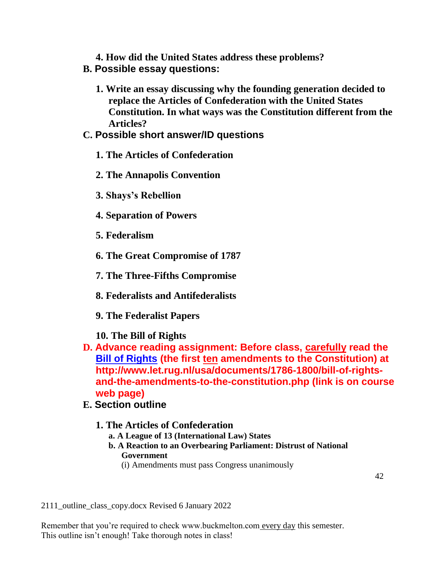**4. How did the United States address these problems? B. Possible essay questions:**

**1. Write an essay discussing why the founding generation decided to replace the Articles of Confederation with the United States Constitution. In what ways was the Constitution different from the Articles?**

## **C. Possible short answer/ID questions**

- **1. The Articles of Confederation**
- **2. The Annapolis Convention**
- **3. Shays's Rebellion**
- **4. Separation of Powers**
- **5. Federalism**
- **6. The Great Compromise of 1787**
- **7. The Three-Fifths Compromise**
- **8. Federalists and Antifederalists**
- **9. The Federalist Papers**
- **10. The Bill of Rights**
- **D. Advance reading assignment: Before class, carefully read the [Bill of Rights](http://www.let.rug.nl/usa/documents/1786-1800/bill-of-rights-and-the-amendments-to-the-constitution.php) (the first ten amendments to the Constitution) at http://www.let.rug.nl/usa/documents/1786-1800/bill-of-rightsand-the-amendments-to-the-constitution.php (link is on course web page)**
- **E. Section outline**
	- **1. The Articles of Confederation**
		- **a. A League of 13 (International Law) States**
		- **b. A Reaction to an Overbearing Parliament: Distrust of National Government**
			- (i) Amendments must pass Congress unanimously

2111\_outline\_class\_copy.docx Revised 6 January 2022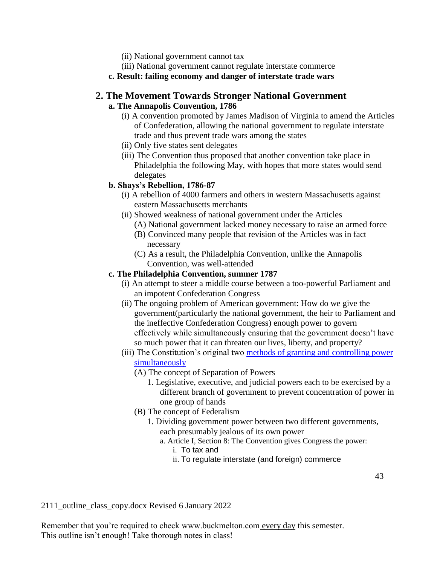- (ii) National government cannot tax
- (iii) National government cannot regulate interstate commerce
- **c. Result: failing economy and danger of interstate trade wars**

### **2. The Movement Towards Stronger National Government a. The Annapolis Convention, 1786**

- (i) A convention promoted by James Madison of Virginia to amend the Articles of Confederation, allowing the national government to regulate interstate trade and thus prevent trade wars among the states
- (ii) Only five states sent delegates
- (iii) The Convention thus proposed that another convention take place in Philadelphia the following May, with hopes that more states would send delegates

### **b. Shays's Rebellion, 1786-87**

- (i) A rebellion of 4000 farmers and others in western Massachusetts against eastern Massachusetts merchants
- (ii) Showed weakness of national government under the Articles
	- (A) National government lacked money necessary to raise an armed force
	- (B) Convinced many people that revision of the Articles was in fact necessary
	- (C) As a result, the Philadelphia Convention, unlike the Annapolis Convention, was well-attended

#### **c. The Philadelphia Convention, summer 1787**

- (i) An attempt to steer a middle course between a too-powerful Parliament and an impotent Confederation Congress
- (ii) The ongoing problem of American government: How do we give the government(particularly the national government, the heir to Parliament and the ineffective Confederation Congress) enough power to govern effectively while simultaneously ensuring that the government doesn't have so much power that it can threaten our lives, liberty, and property?
- (iii) The Constitution's original two [methods of granting and controlling power](http://www.buckmelton.com/ho_constitution_chart.pdf)  [simultaneously](http://www.buckmelton.com/ho_constitution_chart.pdf)
	- (A) The concept of Separation of Powers
		- 1. Legislative, executive, and judicial powers each to be exercised by a different branch of government to prevent concentration of power in one group of hands
	- (B) The concept of Federalism
		- 1. Dividing government power between two different governments, each presumably jealous of its own power
			- a. Article I, Section 8: The Convention gives Congress the power:
				- i. To tax and
				- ii. To regulate interstate (and foreign) commerce

2111\_outline\_class\_copy.docx Revised 6 January 2022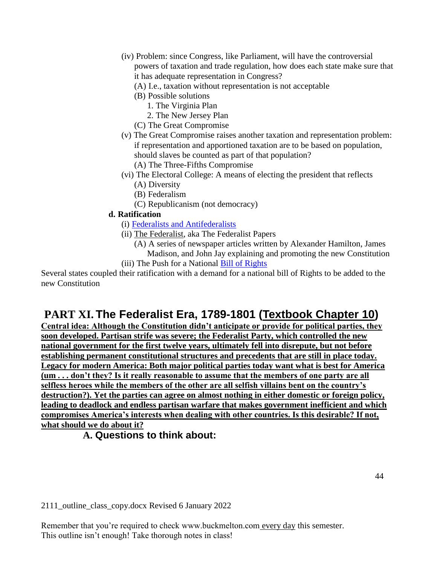- (iv) Problem: since Congress, like Parliament, will have the controversial powers of taxation and trade regulation, how does each state make sure that it has adequate representation in Congress?
	- (A) I.e., taxation without representation is not acceptable
	- (B) Possible solutions
		- 1. The Virginia Plan
		- 2. The New Jersey Plan
	- (C) The Great Compromise
- (v) The Great Compromise raises another taxation and representation problem: if representation and apportioned taxation are to be based on population, should slaves be counted as part of that population?
	- (A) The Three-Fifths Compromise
- (vi) The Electoral College: A means of electing the president that reflects (A) Diversity
	- (B) Federalism
	- (C) Republicanism (not democracy)

### **d. Ratification**

- (i) [Federalists and Antifederalists](http://www.buckmelton.com/federalist_chart.pdf)
- (ii) The Federalist, aka The Federalist Papers
	- (A) A series of newspaper articles written by Alexander Hamilton, James Madison, and John Jay explaining and promoting the new Constitution
- (iii) The Push for a National [Bill of Rights](http://www.let.rug.nl/usa/documents/1786-1800/bill-of-rights-and-the-amendments-to-the-constitution.php)

Several states coupled their ratification with a demand for a national bill of Rights to be added to the new Constitution

# **PART XI. The Federalist Era, 1789-1801 (Textbook Chapter 10)**

**Central idea: Although the Constitution didn't anticipate or provide for political parties, they soon developed. Partisan strife was severe; the Federalist Party, which controlled the new national government for the first twelve years, ultimately fell into disrepute, but not before establishing permanent constitutional structures and precedents that are still in place today. Legacy for modern America: Both major political parties today want what is best for America (um . . . don't they? Is it really reasonable to assume that the members of one party are all selfless heroes while the members of the other are all selfish villains bent on the country's destruction?). Yet the parties can agree on almost nothing in either domestic or foreign policy, leading to deadlock and endless partisan warfare that makes government inefficient and which compromises America's interests when dealing with other countries. Is this desirable? If not, what should we do about it?**

## **A. Questions to think about:**

2111\_outline\_class\_copy.docx Revised 6 January 2022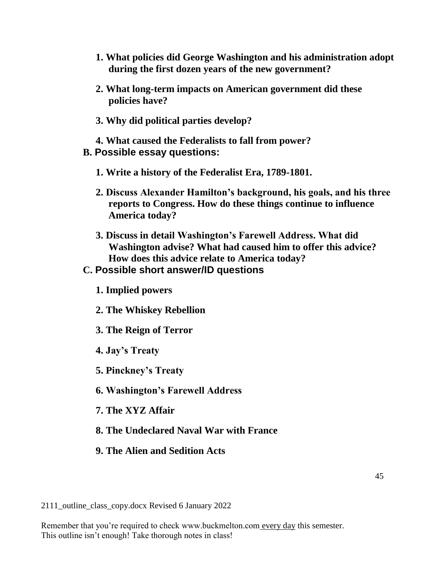- **1. What policies did George Washington and his administration adopt during the first dozen years of the new government?**
- **2. What long-term impacts on American government did these policies have?**
- **3. Why did political parties develop?**
- **4. What caused the Federalists to fall from power? B. Possible essay questions:**
	- **1. Write a history of the Federalist Era, 1789-1801.**
	- **2. Discuss Alexander Hamilton's background, his goals, and his three reports to Congress. How do these things continue to influence America today?**
	- **3. Discuss in detail Washington's Farewell Address. What did Washington advise? What had caused him to offer this advice? How does this advice relate to America today?**

### **C. Possible short answer/ID questions**

- **1. Implied powers**
- **2. The Whiskey Rebellion**
- **3. The Reign of Terror**
- **4. Jay's Treaty**
- **5. Pinckney's Treaty**
- **6. Washington's Farewell Address**
- **7. The XYZ Affair**
- **8. The Undeclared Naval War with France**
- **9. The Alien and Sedition Acts**

2111\_outline\_class\_copy.docx Revised 6 January 2022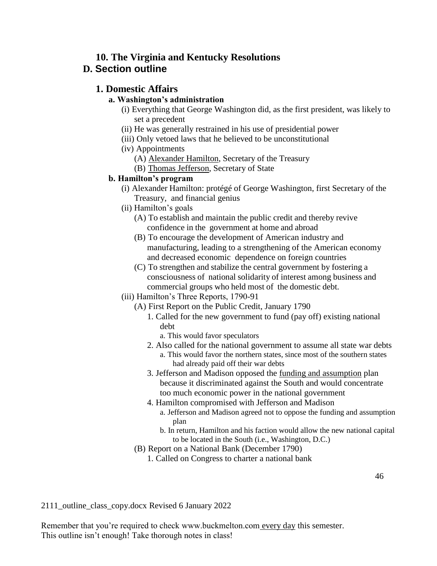### **10. The Virginia and Kentucky Resolutions D. Section outline**

## **1. Domestic Affairs**

### **a. Washington's administration**

- (i) Everything that George Washington did, as the first president, was likely to set a precedent
- (ii) He was generally restrained in his use of presidential power
- (iii) Only vetoed laws that he believed to be unconstitutional
- (iv) Appointments
	- (A) Alexander Hamilton, Secretary of the Treasury
	- (B) Thomas Jefferson, Secretary of State

## **b. Hamilton's program**

- (i) Alexander Hamilton: protégé of George Washington, first Secretary of the Treasury, and financial genius
- (ii) Hamilton's goals
	- (A) To establish and maintain the public credit and thereby revive confidence in the government at home and abroad
	- (B) To encourage the development of American industry and manufacturing, leading to a strengthening of the American economy and decreased economic dependence on foreign countries
	- (C) To strengthen and stabilize the central government by fostering a consciousness of national solidarity of interest among business and commercial groups who held most of the domestic debt.
- (iii) Hamilton's Three Reports, 1790-91
	- (A) First Report on the Public Credit, January 1790
		- 1. Called for the new government to fund (pay off) existing national debt
			- a. This would favor speculators
		- 2. Also called for the national government to assume all state war debts a. This would favor the northern states, since most of the southern states had already paid off their war debts
		- 3. Jefferson and Madison opposed the funding and assumption plan because it discriminated against the South and would concentrate too much economic power in the national government
		- 4. Hamilton compromised with Jefferson and Madison
			- a. Jefferson and Madison agreed not to oppose the funding and assumption plan
			- b. In return, Hamilton and his faction would allow the new national capital to be located in the South (i.e., Washington, D.C.)
	- (B) Report on a National Bank (December 1790)
		- 1. Called on Congress to charter a national bank

2111\_outline\_class\_copy.docx Revised 6 January 2022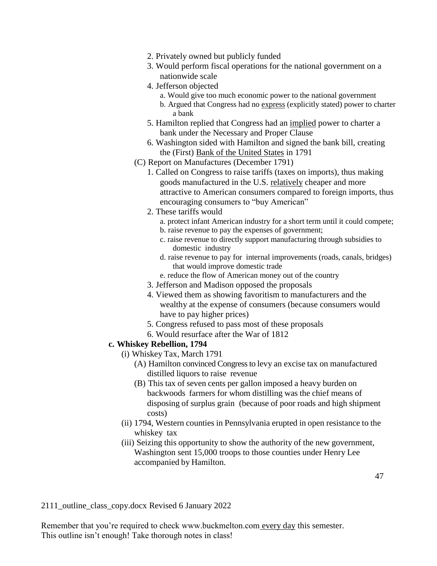- 2. Privately owned but publicly funded
- 3. Would perform fiscal operations for the national government on a nationwide scale
- 4. Jefferson objected
	- a. Would give too much economic power to the national government
	- b. Argued that Congress had no express (explicitly stated) power to charter a bank
- 5. Hamilton replied that Congress had an implied power to charter a bank under the Necessary and Proper Clause
- 6. Washington sided with Hamilton and signed the bank bill, creating the (First) Bank of the United States in 1791
- (C) Report on Manufactures (December 1791)
	- 1. Called on Congress to raise tariffs (taxes on imports), thus making goods manufactured in the U.S. relatively cheaper and more attractive to American consumers compared to foreign imports, thus encouraging consumers to "buy American"
	- 2. These tariffs would
		- a. protect infant American industry for a short term until it could compete;
		- b. raise revenue to pay the expenses of government;
		- c. raise revenue to directly support manufacturing through subsidies to domestic industry
		- d. raise revenue to pay for internal improvements (roads, canals, bridges) that would improve domestic trade
		- e. reduce the flow of American money out of the country
	- 3. Jefferson and Madison opposed the proposals
	- 4. Viewed them as showing favoritism to manufacturers and the wealthy at the expense of consumers (because consumers would have to pay higher prices)
	- 5. Congress refused to pass most of these proposals
	- 6. Would resurface after the War of 1812

#### **c. Whiskey Rebellion, 1794**

- (i) Whiskey Tax, March 1791
	- (A) Hamilton convinced Congress to levy an excise tax on manufactured distilled liquors to raise revenue
	- (B) This tax of seven cents per gallon imposed a heavy burden on backwoods farmers for whom distilling was the chief means of disposing of surplus grain (because of poor roads and high shipment costs)
- (ii) 1794, Western counties in Pennsylvania erupted in open resistance to the whiskey tax
- (iii) Seizing this opportunity to show the authority of the new government, Washington sent 15,000 troops to those counties under Henry Lee accompanied by Hamilton.

2111\_outline\_class\_copy.docx Revised 6 January 2022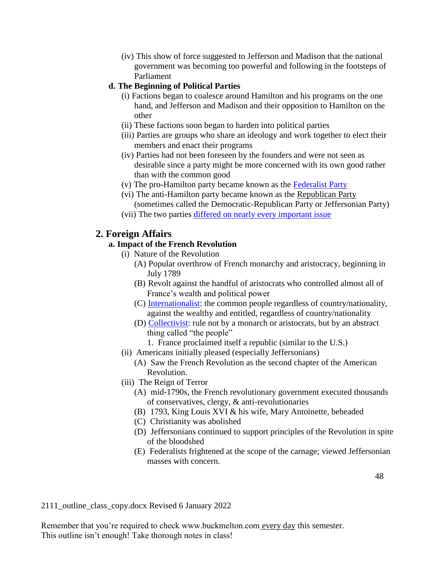(iv) This show of force suggested to Jefferson and Madison that the national government was becoming too powerful and following in the footsteps of Parliament

### **d. The Beginning of Political Parties**

- (i) Factions began to coalesce around Hamilton and his programs on the one hand, and Jefferson and Madison and their opposition to Hamilton on the other
- (ii) These factions soon began to harden into political parties
- (iii) Parties are groups who share an ideology and work together to elect their members and enact their programs
- (iv) Parties had not been foreseen by the founders and were not seen as desirable since a party might be more concerned with its own good rather than with the common good
- (v) The pro-Hamilton party became known as the [Federalist Party](http://www.buckmelton.com/federalist_chart.pdf)
- (vi) The anti-Hamilton party became known as the Republican Party (sometimes called the Democratic-Republican Party or Jeffersonian Party)
- (vii) The two parties [differed on nearly every important issue](http://www.buckmelton.com/federalists_and_republicans_chart.pdf)

## **2. Foreign Affairs**

### **a. Impact of the French Revolution**

- (i) Nature of the Revolution
	- (A) Popular overthrow of French monarchy and aristocracy, beginning in July 1789
	- (B) Revolt against the handful of aristocrats who controlled almost all of France's wealth and political power
	- (C) [Internationalist:](http://www.buckmelton.com/nationalism.pdf) the common people regardless of country/nationality, against the wealthy and entitled, regardless of country/nationality
	- (D) [Collectivist:](http://www.buckmelton.com/individualsm_versus_collectivism_chart.pdf) rule not by a monarch or aristocrats, but by an abstract thing called "the people"
		- 1. France proclaimed itself a republic (similar to the U.S.)
- (ii) Americans initially pleased (especially Jeffersonians)
	- (A) Saw the French Revolution as the second chapter of the American Revolution.
- (iii) The Reign of Terror
	- (A) mid-1790s, the French revolutionary government executed thousands of conservatives, clergy, & anti-revolutionaries
	- (B) 1793, King Louis XVI & his wife, Mary Antoinette, beheaded
	- (C) Christianity was abolished
	- (D) Jeffersonians continued to support principles of the Revolution in spite of the bloodshed
	- (E) Federalists frightened at the scope of the carnage; viewed Jeffersonian masses with concern.

2111\_outline\_class\_copy.docx Revised 6 January 2022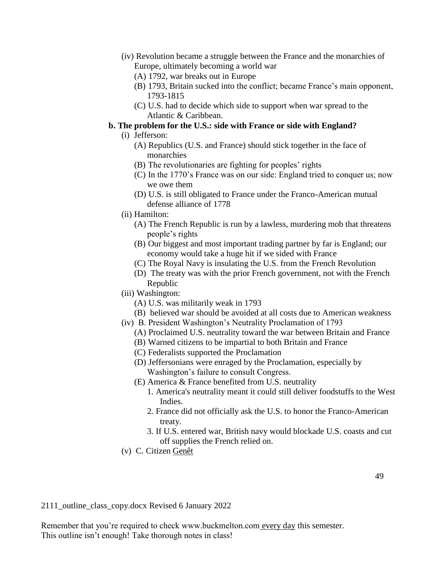- (iv) Revolution became a struggle between the France and the monarchies of Europe, ultimately becoming a world war
	- (A) 1792, war breaks out in Europe
	- (B) 1793, Britain sucked into the conflict; became France's main opponent, 1793-1815
	- (C) U.S. had to decide which side to support when war spread to the Atlantic & Caribbean.

## **b. The problem for the U.S.: side with France or side with England?**

- (i) Jefferson:
	- (A) Republics (U.S. and France) should stick together in the face of monarchies
	- (B) The revolutionaries are fighting for peoples' rights
	- (C) In the 1770's France was on our side: England tried to conquer us; now we owe them
	- (D) U.S. is still obligated to France under the Franco-American mutual defense alliance of 1778
- (ii) Hamilton:
	- (A) The French Republic is run by a lawless, murdering mob that threatens people's rights
	- (B) Our biggest and most important trading partner by far is England; our economy would take a huge hit if we sided with France
	- (C) The Royal Navy is insulating the U.S. from the French Revolution
	- (D) The treaty was with the prior French government, not with the French Republic
- (iii) Washington:
	- (A) U.S. was militarily weak in 1793
	- (B) believed war should be avoided at all costs due to American weakness
- (iv) B. President Washington's Neutrality Proclamation of 1793
	- (A) Proclaimed U.S. neutrality toward the war between Britain and France
	- (B) Warned citizens to be impartial to both Britain and France
	- (C) Federalists supported the Proclamation
	- (D) Jeffersonians were enraged by the Proclamation, especially by Washington's failure to consult Congress.
	- (E) America & France benefited from U.S. neutrality
		- 1. America's neutrality meant it could still deliver foodstuffs to the West Indies.
		- 2. France did not officially ask the U.S. to honor the Franco-American treaty.
		- 3. If U.S. entered war, British navy would blockade U.S. coasts and cut off supplies the French relied on.
- (v) C. Citizen Genêt

2111\_outline\_class\_copy.docx Revised 6 January 2022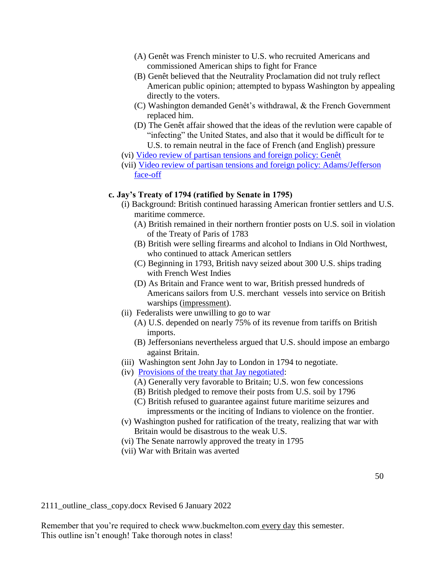- (A) Genêt was French minister to U.S. who recruited Americans and commissioned American ships to fight for France
- (B) Genêt believed that the Neutrality Proclamation did not truly reflect American public opinion; attempted to bypass Washington by appealing directly to the voters.
- (C) Washington demanded Genêt's withdrawal, & the French Government replaced him.
- (D) The Genêt affair showed that the ideas of the revlution were capable of "infecting" the United States, and also that it would be difficult for te U.S. to remain neutral in the face of French (and English) pressure
- (vi) [Video review of partisan tensions and foreign policy: Genêt](https://www.youtube.com/watch?v=a5wCl3aAMEQ)
- (vii) [Video review of partisan tensions and foreign policy: Adams/Jefferson](https://www.youtube.com/watch?v=C7o5kWrbJJE)  [face-off](https://www.youtube.com/watch?v=C7o5kWrbJJE)

### **c. Jay's Treaty of 1794 (ratified by Senate in 1795)**

- (i) Background: British continued harassing American frontier settlers and U.S. maritime commerce.
	- (A) British remained in their northern frontier posts on U.S. soil in violation of the Treaty of Paris of 1783
	- (B) British were selling firearms and alcohol to Indians in Old Northwest, who continued to attack American settlers
	- (C) Beginning in 1793, British navy seized about 300 U.S. ships trading with French West Indies
	- (D) As Britain and France went to war, British pressed hundreds of Americans sailors from U.S. merchant vessels into service on British warships (impressment).
- (ii) Federalists were unwilling to go to war
	- (A) U.S. depended on nearly 75% of its revenue from tariffs on British imports.
	- (B) Jeffersonians nevertheless argued that U.S. should impose an embargo against Britain.
- (iii) Washington sent John Jay to London in 1794 to negotiate.
- (iv) [Provisions of the treaty that Jay negotiated:](http://www.buckmelton.com/jay.jpg)
	- (A) Generally very favorable to Britain; U.S. won few concessions
	- (B) British pledged to remove their posts from U.S. soil by 1796
	- (C) British refused to guarantee against future maritime seizures and impressments or the inciting of Indians to violence on the frontier.
- (v) Washington pushed for ratification of the treaty, realizing that war with Britain would be disastrous to the weak U.S.
- (vi) The Senate narrowly approved the treaty in 1795
- (vii) War with Britain was averted

2111\_outline\_class\_copy.docx Revised 6 January 2022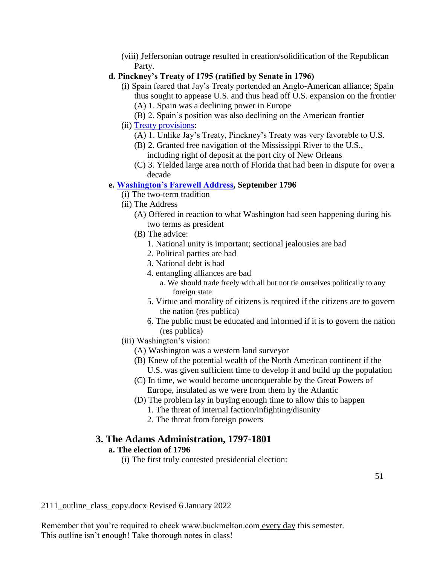(viii) Jeffersonian outrage resulted in creation/solidification of the Republican Party.

### **d. Pinckney's Treaty of 1795 (ratified by Senate in 1796)**

- (i) Spain feared that Jay's Treaty portended an Anglo-American alliance; Spain thus sought to appease U.S. and thus head off U.S. expansion on the frontier (A) 1. Spain was a declining power in Europe
	- (B) 2. Spain's position was also declining on the American frontier
- (ii) [Treaty provisions:](http://www.buckmelton.com/pinckney.gif)
	- (A) 1. Unlike Jay's Treaty, Pinckney's Treaty was very favorable to U.S.
	- (B) 2. Granted free navigation of the Mississippi River to the U.S., including right of deposit at the port city of New Orleans
	- (C) 3. Yielded large area north of Florida that had been in dispute for over a decade

### **e. [Washington's Farewell Address,](http://www.buckmelton.com/farewell_address_edited.pdf) September 1796**

- (i) The two-term tradition
- (ii) The Address
	- (A) Offered in reaction to what Washington had seen happening during his two terms as president
	- (B) The advice:
		- 1. National unity is important; sectional jealousies are bad
		- 2. Political parties are bad
		- 3. National debt is bad
		- 4. entangling alliances are bad
			- a. We should trade freely with all but not tie ourselves politically to any foreign state
		- 5. Virtue and morality of citizens is required if the citizens are to govern the nation (res publica)
		- 6. The public must be educated and informed if it is to govern the nation (res publica)
- (iii) Washington's vision:
	- (A) Washington was a western land surveyor
	- (B) Knew of the potential wealth of the North American continent if the U.S. was given sufficient time to develop it and build up the population
	- (C) In time, we would become unconquerable by the Great Powers of Europe, insulated as we were from them by the Atlantic
	- (D) The problem lay in buying enough time to allow this to happen
		- 1. The threat of internal faction/infighting/disunity
		- 2. The threat from foreign powers

### **3. The Adams Administration, 1797-1801**

### **a. The election of 1796**

(i) The first truly contested presidential election:

2111\_outline\_class\_copy.docx Revised 6 January 2022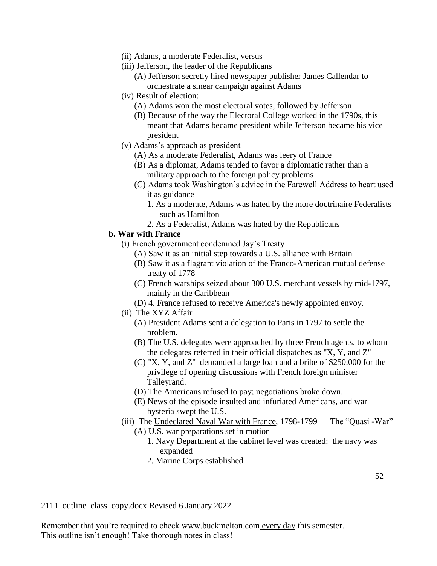- (ii) Adams, a moderate Federalist, versus
- (iii) Jefferson, the leader of the Republicans
	- (A) Jefferson secretly hired newspaper publisher James Callendar to orchestrate a smear campaign against Adams
- (iv) Result of election:
	- (A) Adams won the most electoral votes, followed by Jefferson
	- (B) Because of the way the Electoral College worked in the 1790s, this meant that Adams became president while Jefferson became his vice president
- (v) Adams's approach as president
	- (A) As a moderate Federalist, Adams was leery of France
	- (B) As a diplomat, Adams tended to favor a diplomatic rather than a military approach to the foreign policy problems
	- (C) Adams took Washington's advice in the Farewell Address to heart used it as guidance
		- 1. As a moderate, Adams was hated by the more doctrinaire Federalists such as Hamilton
		- 2. As a Federalist, Adams was hated by the Republicans

#### **b. War with France**

- (i) French government condemned Jay's Treaty
	- (A) Saw it as an initial step towards a U.S. alliance with Britain
	- (B) Saw it as a flagrant violation of the Franco-American mutual defense treaty of 1778
	- (C) French warships seized about 300 U.S. merchant vessels by mid-1797, mainly in the Caribbean
	- (D) 4. France refused to receive America's newly appointed envoy.
- (ii) The XYZ Affair
	- (A) President Adams sent a delegation to Paris in 1797 to settle the problem.
	- (B) The U.S. delegates were approached by three French agents, to whom the delegates referred in their official dispatches as "X, Y, and Z"
	- (C) "X, Y, and Z" demanded a large loan and a bribe of \$250.000 for the privilege of opening discussions with French foreign minister Talleyrand.
	- (D) The Americans refused to pay; negotiations broke down.
	- (E) News of the episode insulted and infuriated Americans, and war hysteria swept the U.S.
- (iii) The Undeclared Naval War with France, 1798-1799 The "Quasi -War"
	- (A) U.S. war preparations set in motion
		- 1. Navy Department at the cabinet level was created: the navy was expanded
		- 2. Marine Corps established

2111\_outline\_class\_copy.docx Revised 6 January 2022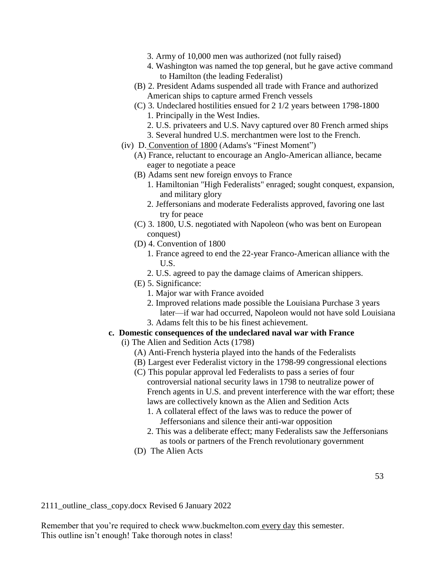- 3. Army of 10,000 men was authorized (not fully raised)
- 4. Washington was named the top general, but he gave active command to Hamilton (the leading Federalist)
- (B) 2. President Adams suspended all trade with France and authorized American ships to capture armed French vessels
- (C) 3. Undeclared hostilities ensued for 2 1/2 years between 1798-1800 1. Principally in the West Indies.
	- 2. U.S. privateers and U.S. Navy captured over 80 French armed ships
	- 3. Several hundred U.S. merchantmen were lost to the French.
- (iv) D. Convention of 1800 (Adams's "Finest Moment")
	- (A) France, reluctant to encourage an Anglo-American alliance, became eager to negotiate a peace
	- (B) Adams sent new foreign envoys to France
		- 1. Hamiltonian "High Federalists" enraged; sought conquest, expansion, and military glory
		- 2. Jeffersonians and moderate Federalists approved, favoring one last try for peace
	- (C) 3. 1800, U.S. negotiated with Napoleon (who was bent on European conquest)
	- (D) 4. Convention of 1800
		- 1. France agreed to end the 22-year Franco-American alliance with the U.S.
		- 2. U.S. agreed to pay the damage claims of American shippers.
	- (E) 5. Significance:
		- 1. Major war with France avoided
		- 2. Improved relations made possible the Louisiana Purchase 3 years later—if war had occurred, Napoleon would not have sold Louisiana
		- 3. Adams felt this to be his finest achievement.

### **c. Domestic consequences of the undeclared naval war with France**

- (i) The Alien and Sedition Acts (1798)
	- (A) Anti-French hysteria played into the hands of the Federalists
	- (B) Largest ever Federalist victory in the 1798-99 congressional elections
	- (C) This popular approval led Federalists to pass a series of four controversial national security laws in 1798 to neutralize power of French agents in U.S. and prevent interference with the war effort; these laws are collectively known as the Alien and Sedition Acts
		- 1. A collateral effect of the laws was to reduce the power of Jeffersonians and silence their anti-war opposition
		- 2. This was a deliberate effect; many Federalists saw the Jeffersonians as tools or partners of the French revolutionary government
	- (D) The Alien Acts

2111\_outline\_class\_copy.docx Revised 6 January 2022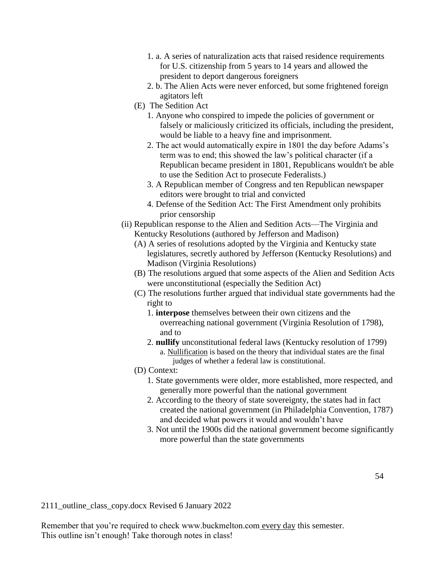- 1. a. A series of naturalization acts that raised residence requirements for U.S. citizenship from 5 years to 14 years and allowed the president to deport dangerous foreigners
- 2. b. The Alien Acts were never enforced, but some frightened foreign agitators left
- (E) The Sedition Act
	- 1. Anyone who conspired to impede the policies of government or falsely or maliciously criticized its officials, including the president, would be liable to a heavy fine and imprisonment.
	- 2. The act would automatically expire in 1801 the day before Adams's term was to end; this showed the law's political character (if a Republican became president in 1801, Republicans wouldn't be able to use the Sedition Act to prosecute Federalists.)
	- 3. A Republican member of Congress and ten Republican newspaper editors were brought to trial and convicted
	- 4. Defense of the Sedition Act: The First Amendment only prohibits prior censorship
- (ii) Republican response to the Alien and Sedition Acts—The Virginia and Kentucky Resolutions (authored by Jefferson and Madison)
	- (A) A series of resolutions adopted by the Virginia and Kentucky state legislatures, secretly authored by Jefferson (Kentucky Resolutions) and Madison (Virginia Resolutions)
	- (B) The resolutions argued that some aspects of the Alien and Sedition Acts were unconstitutional (especially the Sedition Act)
	- (C) The resolutions further argued that individual state governments had the right to
		- 1. **interpose** themselves between their own citizens and the overreaching national government (Virginia Resolution of 1798), and to
		- 2. **nullify** unconstitutional federal laws (Kentucky resolution of 1799) a. Nullification is based on the theory that individual states are the final judges of whether a federal law is constitutional.
	- (D) Context:
		- 1. State governments were older, more established, more respected, and generally more powerful than the national government
		- 2. According to the theory of state sovereignty, the states had in fact created the national government (in Philadelphia Convention, 1787) and decided what powers it would and wouldn't have
		- 3. Not until the 1900s did the national government become significantly more powerful than the state governments

2111\_outline\_class\_copy.docx Revised 6 January 2022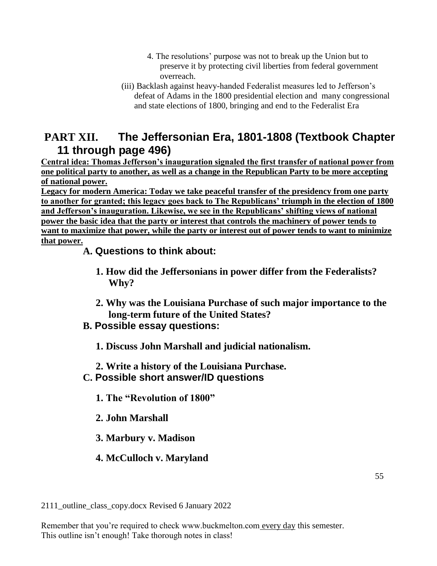- 4. The resolutions' purpose was not to break up the Union but to preserve it by protecting civil liberties from federal government overreach.
- (iii) Backlash against heavy-handed Federalist measures led to Jefferson's defeat of Adams in the 1800 presidential election and many congressional and state elections of 1800, bringing and end to the Federalist Era

# **PART XII. The Jeffersonian Era, 1801-1808 (Textbook Chapter 11 through page 496)**

**Central idea: Thomas Jefferson's inauguration signaled the first transfer of national power from one political party to another, as well as a change in the Republican Party to be more accepting of national power.**

**Legacy for modern America: Today we take peaceful transfer of the presidency from one party to another for granted; this legacy goes back to The Republicans' triumph in the election of 1800 and Jefferson's inauguration. Likewise, we see in the Republicans' shifting views of national power the basic idea that the party or interest that controls the machinery of power tends to want to maximize that power, while the party or interest out of power tends to want to minimize that power.**

# **A. Questions to think about:**

- **1. How did the Jeffersonians in power differ from the Federalists? Why?**
- **2. Why was the Louisiana Purchase of such major importance to the long-term future of the United States?**
- **B. Possible essay questions:**
	- **1. Discuss John Marshall and judicial nationalism.**
	- **2. Write a history of the Louisiana Purchase.**
- **C. Possible short answer/ID questions**
	- **1. The "Revolution of 1800"**
	- **2. John Marshall**
	- **3. Marbury v. Madison**
	- **4. McCulloch v. Maryland**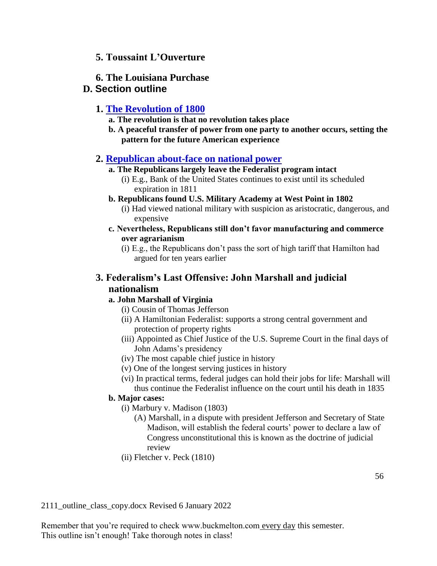## **5. Toussaint L'Ouverture**

### **6. The Louisiana Purchase**

### **D. Section outline**

## **1. [The Revolution of 1800](http://www.buckmelton.com/trump_obamas_1.jpg)**

- **a. The revolution is that no revolution takes place**
- **b. A peaceful transfer of power from one party to another occurs, setting the pattern for the future American experience**

### **2. [Republican about-face on national power](http://www.buckmelton.com/federalists_and_republicans_chart.pdf)**

### **a. The Republicans largely leave the Federalist program intact**

- (i) E.g., Bank of the United States continues to exist until its scheduled expiration in 1811
- **b. Republicans found U.S. Military Academy at West Point in 1802**
	- (i) Had viewed national military with suspicion as aristocratic, dangerous, and expensive
- **c. Nevertheless, Republicans still don't favor manufacturing and commerce over agrarianism**
	- (i) E.g., the Republicans don't pass the sort of high tariff that Hamilton had argued for ten years earlier

## **3. Federalism's Last Offensive: John Marshall and judicial nationalism**

### **a. John Marshall of Virginia**

- (i) Cousin of Thomas Jefferson
- (ii) A Hamiltonian Federalist: supports a strong central government and protection of property rights
- (iii) Appointed as Chief Justice of the U.S. Supreme Court in the final days of John Adams's presidency
- (iv) The most capable chief justice in history
- (v) One of the longest serving justices in history
- (vi) In practical terms, federal judges can hold their jobs for life: Marshall will thus continue the Federalist influence on the court until his death in 1835

### **b. Major cases:**

- (i) Marbury v. Madison (1803)
	- (A) Marshall, in a dispute with president Jefferson and Secretary of State Madison, will establish the federal courts' power to declare a law of Congress unconstitutional this is known as the doctrine of judicial review
- (ii) Fletcher v. Peck (1810)

2111\_outline\_class\_copy.docx Revised 6 January 2022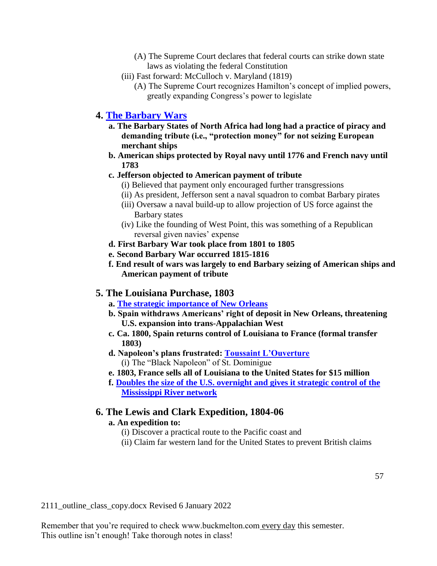- (A) The Supreme Court declares that federal courts can strike down state laws as violating the federal Constitution
- (iii) Fast forward: McCulloch v. Maryland (1819)
	- (A) The Supreme Court recognizes Hamilton's concept of implied powers, greatly expanding Congress's power to legislate

### **4. [The Barbary Wars](http://www.buckmelton.com/barbary_wars.jpg)**

- **a. The Barbary States of North Africa had long had a practice of piracy and demanding tribute (i.e., "protection money" for not seizing European merchant ships**
- **b. American ships protected by Royal navy until 1776 and French navy until 1783**

### **c. Jefferson objected to American payment of tribute**

- (i) Believed that payment only encouraged further transgressions
- (ii) As president, Jefferson sent a naval squadron to combat Barbary pirates
- (iii) Oversaw a naval build-up to allow projection of US force against the Barbary states
- (iv) Like the founding of West Point, this was something of a Republican reversal given navies' expense
- **d. First Barbary War took place from 1801 to 1805**
- **e. Second Barbary War occurred 1815-1816**
- **f. End result of wars was largely to end Barbary seizing of American ships and American payment of tribute**

### **5. The Louisiana Purchase, 1803**

- **a. [The strategic importance of New Orleans](http://www.buckmelton.com/Thomas_Jefferson_on_France_in_Louisiana.pdf)**
- **b. Spain withdraws Americans' right of deposit in New Orleans, threatening U.S. expansion into trans-Appalachian West**
- **c. Ca. 1800, Spain returns control of Louisiana to France (formal transfer 1803)**
- **d. Napoleon's plans frustrated: [Toussaint L'Ouverture](http://www.buckmelton.com/toussaint_louverture.jpg)** (i) The "Black Napoleon" of St. Dominigue
- **e. 1803, France sells all of Louisiana to the United States for \$15 million**
- **f. [Doubles the size of the U.S. overnight and gives it strategic control of the](http://www.buckmelton.com/Louisiana_Purchase.jpg)  [Mississippi River network](http://www.buckmelton.com/Louisiana_Purchase.jpg)**

### **6. The Lewis and Clark Expedition, 1804-06**

### **a. An expedition to:**

- (i) Discover a practical route to the Pacific coast and
- (ii) Claim far western land for the United States to prevent British claims

2111\_outline\_class\_copy.docx Revised 6 January 2022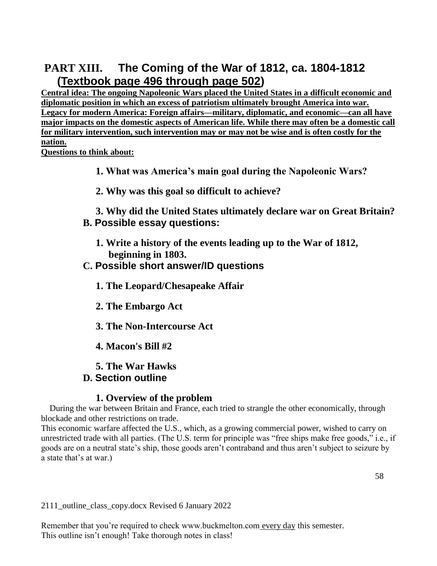# **PART XIII. The Coming of the War of 1812, ca. 1804-1812 (Textbook page 496 through page 502)**

**Central idea: The ongoing Napoleonic Wars placed the United States in a difficult economic and diplomatic position in which an excess of patriotism ultimately brought America into war. Legacy for modern America: Foreign affairs—military, diplomatic, and economic—can all have major impacts on the domestic aspects of American life. While there may often be a domestic call for military intervention, such intervention may or may not be wise and is often costly for the nation.**

**Questions to think about:**

- **1. What was America's main goal during the Napoleonic Wars?**
- **2. Why was this goal so difficult to achieve?**

**3. Why did the United States ultimately declare war on Great Britain? B. Possible essay questions:**

**1. Write a history of the events leading up to the War of 1812, beginning in 1803.**

## **C. Possible short answer/ID questions**

- **1. The Leopard/Chesapeake Affair**
- **2. The Embargo Act**
- **3. The Non-Intercourse Act**
- **4. Macon's Bill #2**

## **5. The War Hawks D. Section outline**

## **1. Overview of the problem**

During the war between Britain and France, each tried to strangle the other economically, through blockade and other restrictions on trade.

This economic warfare affected the U.S., which, as a growing commercial power, wished to carry on unrestricted trade with all parties. (The U.S. term for principle was "free ships make free goods," i.e., if goods are on a neutral state's ship, those goods aren't contraband and thus aren't subject to seizure by a state that's at war.)

2111\_outline\_class\_copy.docx Revised 6 January 2022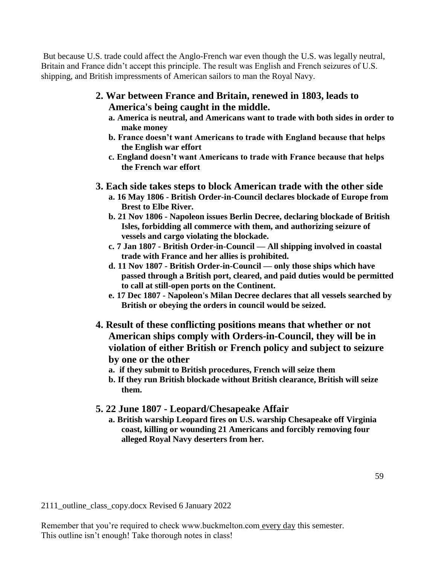But because U.S. trade could affect the Anglo-French war even though the U.S. was legally neutral, Britain and France didn't accept this principle. The result was English and French seizures of U.S. shipping, and British impressments of American sailors to man the Royal Navy.

- **2. War between France and Britain, renewed in 1803, leads to America's being caught in the middle.**
	- **a. America is neutral, and Americans want to trade with both sides in order to make money**
	- **b. France doesn't want Americans to trade with England because that helps the English war effort**
	- **c. England doesn't want Americans to trade with France because that helps the French war effort**
- **3. Each side takes steps to block American trade with the other side**
	- **a. 16 May 1806 - British Order-in-Council declares blockade of Europe from Brest to Elbe River.**
	- **b. 21 Nov 1806 - Napoleon issues Berlin Decree, declaring blockade of British Isles, forbidding all commerce with them, and authorizing seizure of vessels and cargo violating the blockade.**
	- **c. 7 Jan 1807 - British Order-in-Council — All shipping involved in coastal trade with France and her allies is prohibited.**
	- **d. 11 Nov 1807 - British Order-in-Council — only those ships which have passed through a British port, cleared, and paid duties would be permitted to call at still-open ports on the Continent.**
	- **e. 17 Dec 1807 - Napoleon's Milan Decree declares that all vessels searched by British or obeying the orders in council would be seized.**
- **4. Result of these conflicting positions means that whether or not American ships comply with Orders-in-Council, they will be in violation of either British or French policy and subject to seizure by one or the other**
	- **a. if they submit to British procedures, French will seize them**
	- **b. If they run British blockade without British clearance, British will seize them.**

## **5. 22 June 1807 - Leopard/Chesapeake Affair**

**a. British warship Leopard fires on U.S. warship Chesapeake off Virginia coast, killing or wounding 21 Americans and forcibly removing four alleged Royal Navy deserters from her.**

2111\_outline\_class\_copy.docx Revised 6 January 2022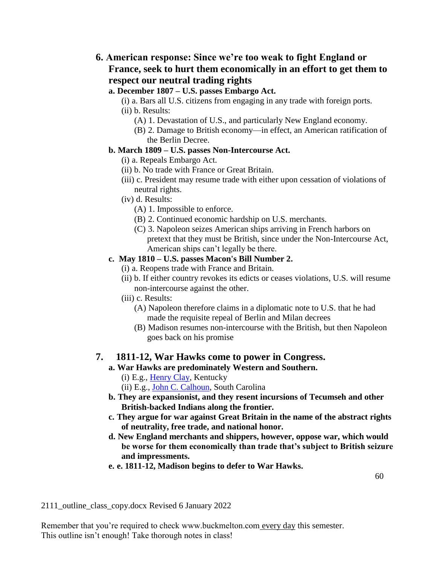- **6. American response: Since we're too weak to fight England or France, seek to hurt them economically in an effort to get them to respect our neutral trading rights**
	- **a. December 1807 – U.S. passes Embargo Act.**
		- (i) a. Bars all U.S. citizens from engaging in any trade with foreign ports.
		- (ii) b. Results:
			- (A) 1. Devastation of U.S., and particularly New England economy.
			- (B) 2. Damage to British economy—in effect, an American ratification of the Berlin Decree.

### **b. March 1809 – U.S. passes Non-Intercourse Act.**

- (i) a. Repeals Embargo Act.
- (ii) b. No trade with France or Great Britain.
- (iii) c. President may resume trade with either upon cessation of violations of neutral rights.
- (iv) d. Results:
	- (A) 1. Impossible to enforce.
	- (B) 2. Continued economic hardship on U.S. merchants.
	- (C) 3. Napoleon seizes American ships arriving in French harbors on pretext that they must be British, since under the Non-Intercourse Act, American ships can't legally be there.

### **c. May 1810 – U.S. passes Macon's Bill Number 2.**

- (i) a. Reopens trade with France and Britain.
- (ii) b. If either country revokes its edicts or ceases violations, U.S. will resume non-intercourse against the other.
- (iii) c. Results:
	- (A) Napoleon therefore claims in a diplomatic note to U.S. that he had made the requisite repeal of Berlin and Milan decrees
	- (B) Madison resumes non-intercourse with the British, but then Napoleon goes back on his promise

## **7. 1811-12, War Hawks come to power in Congress.**

### **a. War Hawks are predominately Western and Southern.**

(i) E.g., [Henry Clay,](http://www.buckmelton.com/henry_clay.jpg) Kentucky

- (ii) E.g., [John C. Calhoun,](http://www.buckmelton.com/calhoun_young.jpg) South Carolina
- **b. They are expansionist, and they resent incursions of Tecumseh and other British-backed Indians along the frontier.**
- **c. They argue for war against Great Britain in the name of the abstract rights of neutrality, free trade, and national honor.**
- **d. New England merchants and shippers, however, oppose war, which would be worse for them economically than trade that's subject to British seizure and impressments.**
- **e. e. 1811-12, Madison begins to defer to War Hawks.**

2111\_outline\_class\_copy.docx Revised 6 January 2022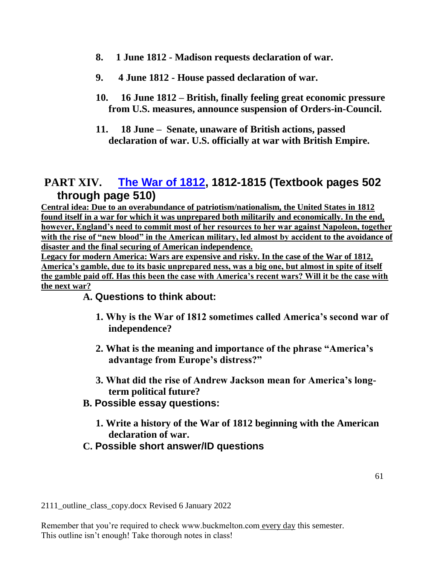- **8. 1 June 1812 - Madison requests declaration of war.**
- **9. 4 June 1812 - House passed declaration of war.**
- **10. 16 June 1812 – British, finally feeling great economic pressure from U.S. measures, announce suspension of Orders-in-Council.**
- **11. 18 June Senate, unaware of British actions, passed declaration of war. U.S. officially at war with British Empire.**

# **PART XIV. [The War of 1812,](http://www.buckmelton.com/war_of_1812_map.gif) 1812-1815 (Textbook pages 502 through page 510)**

**Central idea: Due to an overabundance of patriotism/nationalism, the United States in 1812 found itself in a war for which it was unprepared both militarily and economically. In the end, however, England's need to commit most of her resources to her war against Napoleon, together with the rise of "new blood" in the American military, led almost by accident to the avoidance of disaster and the final securing of American independence.** 

**Legacy for modern America: Wars are expensive and risky. In the case of the War of 1812, America's gamble, due to its basic unprepared ness, was a big one, but almost in spite of itself the gamble paid off. Has this been the case with America's recent wars? Will it be the case with the next war?**

**A. Questions to think about:**

- **1. Why is the War of 1812 sometimes called America's second war of independence?**
- **2. What is the meaning and importance of the phrase "America's advantage from Europe's distress?"**
- **3. What did the rise of Andrew Jackson mean for America's longterm political future?**
- **B. Possible essay questions:**
	- **1. Write a history of the War of 1812 beginning with the American declaration of war.**
- **C. Possible short answer/ID questions**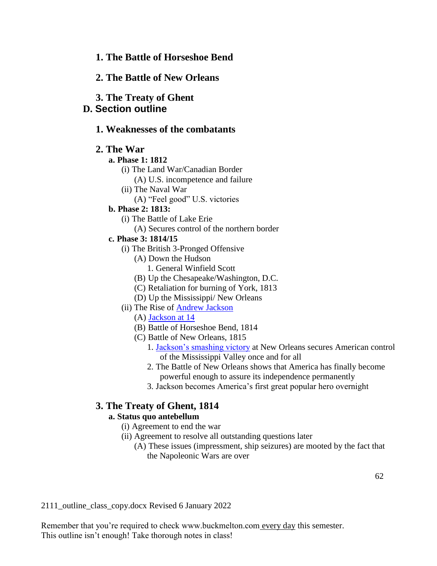## **1. The Battle of Horseshoe Bend**

## **2. The Battle of New Orleans**

**3. The Treaty of Ghent**

## **D. Section outline**

## **1. Weaknesses of the combatants**

## **2. The War**

### **a. Phase 1: 1812**

- (i) The Land War/Canadian Border
	- (A) U.S. incompetence and failure
- (ii) The Naval War
	- (A) "Feel good" U.S. victories

### **b. Phase 2: 1813:**

- (i) The Battle of Lake Erie
	- (A) Secures control of the northern border

### **c. Phase 3: 1814/15**

- (i) The British 3-Pronged Offensive
	- (A) Down the Hudson
		- 1. General Winfield Scott
	- (B) Up the Chesapeake/Washington, D.C.
	- (C) Retaliation for burning of York, 1813
	- (D) Up the Mississippi/ New Orleans
- (ii) The Rise of [Andrew Jackson](http://www.buckmelton.com/jackson.jpg.gif)
	- (A) [Jackson at 14](http://www.buckmelton.com/young-andrew-jackson-granger.jpg)
	- (B) Battle of Horseshoe Bend, 1814
	- (C) Battle of New Orleans, 1815
		- 1. [Jackson's smashing victory](http://www.buckmelton.com/Battle_of_New_Orleans.jpg) at New Orleans secures American control of the Mississippi Valley once and for all
		- 2. The Battle of New Orleans shows that America has finally become powerful enough to assure its independence permanently
		- 3. Jackson becomes America's first great popular hero overnight

# **3. The Treaty of Ghent, 1814**

## **a. Status quo antebellum**

- (i) Agreement to end the war
- (ii) Agreement to resolve all outstanding questions later
	- (A) These issues (impressment, ship seizures) are mooted by the fact that the Napoleonic Wars are over

2111\_outline\_class\_copy.docx Revised 6 January 2022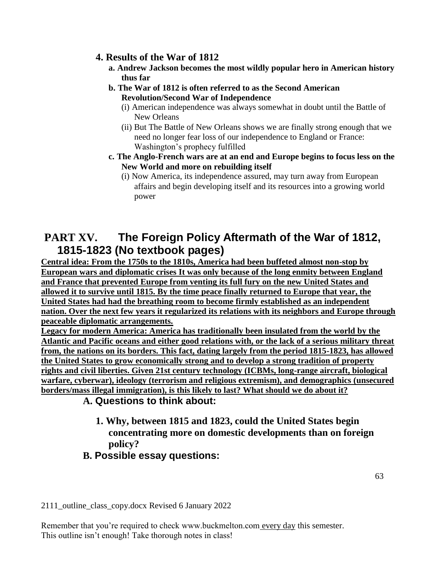## **4. Results of the War of 1812**

- **a. Andrew Jackson becomes the most wildly popular hero in American history thus far**
- **b. The War of 1812 is often referred to as the Second American Revolution/Second War of Independence**
	- (i) American independence was always somewhat in doubt until the Battle of New Orleans
	- (ii) But The Battle of New Orleans shows we are finally strong enough that we need no longer fear loss of our independence to England or France: Washington's prophecy fulfilled
- **c. The Anglo-French wars are at an end and Europe begins to focus less on the New World and more on rebuilding itself**
	- (i) Now America, its independence assured, may turn away from European affairs and begin developing itself and its resources into a growing world power

# **PART XV. The Foreign Policy Aftermath of the War of 1812, 1815-1823 (No textbook pages)**

**Central idea: From the 1750s to the 1810s, America had been buffeted almost non-stop by European wars and diplomatic crises It was only because of the long enmity between England and France that prevented Europe from venting its full fury on the new United States and allowed it to survive until 1815. By the time peace finally returned to Europe that year, the United States had had the breathing room to become firmly established as an independent nation. Over the next few years it regularized its relations with its neighbors and Europe through peaceable diplomatic arrangements.**

**Legacy for modern America: America has traditionally been insulated from the world by the Atlantic and Pacific oceans and either good relations with, or the lack of a serious military threat from, the nations on its borders. This fact, dating largely from the period 1815-1823, has allowed the United States to grow economically strong and to develop a strong tradition of property rights and civil liberties. Given 21st century technology (ICBMs, long-range aircraft, biological warfare, cyberwar), ideology (terrorism and religious extremism), and demographics (unsecured borders/mass illegal immigration), is this likely to last? What should we do about it?**

# **A. Questions to think about:**

**1. Why, between 1815 and 1823, could the United States begin concentrating more on domestic developments than on foreign policy?**

# **B. Possible essay questions:**

2111\_outline\_class\_copy.docx Revised 6 January 2022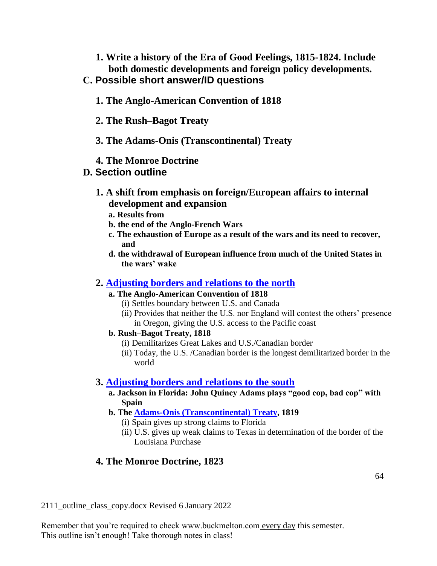**1. Write a history of the Era of Good Feelings, 1815-1824. Include both domestic developments and foreign policy developments.**

# **C. Possible short answer/ID questions**

- **1. The Anglo-American Convention of 1818**
- **2. The Rush–Bagot Treaty**
- **3. The Adams-Onis (Transcontinental) Treaty**
- **4. The Monroe Doctrine**

# **D. Section outline**

- **1. A shift from emphasis on foreign/European affairs to internal development and expansion**
	- **a. Results from**
	- **b. the end of the Anglo-French Wars**
	- **c. The exhaustion of Europe as a result of the wars and its need to recover, and**
	- **d. the withdrawal of European influence from much of the United States in the wars' wake**

## **2. [Adjusting borders and relations to the north](http://www.buckmelton.com/border_adjustment_post_1812.jpg)**

- **a. The Anglo-American Convention of 1818**
	- (i) Settles boundary between U.S. and Canada
	- (ii) Provides that neither the U.S. nor England will contest the others' presence in Oregon, giving the U.S. access to the Pacific coast
- **b. Rush–Bagot Treaty, 1818**
	- (i) Demilitarizes Great Lakes and U.S./Canadian border
	- (ii) Today, the U.S. /Canadian border is the longest demilitarized border in the world

# **3. [Adjusting borders and relations to the south](http://www.buckmelton.com/Viceroyalty_of_New_Spain_Location_1819_(without_Philippines).png)**

- **a. Jackson in Florida: John Quincy Adams plays "good cop, bad cop" with Spain**
- **b. The [Adams-Onis \(Transcontinental\) Treaty,](http://www.buckmelton.com/Viceroyalty_of_New_Spain_Location_1819_(without_Philippines).png) 1819**
	- (i) Spain gives up strong claims to Florida
	- (ii) U.S. gives up weak claims to Texas in determination of the border of the Louisiana Purchase

# **4. The Monroe Doctrine, 1823**

2111\_outline\_class\_copy.docx Revised 6 January 2022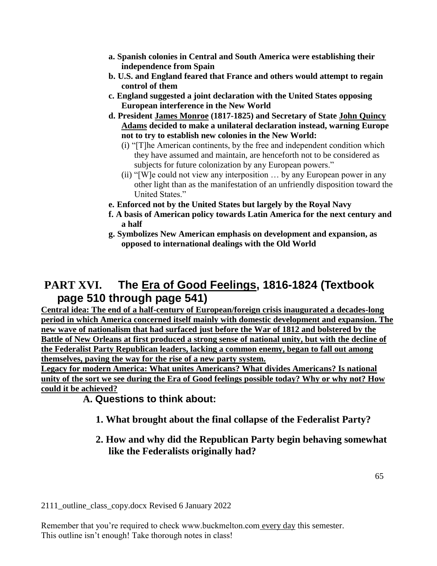- **a. Spanish colonies in Central and South America were establishing their independence from Spain**
- **b. U.S. and England feared that France and others would attempt to regain control of them**
- **c. England suggested a joint declaration with the United States opposing European interference in the New World**
- **d. President James Monroe (1817-1825) and Secretary of State John Quincy Adams decided to make a unilateral declaration instead, warning Europe not to try to establish new colonies in the New World:**
	- (i) "[T]he American continents, by the free and independent condition which they have assumed and maintain, are henceforth not to be considered as subjects for future colonization by any European powers."
	- (ii) "[W]e could not view any interposition … by any European power in any other light than as the manifestation of an unfriendly disposition toward the United States."
- **e. Enforced not by the United States but largely by the Royal Navy**
- **f. A basis of American policy towards Latin America for the next century and a half**
- **g. Symbolizes New American emphasis on development and expansion, as opposed to international dealings with the Old World**

# **PART XVI. The Era of Good Feelings, 1816-1824 (Textbook page 510 through page 541)**

**Central idea: The end of a half-century of European/foreign crisis inaugurated a decades-long period in which America concerned itself mainly with domestic development and expansion. The new wave of nationalism that had surfaced just before the War of 1812 and bolstered by the Battle of New Orleans at first produced a strong sense of national unity, but with the decline of the Federalist Party Republican leaders, lacking a common enemy, began to fall out among themselves, paving the way for the rise of a new party system.**

**Legacy for modern America: What unites Americans? What divides Americans? Is national unity of the sort we see during the Era of Good feelings possible today? Why or why not? How could it be achieved?**

## **A. Questions to think about:**

- **1. What brought about the final collapse of the Federalist Party?**
- **2. How and why did the Republican Party begin behaving somewhat like the Federalists originally had?**

2111\_outline\_class\_copy.docx Revised 6 January 2022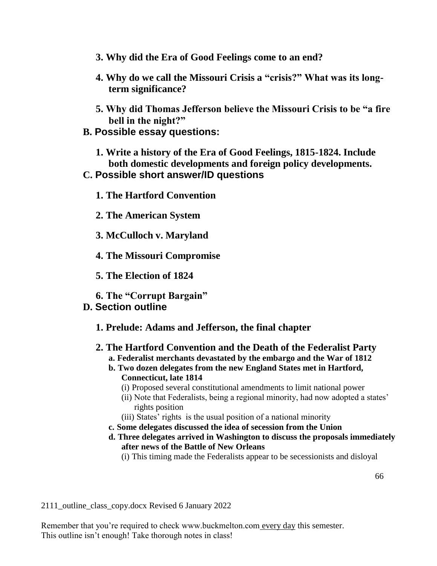- **3. Why did the Era of Good Feelings come to an end?**
- **4. Why do we call the Missouri Crisis a "crisis?" What was its longterm significance?**
- **5. Why did Thomas Jefferson believe the Missouri Crisis to be "a fire bell in the night?"**
- **B. Possible essay questions:**
	- **1. Write a history of the Era of Good Feelings, 1815-1824. Include both domestic developments and foreign policy developments.**

## **C. Possible short answer/ID questions**

**1. The Hartford Convention**

**2. The American System**

**3. McCulloch v. Maryland**

**4. The Missouri Compromise**

**5. The Election of 1824**

**6. The "Corrupt Bargain"**

## **D. Section outline**

- **1. Prelude: Adams and Jefferson, the final chapter**
- **2. The Hartford Convention and the Death of the Federalist Party a. Federalist merchants devastated by the embargo and the War of 1812**
	- **b. Two dozen delegates from the new England States met in Hartford, Connecticut, late 1814**
		- (i) Proposed several constitutional amendments to limit national power
		- (ii) Note that Federalists, being a regional minority, had now adopted a states' rights position
		- (iii) States' rights is the usual position of a national minority
	- **c. Some delegates discussed the idea of secession from the Union**
	- **d. Three delegates arrived in Washington to discuss the proposals immediately after news of the Battle of New Orleans**

(i) This timing made the Federalists appear to be secessionists and disloyal

2111\_outline\_class\_copy.docx Revised 6 January 2022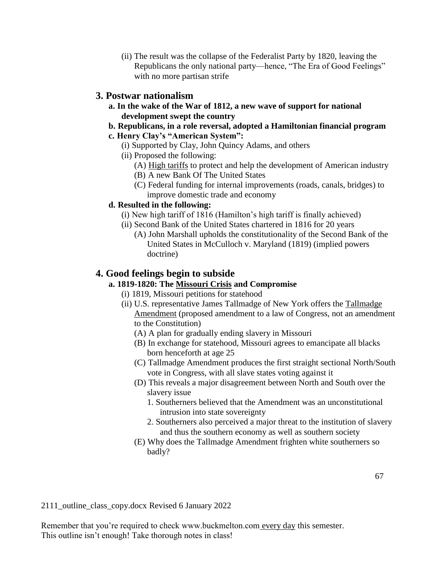(ii) The result was the collapse of the Federalist Party by 1820, leaving the Republicans the only national party—hence, "The Era of Good Feelings" with no more partisan strife

## **3. Postwar nationalism**

**a. In the wake of the War of 1812, a new wave of support for national development swept the country**

## **b. Republicans, in a role reversal, adopted a Hamiltonian financial program**

- **c. Henry Clay's "American System":**
	- (i) Supported by Clay, John Quincy Adams, and others
	- (ii) Proposed the following:
		- (A) High tariffs to protect and help the development of American industry
		- (B) A new Bank Of The United States
		- (C) Federal funding for internal improvements (roads, canals, bridges) to improve domestic trade and economy

## **d. Resulted in the following:**

- (i) New high tariff of 1816 (Hamilton's high tariff is finally achieved)
- (ii) Second Bank of the United States chartered in 1816 for 20 years
	- (A) John Marshall upholds the constitutionality of the Second Bank of the United States in McCulloch v. Maryland (1819) (implied powers doctrine)

## **4. Good feelings begin to subside**

## **a. 1819-1820: The Missouri Crisis and Compromise**

- (i) 1819, Missouri petitions for statehood
- (ii) U.S. representative James Tallmadge of New York offers the Tallmadge Amendment (proposed amendment to a law of Congress, not an amendment to the Constitution)
	- (A) A plan for gradually ending slavery in Missouri
	- (B) In exchange for statehood, Missouri agrees to emancipate all blacks born henceforth at age 25
	- (C) Tallmadge Amendment produces the first straight sectional North/South vote in Congress, with all slave states voting against it
	- (D) This reveals a major disagreement between North and South over the slavery issue
		- 1. Southerners believed that the Amendment was an unconstitutional intrusion into state sovereignty
		- 2. Southerners also perceived a major threat to the institution of slavery and thus the southern economy as well as southern society
	- (E) Why does the Tallmadge Amendment frighten white southerners so badly?

2111\_outline\_class\_copy.docx Revised 6 January 2022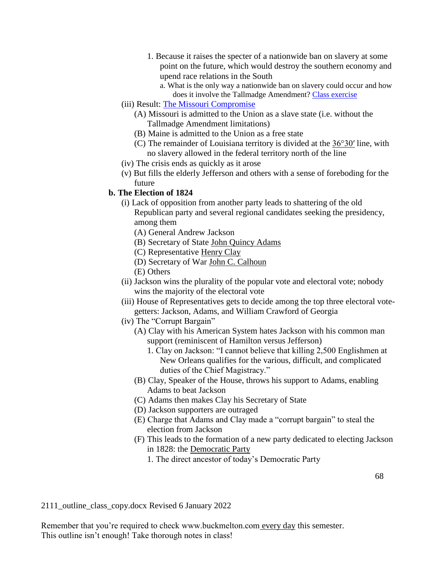- 1. Because it raises the specter of a nationwide ban on slavery at some point on the future, which would destroy the southern economy and upend race relations in the South
	- a. What is the only way a nationwide ban on slavery could occur and how does it involve the Tallmadge Amendment? [Class exercise](http://www.buckmelton.com/amendment_process.pdf)
- (iii) Result: [The Missouri Compromise](http://www.buckmelton.com/missouri_compromise.jpg)
	- (A) Missouri is admitted to the Union as a slave state (i.e. without the Tallmadge Amendment limitations)
	- (B) Maine is admitted to the Union as a free state
	- (C) The remainder of Louisiana territory is divided at the 36°30′ line, with no slavery allowed in the federal territory north of the line
- (iv) The crisis ends as quickly as it arose
- (v) But fills the elderly Jefferson and others with a sense of foreboding for the future

### **b. The Election of 1824**

- (i) Lack of opposition from another party leads to shattering of the old Republican party and several regional candidates seeking the presidency, among them
	- (A) General Andrew Jackson
	- (B) Secretary of State John Quincy Adams
	- (C) Representative Henry Clay
	- (D) Secretary of War John C. Calhoun
	- (E) Others
- (ii) Jackson wins the plurality of the popular vote and electoral vote; nobody wins the majority of the electoral vote
- (iii) House of Representatives gets to decide among the top three electoral votegetters: Jackson, Adams, and William Crawford of Georgia
- (iv) The "Corrupt Bargain"
	- (A) Clay with his American System hates Jackson with his common man support (reminiscent of Hamilton versus Jefferson)
		- 1. Clay on Jackson: "I cannot believe that killing 2,500 Englishmen at New Orleans qualifies for the various, difficult, and complicated duties of the Chief Magistracy."
	- (B) Clay, Speaker of the House, throws his support to Adams, enabling Adams to beat Jackson
	- (C) Adams then makes Clay his Secretary of State
	- (D) Jackson supporters are outraged
	- (E) Charge that Adams and Clay made a "corrupt bargain" to steal the election from Jackson
	- (F) This leads to the formation of a new party dedicated to electing Jackson in 1828: the Democratic Party
		- 1. The direct ancestor of today's Democratic Party

2111\_outline\_class\_copy.docx Revised 6 January 2022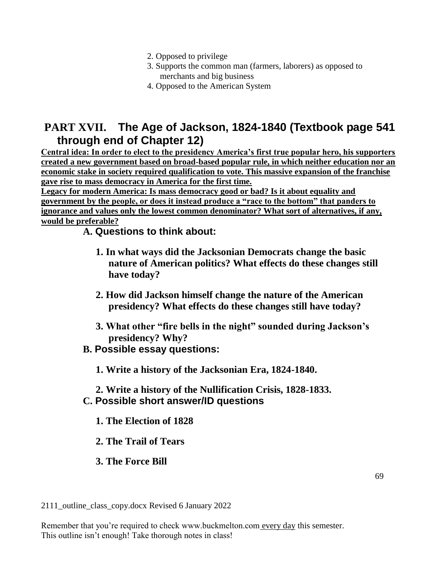- 2. Opposed to privilege
- 3. Supports the common man (farmers, laborers) as opposed to merchants and big business
- 4. Opposed to the American System

# **PART XVII. The Age of Jackson, 1824-1840 (Textbook page 541 through end of Chapter 12)**

**Central idea: In order to elect to the presidency America's first true popular hero, his supporters created a new government based on broad-based popular rule, in which neither education nor an economic stake in society required qualification to vote. This massive expansion of the franchise gave rise to mass democracy in America for the first time.**

**Legacy for modern America: Is mass democracy good or bad? Is it about equality and government by the people, or does it instead produce a "race to the bottom" that panders to ignorance and values only the lowest common denominator? What sort of alternatives, if any, would be preferable?**

## **A. Questions to think about:**

- **1. In what ways did the Jacksonian Democrats change the basic nature of American politics? What effects do these changes still have today?**
- **2. How did Jackson himself change the nature of the American presidency? What effects do these changes still have today?**
- **3. What other "fire bells in the night" sounded during Jackson's presidency? Why?**

## **B. Possible essay questions:**

**1. Write a history of the Jacksonian Era, 1824-1840.**

## **2. Write a history of the Nullification Crisis, 1828-1833. C. Possible short answer/ID questions**

- **1. The Election of 1828**
- **2. The Trail of Tears**

## **3. The Force Bill**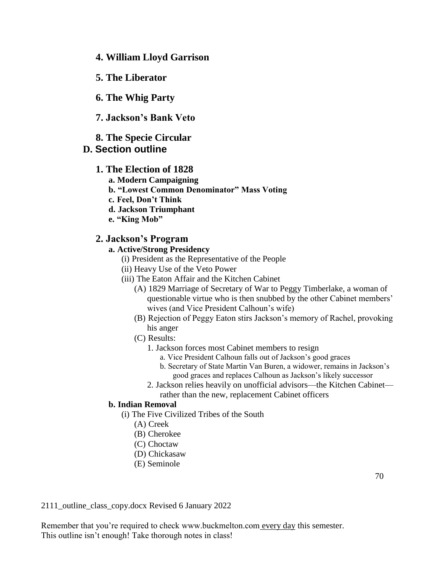- **4. William Lloyd Garrison**
- **5. The Liberator**
- **6. The Whig Party**
- **7. Jackson's Bank Veto**
- **8. The Specie Circular**

### **D. Section outline**

### **1. The Election of 1828**

- **a. Modern Campaigning**
- **b. "Lowest Common Denominator" Mass Voting**
- **c. Feel, Don't Think**
- **d. Jackson Triumphant**
- **e. "King Mob"**

### **2. Jackson's Program**

### **a. Active/Strong Presidency**

- (i) President as the Representative of the People
- (ii) Heavy Use of the Veto Power
- (iii) The Eaton Affair and the Kitchen Cabinet
	- (A) 1829 Marriage of Secretary of War to Peggy Timberlake, a woman of questionable virtue who is then snubbed by the other Cabinet members' wives (and Vice President Calhoun's wife)
	- (B) Rejection of Peggy Eaton stirs Jackson's memory of Rachel, provoking his anger
	- (C) Results:
		- 1. Jackson forces most Cabinet members to resign
			- a. Vice President Calhoun falls out of Jackson's good graces
			- b. Secretary of State Martin Van Buren, a widower, remains in Jackson's good graces and replaces Calhoun as Jackson's likely successor
		- 2. Jackson relies heavily on unofficial advisors—the Kitchen Cabinet rather than the new, replacement Cabinet officers

### **b. Indian Removal**

- (i) The Five Civilized Tribes of the South
	- (A) Creek
	- (B) Cherokee
	- (C) Choctaw
	- (D) Chickasaw
	- (E) Seminole

2111\_outline\_class\_copy.docx Revised 6 January 2022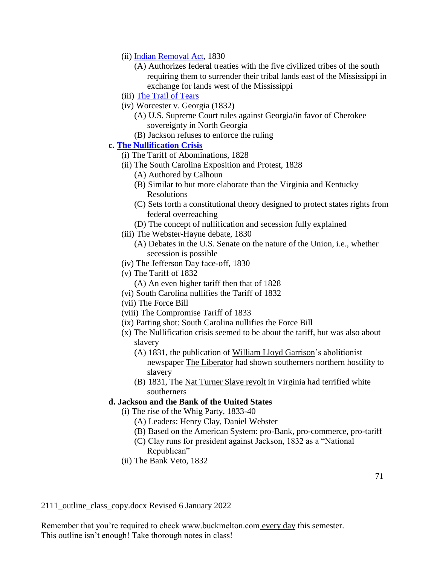- (ii) [Indian Removal Act,](http://www.buckmelton.com/trails_of_tears_en.png) 1830
	- (A) Authorizes federal treaties with the five civilized tribes of the south requiring them to surrender their tribal lands east of the Mississippi in exchange for lands west of the Mississippi
- (iii) [The Trail of Tears](http://www.buckmelton.com/trails_of_tears_en.png)
- (iv) Worcester v. Georgia (1832)
	- (A) U.S. Supreme Court rules against Georgia/in favor of Cherokee sovereignty in North Georgia
	- (B) Jackson refuses to enforce the ruling

### **c. [The Nullification Crisis](http://www.buckmelton.com/nullification_crisis.pdf)**

- (i) The Tariff of Abominations, 1828
- (ii) The South Carolina Exposition and Protest, 1828
	- (A) Authored by Calhoun
	- (B) Similar to but more elaborate than the Virginia and Kentucky Resolutions
	- (C) Sets forth a constitutional theory designed to protect states rights from federal overreaching
	- (D) The concept of nullification and secession fully explained
- (iii) The Webster-Hayne debate, 1830
	- (A) Debates in the U.S. Senate on the nature of the Union, i.e., whether secession is possible
- (iv) The Jefferson Day face-off, 1830
- (v) The Tariff of 1832
	- (A) An even higher tariff then that of 1828
- (vi) South Carolina nullifies the Tariff of 1832
- (vii) The Force Bill
- (viii) The Compromise Tariff of 1833
- (ix) Parting shot: South Carolina nullifies the Force Bill
- (x) The Nullification crisis seemed to be about the tariff, but was also about slavery
	- (A) 1831, the publication of William Lloyd Garrison's abolitionist newspaper The Liberator had shown southerners northern hostility to slavery
	- (B) 1831, The Nat Turner Slave revolt in Virginia had terrified white southerners

### **d. Jackson and the Bank of the United States**

- (i) The rise of the Whig Party, 1833-40
	- (A) Leaders: Henry Clay, Daniel Webster
	- (B) Based on the American System: pro-Bank, pro-commerce, pro-tariff
	- (C) Clay runs for president against Jackson, 1832 as a "National Republican"
- (ii) The Bank Veto, 1832

2111\_outline\_class\_copy.docx Revised 6 January 2022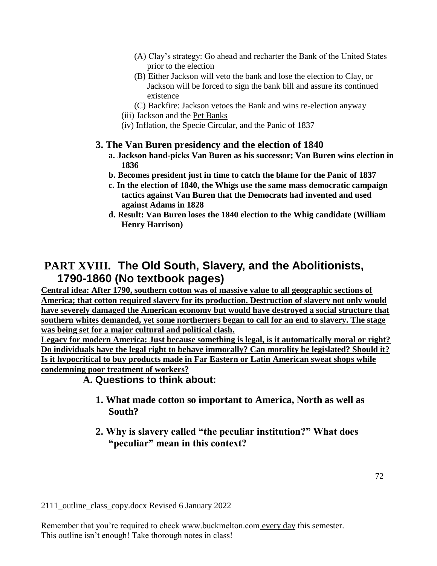- (A) Clay's strategy: Go ahead and recharter the Bank of the United States prior to the election
- (B) Either Jackson will veto the bank and lose the election to Clay, or Jackson will be forced to sign the bank bill and assure its continued existence
- (C) Backfire: Jackson vetoes the Bank and wins re-election anyway
- (iii) Jackson and the Pet Banks
- (iv) Inflation, the Specie Circular, and the Panic of 1837

## **3. The Van Buren presidency and the election of 1840**

- **a. Jackson hand-picks Van Buren as his successor; Van Buren wins election in 1836**
- **b. Becomes president just in time to catch the blame for the Panic of 1837**
- **c. In the election of 1840, the Whigs use the same mass democratic campaign tactics against Van Buren that the Democrats had invented and used against Adams in 1828**
- **d. Result: Van Buren loses the 1840 election to the Whig candidate (William Henry Harrison)**

# **PART XVIII. The Old South, Slavery, and the Abolitionists, 1790-1860 (No textbook pages)**

**Central idea: After 1790, southern cotton was of massive value to all geographic sections of America; that cotton required slavery for its production. Destruction of slavery not only would have severely damaged the American economy but would have destroyed a social structure that southern whites demanded, yet some northerners began to call for an end to slavery. The stage was being set for a major cultural and political clash.**

**Legacy for modern America: Just because something is legal, is it automatically moral or right? Do individuals have the legal right to behave immorally? Can morality be legislated? Should it? Is it hypocritical to buy products made in Far Eastern or Latin American sweat shops while condemning poor treatment of workers?**

## **A. Questions to think about:**

- **1. What made cotton so important to America, North as well as South?**
- **2. Why is slavery called "the peculiar institution?" What does "peculiar" mean in this context?**

2111\_outline\_class\_copy.docx Revised 6 January 2022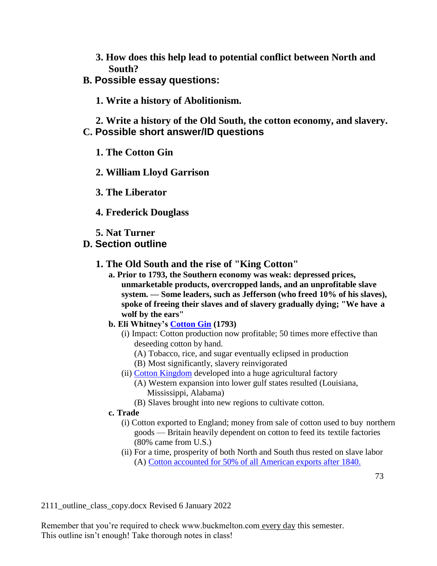**3. How does this help lead to potential conflict between North and South?**

# **B. Possible essay questions:**

**1. Write a history of Abolitionism.**

**2. Write a history of the Old South, the cotton economy, and slavery. C. Possible short answer/ID questions**

**1. The Cotton Gin**

**2. William Lloyd Garrison**

- **3. The Liberator**
- **4. Frederick Douglass**
- **5. Nat Turner**

# **D. Section outline**

# **1. The Old South and the rise of "King Cotton"**

- **a. Prior to 1793, the Southern economy was weak: depressed prices, unmarketable products, overcropped lands, and an unprofitable slave system. — Some leaders, such as Jefferson (who freed 10% of his slaves), spoke of freeing their slaves and of slavery gradually dying; "We have a wolf by the ears"**
- **b. Eli Whitney's [Cotton Gin](http://www.buckmelton.com/cotton_gin.jpg) (1793)**
	- (i) Impact: Cotton production now profitable; 50 times more effective than deseeding cotton by hand.
		- (A) Tobacco, rice, and sugar eventually eclipsed in production
		- (B) Most significantly, slavery reinvigorated
	- (ii) [Cotton Kingdom](http://www.buckmelton.com/cotton-kingdom-picture1.jpg) developed into a huge agricultural factory
		- (A) Western expansion into lower gulf states resulted (Louisiana, Mississippi, Alabama)
		- (B) Slaves brought into new regions to cultivate cotton.

### **c. Trade**

- (i) Cotton exported to England; money from sale of cotton used to buy northern goods — Britain heavily dependent on cotton to feed its textile factories (80% came from U.S.)
- (ii) For a time, prosperity of both North and South thus rested on slave labor (A) [Cotton accounted for](http://www.buckmelton.com/cotton_value.jpg) 50% of all American exports after 1840.

2111\_outline\_class\_copy.docx Revised 6 January 2022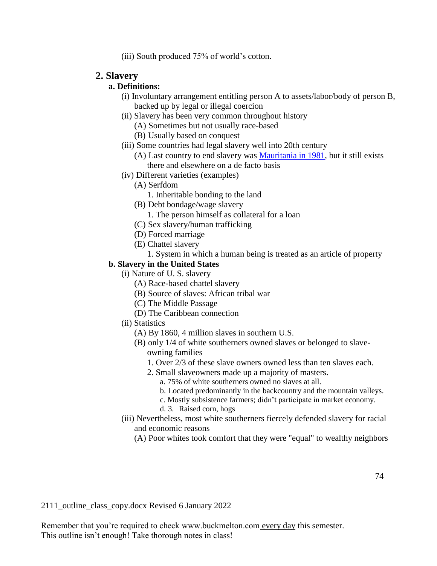(iii) South produced 75% of world's cotton.

### **2. Slavery**

### **a. Definitions:**

- (i) Involuntary arrangement entitling person A to assets/labor/body of person B, backed up by legal or illegal coercion
- (ii) Slavery has been very common throughout history
	- (A) Sometimes but not usually race-based
	- (B) Usually based on conquest
- (iii) Some countries had legal slavery well into 20th century
	- (A) Last country to end slavery was [Mauritania in 1981,](http://www.cnn.com/interactive/2012/03/world/mauritania.slaverys.last.stronghold/index.html) but it still exists there and elsewhere on a de facto basis
- (iv) Different varieties (examples)
	- (A) Serfdom
		- 1. Inheritable bonding to the land
	- (B) Debt bondage/wage slavery
		- 1. The person himself as collateral for a loan
	- (C) Sex slavery/human trafficking
	- (D) Forced marriage
	- (E) Chattel slavery
		- 1. System in which a human being is treated as an article of property

### **b. Slavery in the United States**

- (i) Nature of U. S. slavery
	- (A) Race-based chattel slavery
	- (B) Source of slaves: African tribal war
	- (C) The Middle Passage
	- (D) The Caribbean connection
- (ii) Statistics
	- (A) By 1860, 4 million slaves in southern U.S.
	- (B) only 1/4 of white southerners owned slaves or belonged to slaveowning families
		- 1. Over 2/3 of these slave owners owned less than ten slaves each.
		- 2. Small slaveowners made up a majority of masters.
			- a. 75% of white southerners owned no slaves at all.
			- b. Located predominantly in the backcountry and the mountain valleys.
			- c. Mostly subsistence farmers; didn't participate in market economy.
			- d. 3. Raised corn, hogs
- (iii) Nevertheless, most white southerners fiercely defended slavery for racial and economic reasons
	- (A) Poor whites took comfort that they were "equal" to wealthy neighbors

2111\_outline\_class\_copy.docx Revised 6 January 2022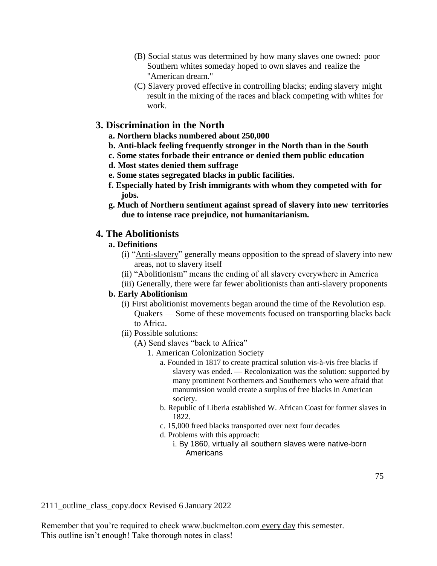- (B) Social status was determined by how many slaves one owned: poor Southern whites someday hoped to own slaves and realize the "American dream."
- (C) Slavery proved effective in controlling blacks; ending slavery might result in the mixing of the races and black competing with whites for work.

# **3. Discrimination in the North**

- **a. Northern blacks numbered about 250,000**
- **b. Anti-black feeling frequently stronger in the North than in the South**
- **c. Some states forbade their entrance or denied them public education**
- **d. Most states denied them suffrage**
- **e. Some states segregated blacks in public facilities.**
- **f. Especially hated by Irish immigrants with whom they competed with for jobs.**
- **g. Much of Northern sentiment against spread of slavery into new territories due to intense race prejudice, not humanitarianism.**

# **4. The Abolitionists**

# **a. Definitions**

- (i) "Anti-slavery" generally means opposition to the spread of slavery into new areas, not to slavery itself
- (ii) "Abolitionism" means the ending of all slavery everywhere in America
- (iii) Generally, there were far fewer abolitionists than anti-slavery proponents

### **b. Early Abolitionism**

- (i) First abolitionist movements began around the time of the Revolution esp. Quakers — Some of these movements focused on transporting blacks back to Africa.
- (ii) Possible solutions:
	- (A) Send slaves "back to Africa"
		- 1. American Colonization Society
			- a. Founded in 1817 to create practical solution vis-à-vis free blacks if slavery was ended. — Recolonization was the solution: supported by many prominent Northerners and Southerners who were afraid that manumission would create a surplus of free blacks in American society.
			- b. Republic of Liberia established W. African Coast for former slaves in 1822.
			- c. 15,000 freed blacks transported over next four decades
			- d. Problems with this approach:
				- i. By 1860, virtually all southern slaves were native-born Americans

2111\_outline\_class\_copy.docx Revised 6 January 2022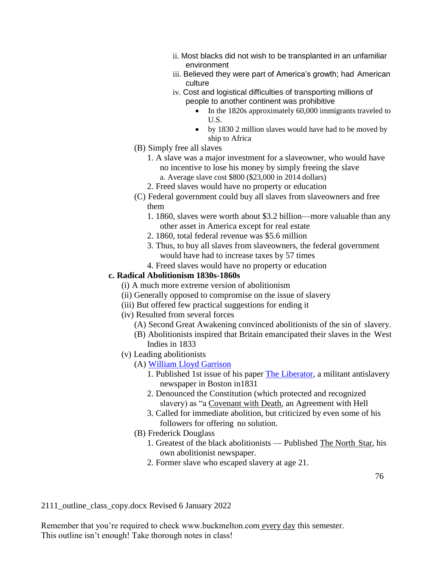- ii. Most blacks did not wish to be transplanted in an unfamiliar environment
- iii. Believed they were part of America's growth; had American culture
- iv. Cost and logistical difficulties of transporting millions of people to another continent was prohibitive
	- In the 1820s approximately 60,000 immigrants traveled to U.S.
	- by 1830 2 million slaves would have had to be moved by ship to Africa
- (B) Simply free all slaves
	- 1. A slave was a major investment for a slaveowner, who would have no incentive to lose his money by simply freeing the slave a. Average slave cost \$800 (\$23,000 in 2014 dollars)
	- 2. Freed slaves would have no property or education
- (C) Federal government could buy all slaves from slaveowners and free them
	- 1. 1860, slaves were worth about \$3.2 billion—more valuable than any other asset in America except for real estate
	- 2. 1860, total federal revenue was \$5.6 million
	- 3. Thus, to buy all slaves from slaveowners, the federal government would have had to increase taxes by 57 times
	- 4. Freed slaves would have no property or education

### **c. Radical Abolitionism 1830s-1860s**

- (i) A much more extreme version of abolitionism
- (ii) Generally opposed to compromise on the issue of slavery
- (iii) But offered few practical suggestions for ending it
- (iv) Resulted from several forces
	- (A) Second Great Awakening convinced abolitionists of the sin of slavery.
	- (B) Abolitionists inspired that Britain emancipated their slaves in the West Indies in 1833
- (v) Leading abolitionists
	- (A) [William Lloyd Garrison](http://www.buckmelton.com/garrison.jpg)
		- 1. Published 1st issue of his paper The [Liberator,](http://www.pbs.org/wgbh/aia/part4/4h2928t.html) a militant antislavery newspaper in Boston in1831
		- 2. Denounced the Constitution (which protected and recognized slavery) as "a Covenant with Death, an Agreement with Hell
		- 3. Called for immediate abolition, but criticized by even some of his followers for offering no solution.
	- (B) Frederick Douglass
		- 1. Greatest of the black abolitionists Published The North Star, his own abolitionist newspaper.
		- 2. Former slave who escaped slavery at age 21.

2111\_outline\_class\_copy.docx Revised 6 January 2022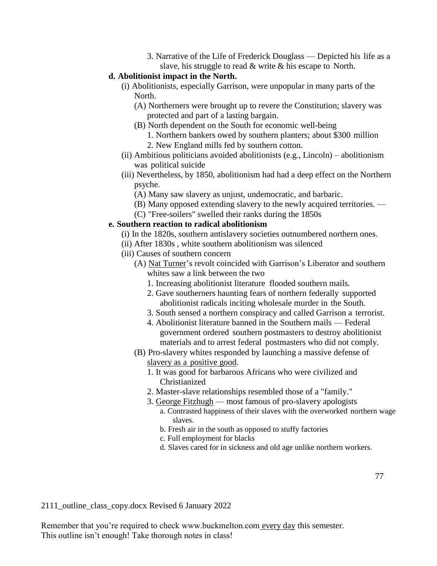- 3. Narrative of the Life of Frederick Douglass Depicted his life as a slave, his struggle to read & write & his escape to North.
- **d. Abolitionist impact in the North.**
	- (i) Abolitionists, especially Garrison, were unpopular in many parts of the North.
		- (A) Northerners were brought up to revere the Constitution; slavery was protected and part of a lasting bargain.
		- (B) North dependent on the South for economic well-being
			- 1. Northern bankers owed by southern planters; about \$300 million
			- 2. New England mills fed by southern cotton.
	- (ii) Ambitious politicians avoided abolitionists (e.g., Lincoln) abolitionism was political suicide
	- (iii) Nevertheless, by 1850, abolitionism had had a deep effect on the Northern psyche.
		- (A) Many saw slavery as unjust, undemocratic, and barbaric.
		- (B) Many opposed extending slavery to the newly acquired territories. —
		- (C) "Free-soilers" swelled their ranks during the 1850s

### **e. Southern reaction to radical abolitionism**

- (i) In the 1820s, southern antislavery societies outnumbered northern ones.
- (ii) After 1830s , white southern abolitionism was silenced
- (iii) Causes of southern concern
	- (A) Nat Turner's revolt coincided with Garrison's Liberator and southern whites saw a link between the two
		- 1. Increasing abolitionist literature flooded southern mails.
		- 2. Gave southerners haunting fears of northern federally supported abolitionist radicals inciting wholesale murder in the South.
		- 3. South sensed a northern conspiracy and called Garrison a terrorist.
		- 4. Abolitionist literature banned in the Southern mails Federal government ordered southern postmasters to destroy abolitionist materials and to arrest federal postmasters who did not comply.
	- (B) Pro-slavery whites responded by launching a massive defense of slavery as a positive good.
		- 1. It was good for barbarous Africans who were civilized and Christianized
		- 2. Master-slave relationships resembled those of a "family."
		- 3. George Fitzhugh most famous of pro-slavery apologists
			- a. Contrasted happiness of their slaves with the overworked northern wage slaves.
			- b. Fresh air in the south as opposed to stuffy factories
			- c. Full employment for blacks
			- d. Slaves cared for in sickness and old age unlike northern workers.

2111\_outline\_class\_copy.docx Revised 6 January 2022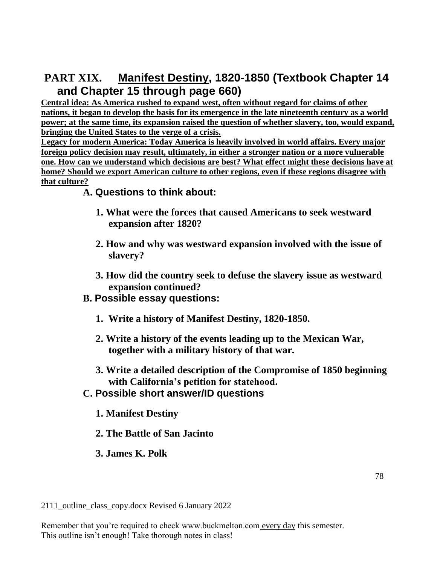# **PART XIX. Manifest Destiny, 1820-1850 (Textbook Chapter 14 and Chapter 15 through page 660)**

**Central idea: As America rushed to expand west, often without regard for claims of other nations, it began to develop the basis for its emergence in the late nineteenth century as a world power; at the same time, its expansion raised the question of whether slavery, too, would expand, bringing the United States to the verge of a crisis.**

**Legacy for modern America: Today America is heavily involved in world affairs. Every major foreign policy decision may result, ultimately, in either a stronger nation or a more vulnerable one. How can we understand which decisions are best? What effect might these decisions have at home? Should we export American culture to other regions, even if these regions disagree with that culture?**

# **A. Questions to think about:**

- **1. What were the forces that caused Americans to seek westward expansion after 1820?**
- **2. How and why was westward expansion involved with the issue of slavery?**
- **3. How did the country seek to defuse the slavery issue as westward expansion continued?**
- **B. Possible essay questions:**
	- **1. Write a history of Manifest Destiny, 1820-1850.**
	- **2. Write a history of the events leading up to the Mexican War, together with a military history of that war.**
	- **3. Write a detailed description of the Compromise of 1850 beginning with California's petition for statehood.**
- **C. Possible short answer/ID questions**
	- **1. Manifest Destiny**
	- **2. The Battle of San Jacinto**
	- **3. James K. Polk**

2111\_outline\_class\_copy.docx Revised 6 January 2022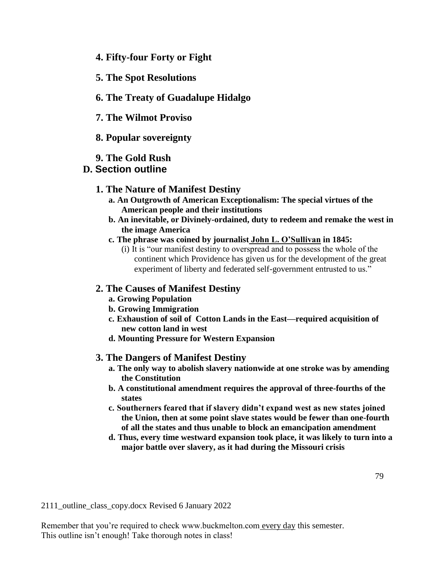- **4. Fifty-four Forty or Fight**
- **5. The Spot Resolutions**
- **6. The Treaty of Guadalupe Hidalgo**
- **7. The Wilmot Proviso**
- **8. Popular sovereignty**
- **9. The Gold Rush**

# **D. Section outline**

- **1. The Nature of Manifest Destiny**
	- **a. An Outgrowth of American Exceptionalism: The special virtues of the American people and their institutions**
	- **b. An inevitable, or Divinely-ordained, duty to redeem and remake the west in the image America**
	- **c. The phrase was coined by journalist John L. O'Sullivan in 1845:**
		- (i) It is "our manifest destiny to overspread and to possess the whole of the continent which Providence has given us for the development of the great experiment of liberty and federated self-government entrusted to us."

### **2. The Causes of Manifest Destiny**

- **a. Growing Population**
- **b. Growing Immigration**
- **c. Exhaustion of soil of Cotton Lands in the East—required acquisition of new cotton land in west**
- **d. Mounting Pressure for Western Expansion**

### **3. The Dangers of Manifest Destiny**

- **a. The only way to abolish slavery nationwide at one stroke was by amending the Constitution**
- **b. A constitutional amendment requires the approval of three-fourths of the states**
- **c. Southerners feared that if slavery didn't expand west as new states joined the Union, then at some point slave states would be fewer than one-fourth of all the states and thus unable to block an emancipation amendment**
- **d. Thus, every time westward expansion took place, it was likely to turn into a major battle over slavery, as it had during the Missouri crisis**

2111\_outline\_class\_copy.docx Revised 6 January 2022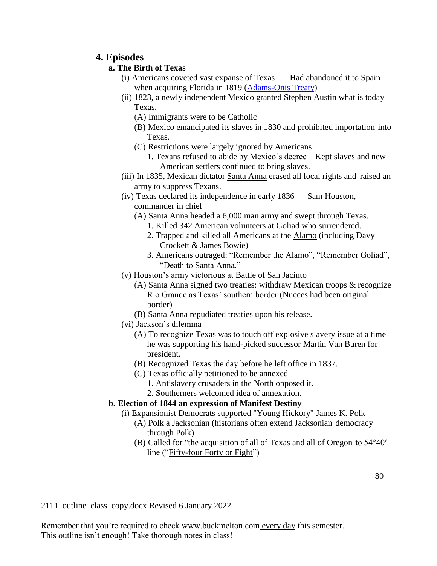# **4. Episodes**

# **a. The Birth of Texas**

- (i) Americans coveted vast expanse of Texas Had abandoned it to Spain when acquiring Florida in 1819 [\(Adams-Onis Treaty\)](http://www.buckmelton.com/border_adjustment_post_1812.jpg)
- (ii) 1823, a newly independent Mexico granted Stephen Austin what is today Texas.
	- (A) Immigrants were to be Catholic
	- (B) Mexico emancipated its slaves in 1830 and prohibited importation into Texas.
	- (C) Restrictions were largely ignored by Americans
		- 1. Texans refused to abide by Mexico's decree—Kept slaves and new American settlers continued to bring slaves.
- (iii) In 1835, Mexican dictator Santa Anna erased all local rights and raised an army to suppress Texans.
- (iv) Texas declared its independence in early 1836 Sam Houston, commander in chief
	- (A) Santa Anna headed a 6,000 man army and swept through Texas.
		- 1. Killed 342 American volunteers at Goliad who surrendered.
		- 2. Trapped and killed all Americans at the Alamo (including Davy Crockett & James Bowie)
		- 3. Americans outraged: "Remember the Alamo", "Remember Goliad", "Death to Santa Anna."
- (v) Houston's army victorious at Battle of San Jacinto
	- (A) Santa Anna signed two treaties: withdraw Mexican troops & recognize Rio Grande as Texas' southern border (Nueces had been original border)
	- (B) Santa Anna repudiated treaties upon his release.
- (vi) Jackson's dilemma
	- (A) To recognize Texas was to touch off explosive slavery issue at a time he was supporting his hand-picked successor Martin Van Buren for president.
	- (B) Recognized Texas the day before he left office in 1837.
	- (C) Texas officially petitioned to be annexed
		- 1. Antislavery crusaders in the North opposed it.
		- 2. Southerners welcomed idea of annexation.

# **b. Election of 1844 an expression of Manifest Destiny**

- (i) Expansionist Democrats supported "Young Hickory" James K. Polk
	- (A) Polk a Jacksonian (historians often extend Jacksonian democracy through Polk)
	- (B) Called for "the acquisition of all of Texas and all of Oregon to 54°40′ line ("Fifty-four Forty or Fight")

2111\_outline\_class\_copy.docx Revised 6 January 2022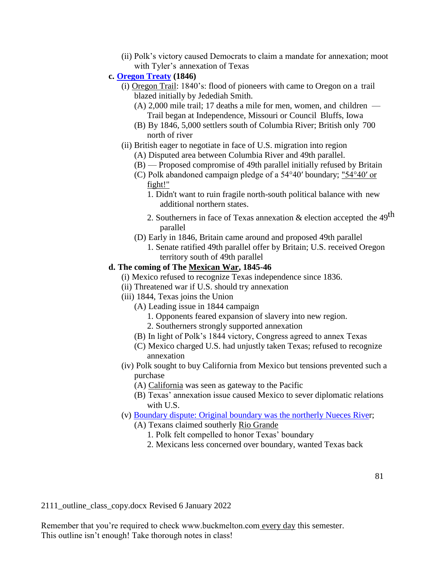- (ii) Polk's victory caused Democrats to claim a mandate for annexation; moot with Tyler's annexation of Texas
- **c. [Oregon](http://www.buckmelton.com/oregon-map.jpg) Treaty (1846)**
	- (i) Oregon Trail: 1840's: flood of pioneers with came to Oregon on a trail blazed initially by Jedediah Smith.
		- (A) 2,000 mile trail; 17 deaths a mile for men, women, and children Trail began at Independence, Missouri or Council Bluffs, Iowa
		- (B) By 1846, 5,000 settlers south of Columbia River; British only 700 north of river
	- (ii) British eager to negotiate in face of U.S. migration into region
		- (A) Disputed area between Columbia River and 49th parallel.
		- (B) Proposed compromise of 49th parallel initially refused by Britain
		- (C) Polk abandoned campaign pledge of a 54°40′ boundary; "54°40′ or fight!"
			- 1. Didn't want to ruin fragile north-south political balance with new additional northern states.
			- 2. Southerners in face of Texas annexation  $&$  election accepted the 49<sup>th</sup> parallel
		- (D) Early in 1846, Britain came around and proposed 49th parallel
			- 1. Senate ratified 49th parallel offer by Britain; U.S. received Oregon territory south of 49th parallel

### **d. The coming of The Mexican War, 1845-46**

- (i) Mexico refused to recognize Texas independence since 1836.
- (ii) Threatened war if U.S. should try annexation
- (iii) 1844, Texas joins the Union
	- (A) Leading issue in 1844 campaign
		- 1. Opponents feared expansion of slavery into new region.
		- 2. Southerners strongly supported annexation
	- (B) In light of Polk's 1844 victory, Congress agreed to annex Texas
	- (C) Mexico charged U.S. had unjustly taken Texas; refused to recognize annexation
- (iv) Polk sought to buy California from Mexico but tensions prevented such a purchase
	- (A) California was seen as gateway to the Pacific
	- (B) Texas' annexation issue caused Mexico to sever diplomatic relations with U.S.
- (v) Boundary dispute: [Original boundary was the northerly Nueces](http://www.buckmelton.com/nueces.png) River;
	- (A) Texans claimed southerly Rio Grande
		- 1. Polk felt compelled to honor Texas' boundary
		- 2. Mexicans less concerned over boundary, wanted Texas back

2111\_outline\_class\_copy.docx Revised 6 January 2022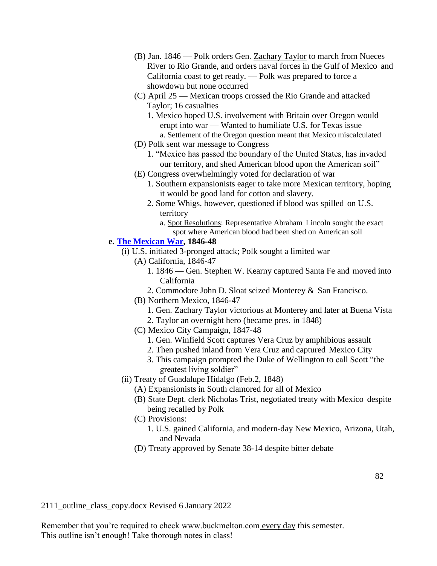- (B) Jan. 1846 Polk orders Gen. Zachary Taylor to march from Nueces River to Rio Grande, and orders naval forces in the Gulf of Mexico and California coast to get ready. — Polk was prepared to force a showdown but none occurred
- (C) April 25 Mexican troops crossed the Rio Grande and attacked Taylor; 16 casualties
	- 1. Mexico hoped U.S. involvement with Britain over Oregon would erupt into war — Wanted to humiliate U.S. for Texas issue a. Settlement of the Oregon question meant that Mexico miscalculated
- (D) Polk sent war message to Congress
	- 1. "Mexico has passed the boundary of the United States, has invaded our territory, and shed American blood upon the American soil"
- (E) Congress overwhelmingly voted for declaration of war
	- 1. Southern expansionists eager to take more Mexican territory, hoping it would be good land for cotton and slavery.
	- 2. Some Whigs, however, questioned if blood was spilled on U.S. territory
		- a. Spot Resolutions: Representative Abraham Lincoln sought the exact spot where American blood had been shed on American soil

### **e. [The Mexican War,](http://www.buckmelton.com/newmaps/mexican_war_main.pdf) 1846-48**

- (i) U.S. initiated 3-pronged attack; Polk sought a limited war
	- (A) California, 1846-47
		- 1. 1846 Gen. Stephen W. Kearny captured Santa Fe and moved into California
		- 2. Commodore John D. Sloat seized Monterey & San Francisco.
	- (B) Northern Mexico, 1846-47
		- 1. Gen. Zachary Taylor victorious at Monterey and later at Buena Vista
		- 2. Taylor an overnight hero (became pres. in 1848)
	- (C) Mexico City Campaign, 1847-48
		- 1. Gen. Winfield Scott captures Vera Cruz by amphibious assault
		- 2. Then pushed inland from Vera Cruz and captured Mexico City
		- 3. This campaign prompted the Duke of Wellington to call Scott "the greatest living soldier"
- (ii) Treaty of Guadalupe Hidalgo (Feb.2, 1848)
	- (A) Expansionists in South clamored for all of Mexico
	- (B) State Dept. clerk Nicholas Trist, negotiated treaty with Mexico despite being recalled by Polk
	- (C) Provisions:
		- 1. U.S. gained California, and modern-day New Mexico, Arizona, Utah, and Nevada
	- (D) Treaty approved by Senate 38-14 despite bitter debate

2111\_outline\_class\_copy.docx Revised 6 January 2022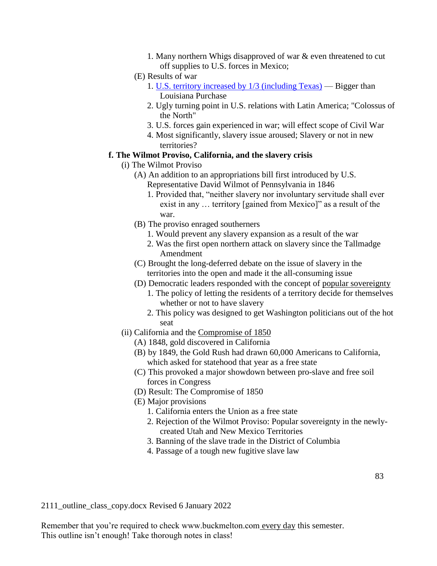- 1. Many northern Whigs disapproved of war & even threatened to cut off supplies to U.S. forces in Mexico;
- (E) Results of war
	- 1. U.S. territory increased [by 1/3 \(including Texas\)](http://www.buckmelton.com/mexicancessiontreatylandsmap.jpg) Bigger than Louisiana Purchase
	- 2. Ugly turning point in U.S. relations with Latin America; "Colossus of the North"
	- 3. U.S. forces gain experienced in war; will effect scope of Civil War
	- 4. Most significantly, slavery issue aroused; Slavery or not in new territories?

### **f. The Wilmot Proviso, California, and the slavery crisis**

- (i) The Wilmot Proviso
	- (A) An addition to an appropriations bill first introduced by U.S. Representative David Wilmot of Pennsylvania in 1846
		- 1. Provided that, "neither slavery nor involuntary servitude shall ever exist in any … territory [gained from Mexico]" as a result of the war.
	- (B) The proviso enraged southerners
		- 1. Would prevent any slavery expansion as a result of the war
		- 2. Was the first open northern attack on slavery since the Tallmadge Amendment
	- (C) Brought the long-deferred debate on the issue of slavery in the territories into the open and made it the all-consuming issue
	- (D) Democratic leaders responded with the concept of popular sovereignty
		- 1. The policy of letting the residents of a territory decide for themselves whether or not to have slavery
		- 2. This policy was designed to get Washington politicians out of the hot seat
- (ii) California and the Compromise of 1850
	- (A) 1848, gold discovered in California
	- (B) by 1849, the Gold Rush had drawn 60,000 Americans to California, which asked for statehood that year as a free state
	- (C) This provoked a major showdown between pro-slave and free soil forces in Congress
	- (D) Result: The Compromise of 1850
	- (E) Major provisions
		- 1. California enters the Union as a free state
		- 2. Rejection of the Wilmot Proviso: Popular sovereignty in the newlycreated Utah and New Mexico Territories
		- 3. Banning of the slave trade in the District of Columbia
		- 4. Passage of a tough new fugitive slave law

2111\_outline\_class\_copy.docx Revised 6 January 2022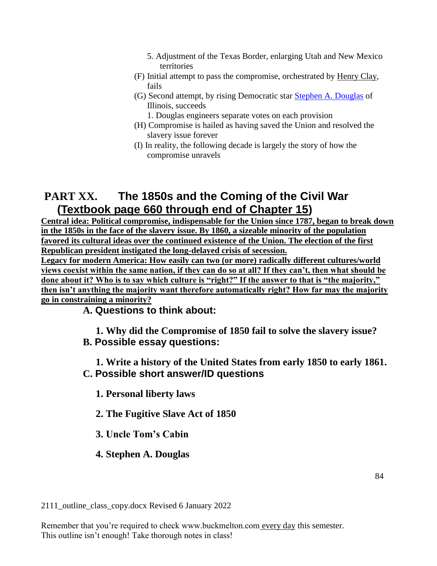- 5. Adjustment of the Texas Border, enlarging Utah and New Mexico territories
- (F) Initial attempt to pass the compromise, orchestrated by Henry Clay, fails
- (G) Second attempt, by rising Democratic star [Stephen A. Douglas](http://www.buckmelton.com/stephen_a_douglas.jpg) of Illinois, succeeds
	- 1. Douglas engineers separate votes on each provision
- (H) Compromise is hailed as having saved the Union and resolved the slavery issue forever
- (I) In reality, the following decade is largely the story of how the compromise unravels

# **PART XX. The 1850s and the Coming of the Civil War (Textbook page 660 through end of Chapter 15)**

**Central idea: Political compromise, indispensable for the Union since 1787, began to break down in the 1850s in the face of the slavery issue. By 1860, a sizeable minority of the population favored its cultural ideas over the continued existence of the Union. The election of the first Republican president instigated the long-delayed crisis of secession.**

**Legacy for modern America: How easily can two (or more) radically different cultures/world views coexist within the same nation, if they can do so at all? If they can't, then what should be done about it? Who is to say which culture is "right?" If the answer to that is "the majority," then isn't anything the majority want therefore automatically right? How far may the majority go in constraining a minority?**

**A. Questions to think about:**

**1. Why did the Compromise of 1850 fail to solve the slavery issue? B. Possible essay questions:**

**1. Write a history of the United States from early 1850 to early 1861. C. Possible short answer/ID questions**

**1. Personal liberty laws**

**2. The Fugitive Slave Act of 1850**

**3. Uncle Tom's Cabin**

**4. Stephen A. Douglas**

2111\_outline\_class\_copy.docx Revised 6 January 2022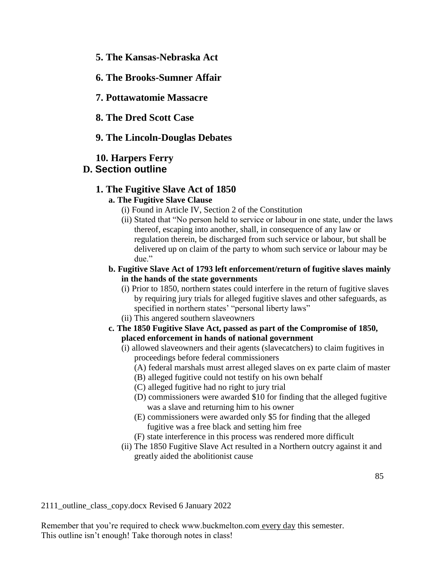- **5. The Kansas-Nebraska Act**
- **6. The Brooks-Sumner Affair**

**7. Pottawatomie Massacre**

**8. The Dred Scott Case**

### **9. The Lincoln-Douglas Debates**

### **10. Harpers Ferry**

# **D. Section outline**

### **1. The Fugitive Slave Act of 1850**

### **a. The Fugitive Slave Clause**

- (i) Found in Article IV, Section 2 of the Constitution
- (ii) Stated that "No person held to service or labour in one state, under the laws thereof, escaping into another, shall, in consequence of any law or regulation therein, be discharged from such service or labour, but shall be delivered up on claim of the party to whom such service or labour may be due."
- **b. Fugitive Slave Act of 1793 left enforcement/return of fugitive slaves mainly in the hands of the state governments**
	- (i) Prior to 1850, northern states could interfere in the return of fugitive slaves by requiring jury trials for alleged fugitive slaves and other safeguards, as specified in northern states' "personal liberty laws"
	- (ii) This angered southern slaveowners
- **c. The 1850 Fugitive Slave Act, passed as part of the Compromise of 1850, placed enforcement in hands of national government**
	- (i) allowed slaveowners and their agents (slavecatchers) to claim fugitives in proceedings before federal commissioners
		- (A) federal marshals must arrest alleged slaves on ex parte claim of master
		- (B) alleged fugitive could not testify on his own behalf
		- (C) alleged fugitive had no right to jury trial
		- (D) commissioners were awarded \$10 for finding that the alleged fugitive was a slave and returning him to his owner
		- (E) commissioners were awarded only \$5 for finding that the alleged fugitive was a free black and setting him free
		- (F) state interference in this process was rendered more difficult
	- (ii) The 1850 Fugitive Slave Act resulted in a Northern outcry against it and greatly aided the abolitionist cause

2111\_outline\_class\_copy.docx Revised 6 January 2022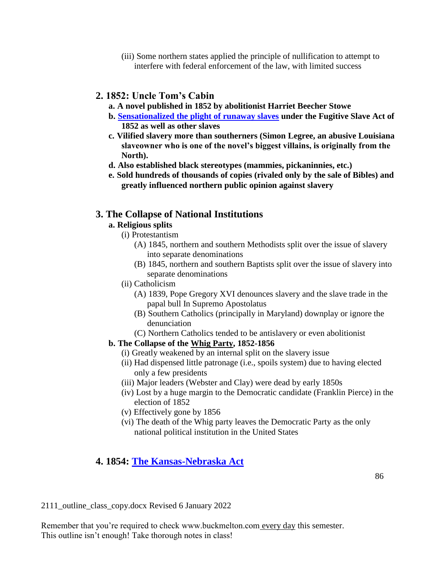(iii) Some northern states applied the principle of nullification to attempt to interfere with federal enforcement of the law, with limited success

# **2. 1852: Uncle Tom's Cabin**

- **a. A novel published in 1852 by abolitionist Harriet Beecher Stowe**
- **b. [Sensationalized the plight of runaway slaves](http://www.buckmelton.com/Eliza-Crossing-the-Ice-Morgan-1881.jpg) under the Fugitive Slave Act of 1852 as well as other slaves**
- **c. Vilified slavery more than southerners (Simon Legree, an abusive Louisiana slaveowner who is one of the novel's biggest villains, is originally from the North).**
- **d. Also established black stereotypes (mammies, pickaninnies, etc.)**
- **e. Sold hundreds of thousands of copies (rivaled only by the sale of Bibles) and greatly influenced northern public opinion against slavery**

# **3. The Collapse of National Institutions**

### **a. Religious splits**

- (i) Protestantism
	- (A) 1845, northern and southern Methodists split over the issue of slavery into separate denominations
	- (B) 1845, northern and southern Baptists split over the issue of slavery into separate denominations
- (ii) Catholicism
	- (A) 1839, Pope Gregory XVI denounces slavery and the slave trade in the papal bull In Supremo Apostolatus
	- (B) Southern Catholics (principally in Maryland) downplay or ignore the denunciation
	- (C) Northern Catholics tended to be antislavery or even abolitionist

# **b. The Collapse of the Whig Party, 1852-1856**

- (i) Greatly weakened by an internal split on the slavery issue
- (ii) Had dispensed little patronage (i.e., spoils system) due to having elected only a few presidents
- (iii) Major leaders (Webster and Clay) were dead by early 1850s
- (iv) Lost by a huge margin to the Democratic candidate (Franklin Pierce) in the election of 1852
- (v) Effectively gone by 1856
- (vi) The death of the Whig party leaves the Democratic Party as the only national political institution in the United States

# **4. 1854: [The Kansas-Nebraska Act](http://www.buckmelton.com/kansas_nebraska_map.jpg)**

2111\_outline\_class\_copy.docx Revised 6 January 2022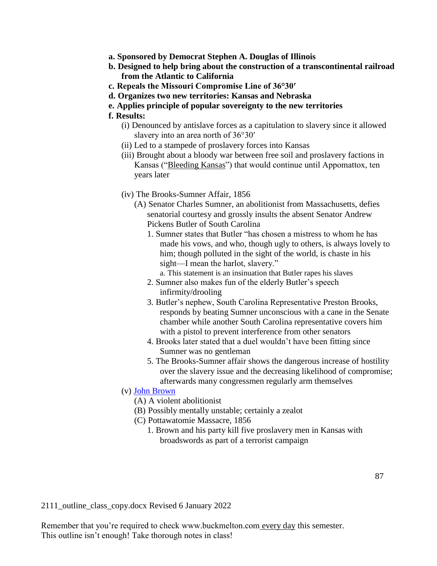- **a. Sponsored by Democrat Stephen A. Douglas of Illinois**
- **b. Designed to help bring about the construction of a transcontinental railroad from the Atlantic to California**
- **c. Repeals the Missouri Compromise Line of 36°30′**
- **d. Organizes two new territories: Kansas and Nebraska**
- **e. Applies principle of popular sovereignty to the new territories**
- **f. Results:**
	- (i) Denounced by antislave forces as a capitulation to slavery since it allowed slavery into an area north of  $36^{\circ}30'$
	- (ii) Led to a stampede of proslavery forces into Kansas
	- (iii) Brought about a bloody war between free soil and proslavery factions in Kansas ("Bleeding Kansas") that would continue until Appomattox, ten years later
	- (iv) The Brooks-Sumner Affair, 1856
		- (A) Senator Charles Sumner, an abolitionist from Massachusetts, defies senatorial courtesy and grossly insults the absent Senator Andrew Pickens Butler of South Carolina
			- 1. Sumner states that Butler "has chosen a mistress to whom he has made his vows, and who, though ugly to others, is always lovely to him; though polluted in the sight of the world, is chaste in his sight—I mean the harlot, slavery."
				- a. This statement is an insinuation that Butler rapes his slaves
			- 2. Sumner also makes fun of the elderly Butler's speech infirmity/drooling
			- 3. Butler's nephew, South Carolina Representative Preston Brooks, responds by beating Sumner unconscious with a cane in the Senate chamber while another South Carolina representative covers him with a pistol to prevent interference from other senators
			- 4. Brooks later stated that a duel wouldn't have been fitting since Sumner was no gentleman
			- 5. The Brooks-Sumner affair shows the dangerous increase of hostility over the slavery issue and the decreasing likelihood of compromise; afterwards many congressmen regularly arm themselves
	- (v) [John Brown](http://www.buckmelton.com/John_Brown_daguerreotype_c1856.png)
		- (A) A violent abolitionist
		- (B) Possibly mentally unstable; certainly a zealot
		- (C) Pottawatomie Massacre, 1856
			- 1. Brown and his party kill five proslavery men in Kansas with broadswords as part of a terrorist campaign

2111\_outline\_class\_copy.docx Revised 6 January 2022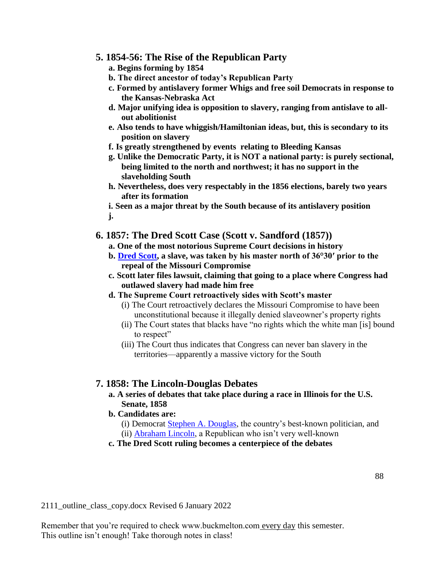### **5. 1854-56: The Rise of the Republican Party**

- **a. Begins forming by 1854**
- **b. The direct ancestor of today's Republican Party**
- **c. Formed by antislavery former Whigs and free soil Democrats in response to the Kansas-Nebraska Act**
- **d. Major unifying idea is opposition to slavery, ranging from antislave to allout abolitionist**
- **e. Also tends to have whiggish/Hamiltonian ideas, but, this is secondary to its position on slavery**
- **f. Is greatly strengthened by events relating to Bleeding Kansas**
- **g. Unlike the Democratic Party, it is NOT a national party: is purely sectional, being limited to the north and northwest; it has no support in the slaveholding South**
- **h. Nevertheless, does very respectably in the 1856 elections, barely two years after its formation**

**i. Seen as a major threat by the South because of its antislavery position j.**

### **6. 1857: The Dred Scott Case (Scott v. Sandford (1857))**

- **a. One of the most notorious Supreme Court decisions in history**
- **b. [Dred Scott,](http://www.buckmelton.com/dred_scott.jpg) a slave, was taken by his master north of 36°30′ prior to the repeal of the Missouri Compromise**
- **c. Scott later files lawsuit, claiming that going to a place where Congress had outlawed slavery had made him free**
- **d. The Supreme Court retroactively sides with Scott's master**
	- (i) The Court retroactively declares the Missouri Compromise to have been unconstitutional because it illegally denied slaveowner's property rights
	- (ii) The Court states that blacks have "no rights which the white man [is] bound to respect"
	- (iii) The Court thus indicates that Congress can never ban slavery in the territories—apparently a massive victory for the South

### **7. 1858: The Lincoln-Douglas Debates**

### **a. A series of debates that take place during a race in Illinois for the U.S. Senate, 1858**

**b. Candidates are:**

- (i) Democrat [Stephen A. Douglas,](http://www.buckmelton.com/stephen_a_douglas.jpg) the country's best-known politician, and
- (ii) [Abraham Lincoln,](http://www.buckmelton.com/abraham_lincoln.jpg) a Republican who isn't very well-known

# **c. The Dred Scott ruling becomes a centerpiece of the debates**

2111\_outline\_class\_copy.docx Revised 6 January 2022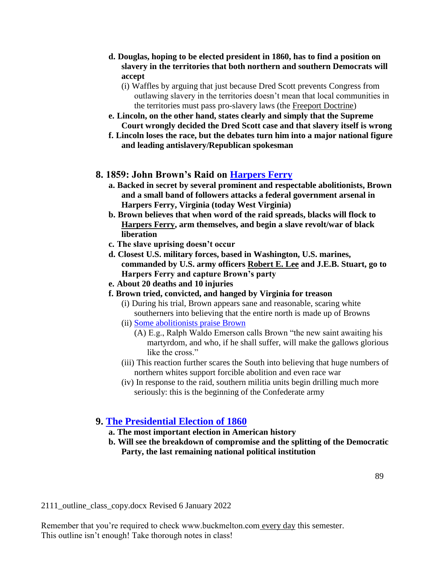- **d. Douglas, hoping to be elected president in 1860, has to find a position on slavery in the territories that both northern and southern Democrats will accept**
	- (i) Waffles by arguing that just because Dred Scott prevents Congress from outlawing slavery in the territories doesn't mean that local communities in the territories must pass pro-slavery laws (the Freeport Doctrine)
- **e. Lincoln, on the other hand, states clearly and simply that the Supreme Court wrongly decided the Dred Scott case and that slavery itself is wrong**
- **f. Lincoln loses the race, but the debates turn him into a major national figure and leading antislavery/Republican spokesman**

# **8. 1859: John Brown's Raid on [Harpers Ferry](http://www.buckmelton.com/Harpers_Ferry.jpg)**

- **a. Backed in secret by several prominent and respectable abolitionists, Brown and a small band of followers attacks a federal government arsenal in Harpers Ferry, Virginia (today West Virginia)**
- **b. Brown believes that when word of the raid spreads, blacks will flock to Harpers Ferry, arm themselves, and begin a slave revolt/war of black liberation**
- **c. The slave uprising doesn't occur**
- **d. Closest U.S. military forces, based in Washington, U.S. marines, commanded by U.S. army officers Robert E. Lee and J.E.B. Stuart, go to Harpers Ferry and capture Brown's party**
- **e. About 20 deaths and 10 injuries**
- **f. Brown tried, convicted, and hanged by Virginia for treason**
	- (i) During his trial, Brown appears sane and reasonable, scaring white southerners into believing that the entire north is made up of Browns
	- (ii) [Some abolitionists praise Brown](http://www.buckmelton.com/)
		- (A) E.g., Ralph Waldo Emerson calls Brown "the new saint awaiting his martyrdom, and who, if he shall suffer, will make the gallows glorious like the cross."
	- (iii) This reaction further scares the South into believing that huge numbers of northern whites support forcible abolition and even race war
	- (iv) In response to the raid, southern militia units begin drilling much more seriously: this is the beginning of the Confederate army

# **9. [The Presidential Election of 1860](http://www.buckmelton.com/The_Presidential_Election_of_1860.pdf)**

- **a. The most important election in American history**
- **b. Will see the breakdown of compromise and the splitting of the Democratic Party, the last remaining national political institution**

2111\_outline\_class\_copy.docx Revised 6 January 2022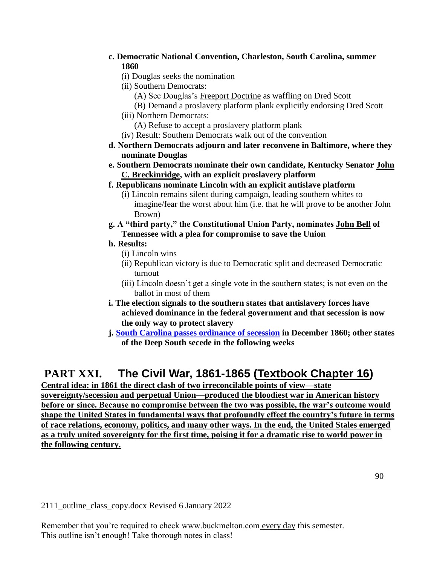- **c. Democratic National Convention, Charleston, South Carolina, summer 1860**
	- (i) Douglas seeks the nomination
	- (ii) Southern Democrats:
		- (A) See Douglas's Freeport Doctrine as waffling on Dred Scott
		- (B) Demand a proslavery platform plank explicitly endorsing Dred Scott
	- (iii) Northern Democrats:
		- (A) Refuse to accept a proslavery platform plank
	- (iv) Result: Southern Democrats walk out of the convention
- **d. Northern Democrats adjourn and later reconvene in Baltimore, where they nominate Douglas**
- **e. Southern Democrats nominate their own candidate, Kentucky Senator John C. Breckinridge, with an explicit proslavery platform**
- **f. Republicans nominate Lincoln with an explicit antislave platform**
	- (i) Lincoln remains silent during campaign, leading southern whites to imagine/fear the worst about him (i.e. that he will prove to be another John Brown)
- **g. A "third party," the Constitutional Union Party, nominates John Bell of Tennessee with a plea for compromise to save the Union**

### **h. Results:**

- (i) Lincoln wins
- (ii) Republican victory is due to Democratic split and decreased Democratic turnout
- (iii) Lincoln doesn't get a single vote in the southern states; is not even on the ballot in most of them
- **i. The election signals to the southern states that antislavery forces have achieved dominance in the federal government and that secession is now the only way to protect slavery**
- **j. [South Carolina passes ordinance of secession](http://www.buckmelton.com/union_dissolved.jpg) in December 1860; other states of the Deep South secede in the following weeks**

# **PART XXI. The Civil War, 1861-1865 (Textbook Chapter 16)**

**Central idea: in 1861 the direct clash of two irreconcilable points of view—state sovereignty/secession and perpetual Union—produced the bloodiest war in American history before or since. Because no compromise between the two was possible, the war's outcome would shape the United States in fundamental ways that profoundly effect the country's future in terms of race relations, economy, politics, and many other ways. In the end, the United Stales emerged as a truly united sovereignty for the first time, poising it for a dramatic rise to world power in the following century.**

2111\_outline\_class\_copy.docx Revised 6 January 2022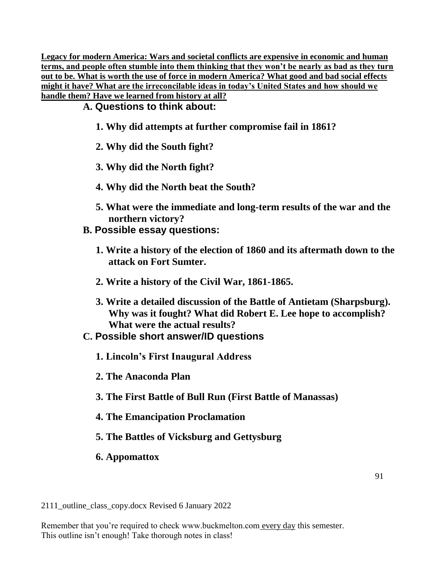**Legacy for modern America: Wars and societal conflicts are expensive in economic and human terms, and people often stumble into them thinking that they won't be nearly as bad as they turn out to be. What is worth the use of force in modern America? What good and bad social effects might it have? What are the irreconcilable ideas in today's United States and how should we handle them? Have we learned from history at all?**

**A. Questions to think about:**

- **1. Why did attempts at further compromise fail in 1861?**
- **2. Why did the South fight?**
- **3. Why did the North fight?**
- **4. Why did the North beat the South?**
- **5. What were the immediate and long-term results of the war and the northern victory?**
- **B. Possible essay questions:**
	- **1. Write a history of the election of 1860 and its aftermath down to the attack on Fort Sumter.**
	- **2. Write a history of the Civil War, 1861-1865.**
	- **3. Write a detailed discussion of the Battle of Antietam (Sharpsburg). Why was it fought? What did Robert E. Lee hope to accomplish? What were the actual results?**
- **C. Possible short answer/ID questions**
	- **1. Lincoln's First Inaugural Address**
	- **2. The Anaconda Plan**
	- **3. The First Battle of Bull Run (First Battle of Manassas)**
	- **4. The Emancipation Proclamation**
	- **5. The Battles of Vicksburg and Gettysburg**
	- **6. Appomattox**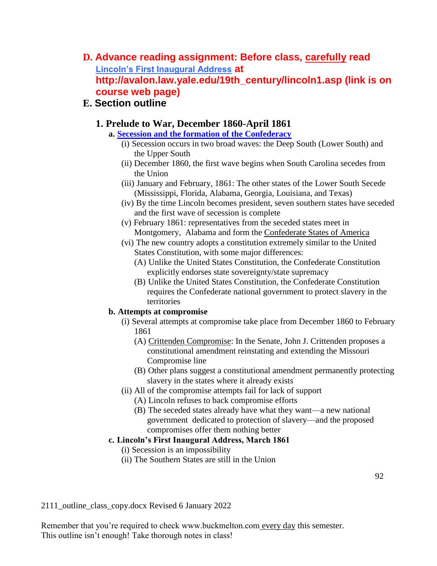**D. Advance reading assignment: Before class, carefully read [Lincoln's First Inaugural Address](http://avalon.law.yale.edu/19th_century/lincoln1.asp) at http://avalon.law.yale.edu/19th\_century/lincoln1.asp (link is on course web page)**

# **E. Section outline**

# **1. Prelude to War, December 1860-April 1861**

- **a. Secession [and the formation of the Confederacy](http://www.buckmelton.com/csa_states.gif)**
	- (i) Secession occurs in two broad waves: the Deep South (Lower South) and the Upper South
	- (ii) December 1860, the first wave begins when South Carolina secedes from the Union
	- (iii) January and February, 1861: The other states of the Lower South Secede (Mississippi, Florida, Alabama, Georgia, Louisiana, and Texas)
	- (iv) By the time Lincoln becomes president, seven southern states have seceded and the first wave of secession is complete
	- (v) February 1861: representatives from the seceded states meet in Montgomery, Alabama and form the Confederate States of America
	- (vi) The new country adopts a constitution extremely similar to the United States Constitution, with some major differences:
		- (A) Unlike the United States Constitution, the Confederate Constitution explicitly endorses state sovereignty/state supremacy
		- (B) Unlike the United States Constitution, the Confederate Constitution requires the Confederate national government to protect slavery in the territories

### **b. Attempts at compromise**

- (i) Several attempts at compromise take place from December 1860 to February 1861
	- (A) Crittenden Compromise: In the Senate, John J. Crittenden proposes a constitutional amendment reinstating and extending the Missouri Compromise line
	- (B) Other plans suggest a constitutional amendment permanently protecting slavery in the states where it already exists
- (ii) All of the compromise attempts fail for lack of support
	- (A) Lincoln refuses to back compromise efforts
	- (B) The seceded states already have what they want—a new national government dedicated to protection of slavery—and the proposed compromises offer them nothing better

# **c. Lincoln's First Inaugural Address, March 1861**

- (i) Secession is an impossibility
- (ii) The Southern States are still in the Union

2111\_outline\_class\_copy.docx Revised 6 January 2022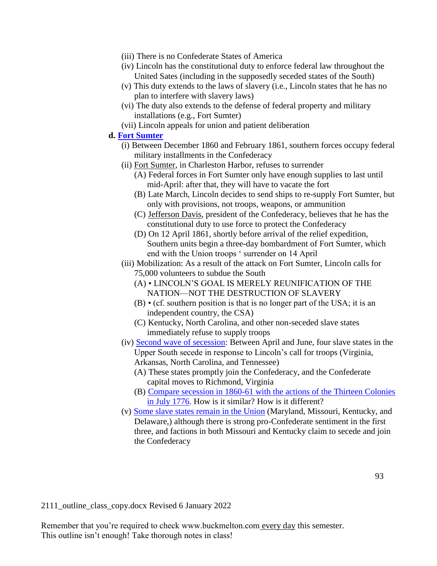- (iii) There is no Confederate States of America
- (iv) Lincoln has the constitutional duty to enforce federal law throughout the United Sates (including in the supposedly seceded states of the South)
- (v) This duty extends to the laws of slavery (i.e., Lincoln states that he has no plan to interfere with slavery laws)
- (vi) The duty also extends to the defense of federal property and military installations (e.g., Fort Sumter)
- (vii) Lincoln appeals for union and patient deliberation
- **d. [Fort Sumter](http://www.buckmelton.com/Charleston_Harbor_1861.png)**
	- (i) Between December 1860 and February 1861, southern forces occupy federal military installments in the Confederacy
	- (ii) Fort Sumter, in Charleston Harbor, refuses to surrender
		- (A) Federal forces in Fort Sumter only have enough supplies to last until mid-April: after that, they will have to vacate the fort
		- (B) Late March, Lincoln decides to send ships to re-supply Fort Sumter, but only with provisions, not troops, weapons, or ammunition
		- (C) Jefferson Davis, president of the Confederacy, believes that he has the constitutional duty to use force to protect the Confederacy
		- (D) On 12 April 1861, shortly before arrival of the relief expedition, Southern units begin a three-day bombardment of Fort Sumter, which end with the Union troops ' surrender on 14 April
	- (iii) Mobilization: As a result of the attack on Fort Sumter, Lincoln calls for 75,000 volunteers to subdue the South
		- (A) LINCOLN'S GOAL IS MERELY REUNIFICATION OF THE NATION—NOT THE DESTRUCTION OF SLAVERY
		- (B) (cf. southern position is that is no longer part of the USA; it is an independent country, the CSA)
		- (C) Kentucky, North Carolina, and other non-seceded slave states immediately refuse to supply troops
	- (iv) [Second wave of secession:](http://www.buckmelton.com/csa_states.gif) Between April and June, four slave states in the Upper South secede in response to Lincoln's call for troops (Virginia, Arkansas, North Carolina, and Tennessee)
		- (A) These states promptly join the Confederacy, and the Confederate capital moves to Richmond, Virginia
		- (B) [Compare secession in 1860-61 with the actions of the Thirteen Colonies](https://www.youtube.com/watch?v=0YrFKVWozN4&index=3&list=PLBeAtDe5MEHrDjNY7T1Jm3I8lC95cPjF0)  [in July 1776.](https://www.youtube.com/watch?v=0YrFKVWozN4&index=3&list=PLBeAtDe5MEHrDjNY7T1Jm3I8lC95cPjF0) How is it similar? How is it different?
	- (v) [Some slave states remain in the Union](http://www.buckmelton.com/statesmap_civilwar.png) (Maryland, Missouri, Kentucky, and Delaware,) although there is strong pro-Confederate sentiment in the first three, and factions in both Missouri and Kentucky claim to secede and join the Confederacy

2111\_outline\_class\_copy.docx Revised 6 January 2022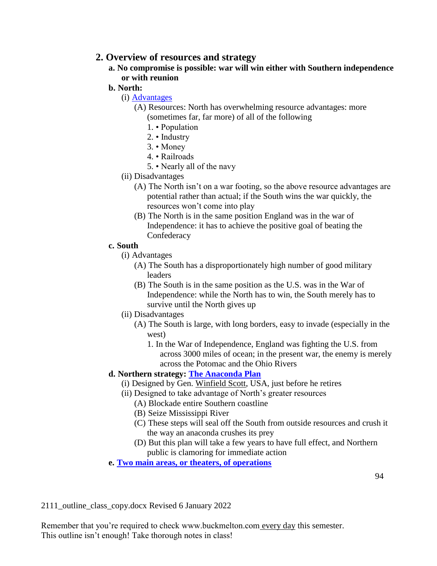# **2. Overview of resources and strategy**

- **a. No compromise is possible: war will win either with Southern independence or with reunion**
- **b. North:**
	- (i) [Advantages](https://www.youtube.com/watch?v=2xaRBgAGIWI&index=6&list=PLBeAtDe5MEHrDjNY7T1Jm3I8lC95cPjF0)
		- (A) Resources: North has overwhelming resource advantages: more (sometimes far, far more) of all of the following
			- 1. Population
			- 2. Industry
			- 3. Money
			- 4. Railroads
			- 5. Nearly all of the navy
	- (ii) Disadvantages
		- (A) The North isn't on a war footing, so the above resource advantages are potential rather than actual; if the South wins the war quickly, the resources won't come into play
		- (B) The North is in the same position England was in the war of Independence: it has to achieve the positive goal of beating the **Confederacy**

### **c. South**

- (i) Advantages
	- (A) The South has a disproportionately high number of good military leaders
	- (B) The South is in the same position as the U.S. was in the War of Independence: while the North has to win, the South merely has to survive until the North gives up
- (ii) Disadvantages
	- (A) The South is large, with long borders, easy to invade (especially in the west)
		- 1. In the War of Independence, England was fighting the U.S. from across 3000 miles of ocean; in the present war, the enemy is merely across the Potomac and the Ohio Rivers

# **d. Northern strategy: [The Anaconda Plan](http://www.buckmelton.com/anaconda.jpg)**

- (i) Designed by Gen. Winfield Scott, USA, just before he retires
- (ii) Designed to take advantage of North's greater resources
	- (A) Blockade entire Southern coastline
	- (B) Seize Mississippi River
	- (C) These steps will seal off the South from outside resources and crush it the way an anaconda crushes its prey
	- (D) But this plan will take a few years to have full effect, and Northern public is clamoring for immediate action
- **e. [Two main areas, or theaters, of operations](http://www.buckmelton.com/civil_war_battles_chart.pdf)**

2111\_outline\_class\_copy.docx Revised 6 January 2022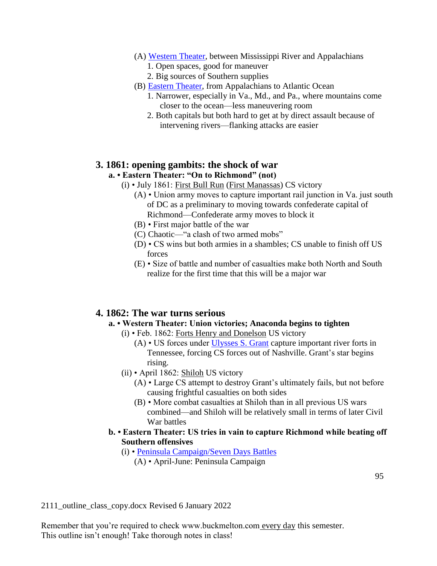### (A) [Western Theater,](http://www.buckmelton.com/ACW_Western_Theater_December_1862_-_September_1863.png) between Mississippi River and Appalachians

- 1. Open spaces, good for maneuver
- 2. Big sources of Southern supplies
- (B) [Eastern Theater,](http://www.buckmelton.com/Map_of_the_Eastern_Theater_of_Operations__1862___large.jpg) from Appalachians to Atlantic Ocean
	- 1. Narrower, especially in Va., Md., and Pa., where mountains come closer to the ocean—less maneuvering room
	- 2. Both capitals but both hard to get at by direct assault because of intervening rivers—flanking attacks are easier

# **3. 1861: opening gambits: the shock of war**

### **a. • Eastern Theater: "On to Richmond" (not)**

- (i) July 1861: First Bull Run (First Manassas) CS victory
	- (A) Union army moves to capture important rail junction in Va. just south of DC as a preliminary to moving towards confederate capital of Richmond—Confederate army moves to block it
	- (B) First major battle of the war
	- (C) Chaotic—"a clash of two armed mobs"
	- (D) CS wins but both armies in a shambles; CS unable to finish off US forces
	- (E) Size of battle and number of casualties make both North and South realize for the first time that this will be a major war

# **4. 1862: The war turns serious**

### **a. • Western Theater: Union victories; Anaconda begins to tighten**

- (i) Feb. 1862: Forts Henry and Donelson US victory
	- (A) US forces under [Ulysses S. Grant](http://www.buckmelton.com/ulysses_grant.jpg) capture important river forts in Tennessee, forcing CS forces out of Nashville. Grant's star begins rising.
- (ii) April 1862: Shiloh US victory
	- (A) Large CS attempt to destroy Grant's ultimately fails, but not before causing frightful casualties on both sides
	- (B) More combat casualties at Shiloh than in all previous US wars combined—and Shiloh will be relatively small in terms of later Civil War battles
- **b. Eastern Theater: US tries in vain to capture Richmond while beating off Southern offensives**
	- (i) • [Peninsula Campaign/Seven Days Battles](http://www.buckmelton.com/Peninsula_Campaign_March_17_-_May_31,_1862.png)
		- (A) April-June: Peninsula Campaign

2111\_outline\_class\_copy.docx Revised 6 January 2022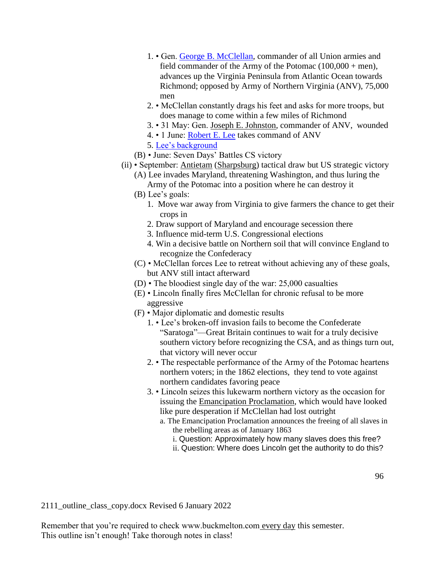- 1. Gen. [George B. McClellan,](http://www.buckmelton.com/George_B_McClellan_-_retouched.jpg) commander of all Union armies and field commander of the Army of the Potomac  $(100,000 + \text{men})$ , advances up the Virginia Peninsula from Atlantic Ocean towards Richmond; opposed by Army of Northern Virginia (ANV), 75,000 men
- 2. McClellan constantly drags his feet and asks for more troops, but does manage to come within a few miles of Richmond
- 3. 31 May: Gen. Joseph E. Johnston, commander of ANV, wounded
- 4. 1 June: [Robert E. Lee](http://www.buckmelton.com/lee.jpg) takes command of ANV
- 5. [Lee's background](https://www.youtube.com/watch?v=a01p0phI8iY&index=5&list=PLBeAtDe5MEHrDjNY7T1Jm3I8lC95cPjF0)
- (B) June: Seven Days' Battles CS victory
- (ii) September: Antietam (Sharpsburg) tactical draw but US strategic victory
	- (A) Lee invades Maryland, threatening Washington, and thus luring the Army of the Potomac into a position where he can destroy it
	- (B) Lee's goals:
		- 1. Move war away from Virginia to give farmers the chance to get their crops in
		- 2. Draw support of Maryland and encourage secession there
		- 3. Influence mid-term U.S. Congressional elections
		- 4. Win a decisive battle on Northern soil that will convince England to recognize the Confederacy
	- (C) McClellan forces Lee to retreat without achieving any of these goals, but ANV still intact afterward
	- (D) The bloodiest single day of the war: 25,000 casualties
	- (E) Lincoln finally fires McClellan for chronic refusal to be more aggressive
	- (F) Major diplomatic and domestic results
		- 1. Lee's broken-off invasion fails to become the Confederate "Saratoga"—Great Britain continues to wait for a truly decisive southern victory before recognizing the CSA, and as things turn out, that victory will never occur
		- 2. The respectable performance of the Army of the Potomac heartens northern voters; in the 1862 elections, they tend to vote against northern candidates favoring peace
		- 3. Lincoln seizes this lukewarm northern victory as the occasion for issuing the Emancipation Proclamation, which would have looked like pure desperation if McClellan had lost outright
			- a. The Emancipation Proclamation announces the freeing of all slaves in the rebelling areas as of January 1863
				- i. Question: Approximately how many slaves does this free?
				- ii. Question: Where does Lincoln get the authority to do this?

2111\_outline\_class\_copy.docx Revised 6 January 2022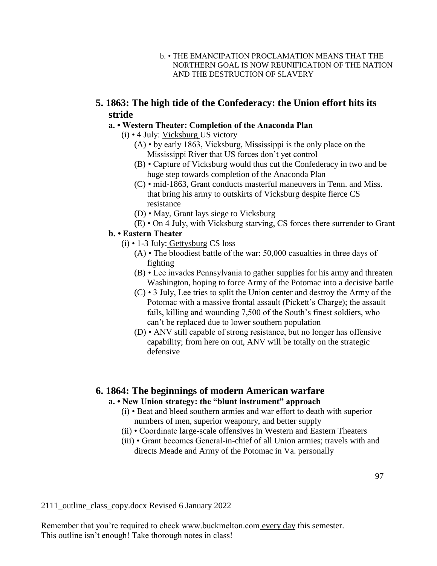- b. THE EMANCIPATION PROCLAMATION MEANS THAT THE NORTHERN GOAL IS NOW REUNIFICATION OF THE NATION AND THE DESTRUCTION OF SLAVERY
- **5. 1863: The high tide of the Confederacy: the Union effort hits its stride**

### **a. • Western Theater: Completion of the Anaconda Plan**

- (i) 4 July: Vicksburg US victory
	- (A) by early 1863, Vicksburg, Mississippi is the only place on the Mississippi River that US forces don't yet control
	- (B) Capture of Vicksburg would thus cut the Confederacy in two and be huge step towards completion of the Anaconda Plan
	- (C) mid-1863, Grant conducts masterful maneuvers in Tenn. and Miss. that bring his army to outskirts of Vicksburg despite fierce CS resistance
	- (D) May, Grant lays siege to Vicksburg
	- (E) On 4 July, with Vicksburg starving, CS forces there surrender to Grant

### **b. • Eastern Theater**

- (i) 1-3 July: Gettysburg CS loss
	- (A) The bloodiest battle of the war: 50,000 casualties in three days of fighting
	- (B) Lee invades Pennsylvania to gather supplies for his army and threaten Washington, hoping to force Army of the Potomac into a decisive battle
	- (C) 3 July, Lee tries to split the Union center and destroy the Army of the Potomac with a massive frontal assault (Pickett's Charge); the assault fails, killing and wounding 7,500 of the South's finest soldiers, who can't be replaced due to lower southern population
	- (D) ANV still capable of strong resistance, but no longer has offensive capability; from here on out, ANV will be totally on the strategic defensive

# **6. 1864: The beginnings of modern American warfare**

### **a. • New Union strategy: the "blunt instrument" approach**

- (i) Beat and bleed southern armies and war effort to death with superior numbers of men, superior weaponry, and better supply
- (ii) Coordinate large-scale offensives in Western and Eastern Theaters
- (iii) Grant becomes General-in-chief of all Union armies; travels with and directs Meade and Army of the Potomac in Va. personally

97

2111\_outline\_class\_copy.docx Revised 6 January 2022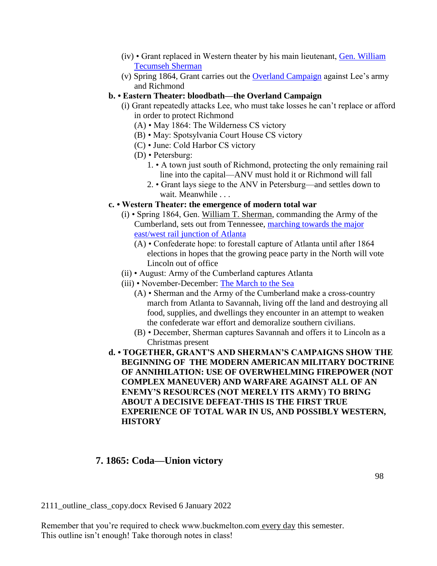- (iv) Grant replaced in Western theater by his main lieutenant, [Gen. William](http://www.buckmelton.com/general-william-tecumseh-sherman.jpg)  [Tecumseh Sherman](http://www.buckmelton.com/general-william-tecumseh-sherman.jpg)
- (v) Spring 1864, Grant carries out the [Overland Campaign](http://www.buckmelton.com/overland-campaign-map.jpg) against Lee's army and Richmond
- **b. Eastern Theater: bloodbath—the Overland Campaign**
	- (i) Grant repeatedly attacks Lee, who must take losses he can't replace or afford in order to protect Richmond
		- (A) May 1864: The Wilderness CS victory
		- (B) May: Spotsylvania Court House CS victory
		- (C) June: Cold Harbor CS victory
		- (D) Petersburg:
			- 1. A town just south of Richmond, protecting the only remaining rail line into the capital—ANV must hold it or Richmond will fall
			- 2. Grant lays siege to the ANV in Petersburg—and settles down to wait. Meanwhile . . .
- **c. Western Theater: the emergence of modern total war**
	- (i) Spring 1864, Gen. William T. Sherman, commanding the Army of the Cumberland, sets out from Tennessee, [marching towards the major](http://www.buckmelton.com/400px-Atlanta_campaign.svg.png)  [east/west rail junction of Atlanta](http://www.buckmelton.com/400px-Atlanta_campaign.svg.png)
		- (A) Confederate hope: to forestall capture of Atlanta until after 1864 elections in hopes that the growing peace party in the North will vote Lincoln out of office
	- (ii) August: Army of the Cumberland captures Atlanta
	- (iii) November-December: [The March to the Sea](http://www.buckmelton.com/shermans-march-map.png)
		- (A) Sherman and the Army of the Cumberland make a cross-country march from Atlanta to Savannah, living off the land and destroying all food, supplies, and dwellings they encounter in an attempt to weaken the confederate war effort and demoralize southern civilians.
		- (B) December, Sherman captures Savannah and offers it to Lincoln as a Christmas present
- **d. TOGETHER, GRANT'S AND SHERMAN'S CAMPAIGNS SHOW THE BEGINNING OF THE MODERN AMERICAN MILITARY DOCTRINE OF ANNIHILATION: USE OF OVERWHELMING FIREPOWER (NOT COMPLEX MANEUVER) AND WARFARE AGAINST ALL OF AN ENEMY'S RESOURCES (NOT MERELY ITS ARMY) TO BRING ABOUT A DECISIVE DEFEAT-THIS IS THE FIRST TRUE EXPERIENCE OF TOTAL WAR IN US, AND POSSIBLY WESTERN, HISTORY**

# **7. 1865: Coda—Union victory**

2111\_outline\_class\_copy.docx Revised 6 January 2022